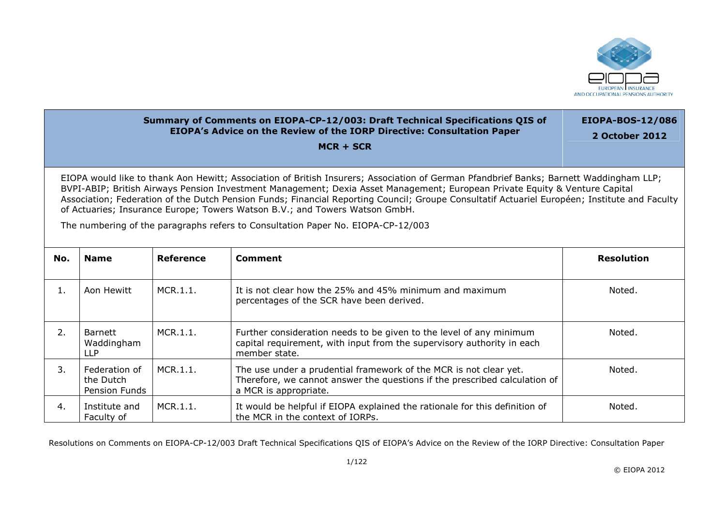

## **Summary of Comments on EIOPA-CP-12/003: Draft Technical Specifications QIS of EIOPA's Advice on the Review of the IORP Directive: Consultation Paper** EIOPA-BOS-12/086 **2 October 2012**

**MCR + SCR** 

EIOPA would like to thank Aon Hewitt; Association of British Insurers; Association of German Pfandbrief Banks; Barnett Waddingham LLP; BVPI-ABIP; British Airways Pension Investment Management; Dexia Asset Management; European Private Equity & Venture Capital Association; Federation of the Dutch Pension Funds; Financial Reporting Council; Groupe Consultatif Actuariel Européen; Institute and Faculty of Actuaries; Insurance Europe; Towers Watson B.V.; and Towers Watson GmbH.

The numbering of the paragraphs refers to Consultation Paper No. EIOPA-CP-12/003

| No. | <b>Name</b>                                 | Reference | Comment                                                                                                                                                                  | <b>Resolution</b> |
|-----|---------------------------------------------|-----------|--------------------------------------------------------------------------------------------------------------------------------------------------------------------------|-------------------|
| 1.  | Aon Hewitt                                  | MCR.1.1.  | It is not clear how the 25% and 45% minimum and maximum<br>percentages of the SCR have been derived.                                                                     | Noted.            |
| 2.  | Barnett<br>Waddingham<br><b>LLP</b>         | MCR.1.1.  | Further consideration needs to be given to the level of any minimum<br>capital requirement, with input from the supervisory authority in each<br>member state.           | Noted.            |
| 3.  | Federation of<br>the Dutch<br>Pension Funds | MCR.1.1.  | The use under a prudential framework of the MCR is not clear yet.<br>Therefore, we cannot answer the questions if the prescribed calculation of<br>a MCR is appropriate. | Noted.            |
| 4.  | Institute and<br>Faculty of                 | MCR.1.1.  | It would be helpful if EIOPA explained the rationale for this definition of<br>the MCR in the context of IORPs.                                                          | Noted.            |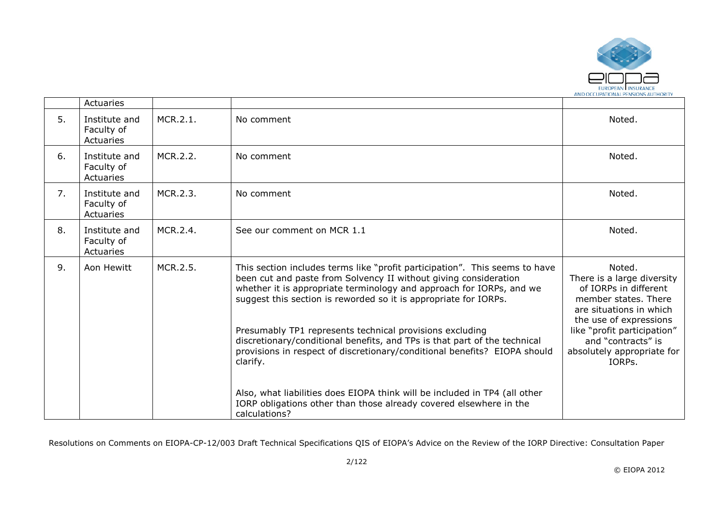

|    | Actuaries                                |          |                                                                                                                                                                                                                                                                                                                                                                                                                                      |                                                                                                                                                                                                 |
|----|------------------------------------------|----------|--------------------------------------------------------------------------------------------------------------------------------------------------------------------------------------------------------------------------------------------------------------------------------------------------------------------------------------------------------------------------------------------------------------------------------------|-------------------------------------------------------------------------------------------------------------------------------------------------------------------------------------------------|
| 5. | Institute and<br>Faculty of<br>Actuaries | MCR.2.1. | No comment                                                                                                                                                                                                                                                                                                                                                                                                                           | Noted.                                                                                                                                                                                          |
| 6. | Institute and<br>Faculty of<br>Actuaries | MCR.2.2. | No comment                                                                                                                                                                                                                                                                                                                                                                                                                           | Noted.                                                                                                                                                                                          |
| 7. | Institute and<br>Faculty of<br>Actuaries | MCR.2.3. | No comment                                                                                                                                                                                                                                                                                                                                                                                                                           | Noted.                                                                                                                                                                                          |
| 8. | Institute and<br>Faculty of<br>Actuaries | MCR.2.4. | See our comment on MCR 1.1                                                                                                                                                                                                                                                                                                                                                                                                           | Noted.                                                                                                                                                                                          |
| 9. | Aon Hewitt                               | MCR.2.5. | This section includes terms like "profit participation". This seems to have<br>been cut and paste from Solvency II without giving consideration<br>whether it is appropriate terminology and approach for IORPs, and we<br>suggest this section is reworded so it is appropriate for IORPs.<br>Presumably TP1 represents technical provisions excluding<br>discretionary/conditional benefits, and TPs is that part of the technical | Noted.<br>There is a large diversity<br>of IORPs in different<br>member states. There<br>are situations in which<br>the use of expressions<br>like "profit participation"<br>and "contracts" is |
|    |                                          |          | provisions in respect of discretionary/conditional benefits? EIOPA should<br>clarify.<br>Also, what liabilities does EIOPA think will be included in TP4 (all other<br>IORP obligations other than those already covered elsewhere in the<br>calculations?                                                                                                                                                                           | absolutely appropriate for<br>IORPs.                                                                                                                                                            |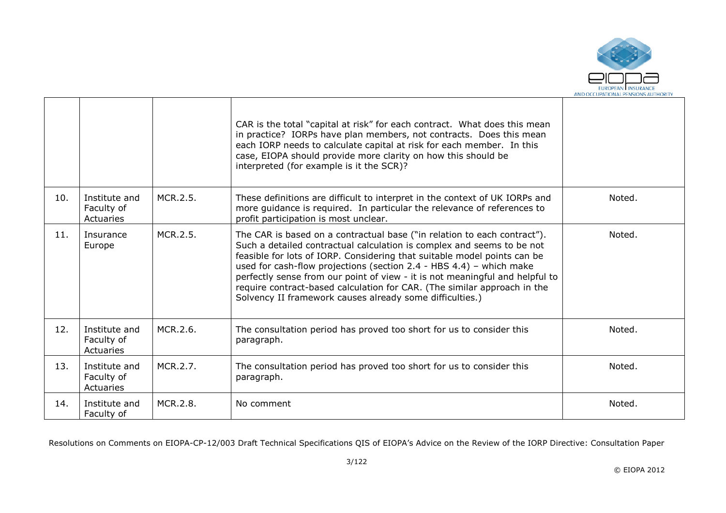

٦

|     |                                          |          | CAR is the total "capital at risk" for each contract. What does this mean<br>in practice? IORPs have plan members, not contracts. Does this mean<br>each IORP needs to calculate capital at risk for each member. In this<br>case, EIOPA should provide more clarity on how this should be<br>interpreted (for example is it the SCR)?                                                                                                                                                                                        |        |
|-----|------------------------------------------|----------|-------------------------------------------------------------------------------------------------------------------------------------------------------------------------------------------------------------------------------------------------------------------------------------------------------------------------------------------------------------------------------------------------------------------------------------------------------------------------------------------------------------------------------|--------|
| 10. | Institute and<br>Faculty of<br>Actuaries | MCR.2.5. | These definitions are difficult to interpret in the context of UK IORPs and<br>more guidance is required. In particular the relevance of references to<br>profit participation is most unclear.                                                                                                                                                                                                                                                                                                                               | Noted. |
| 11. | Insurance<br>Europe                      | MCR.2.5. | The CAR is based on a contractual base ("in relation to each contract").<br>Such a detailed contractual calculation is complex and seems to be not<br>feasible for lots of IORP. Considering that suitable model points can be<br>used for cash-flow projections (section 2.4 - HBS 4.4) - which make<br>perfectly sense from our point of view - it is not meaningful and helpful to<br>require contract-based calculation for CAR. (The similar approach in the<br>Solvency II framework causes already some difficulties.) | Noted. |
| 12. | Institute and<br>Faculty of<br>Actuaries | MCR.2.6. | The consultation period has proved too short for us to consider this<br>paragraph.                                                                                                                                                                                                                                                                                                                                                                                                                                            | Noted. |
| 13. | Institute and<br>Faculty of<br>Actuaries | MCR.2.7. | The consultation period has proved too short for us to consider this<br>paragraph.                                                                                                                                                                                                                                                                                                                                                                                                                                            | Noted. |
| 14. | Institute and<br>Faculty of              | MCR.2.8. | No comment                                                                                                                                                                                                                                                                                                                                                                                                                                                                                                                    | Noted. |

ா

┐

┱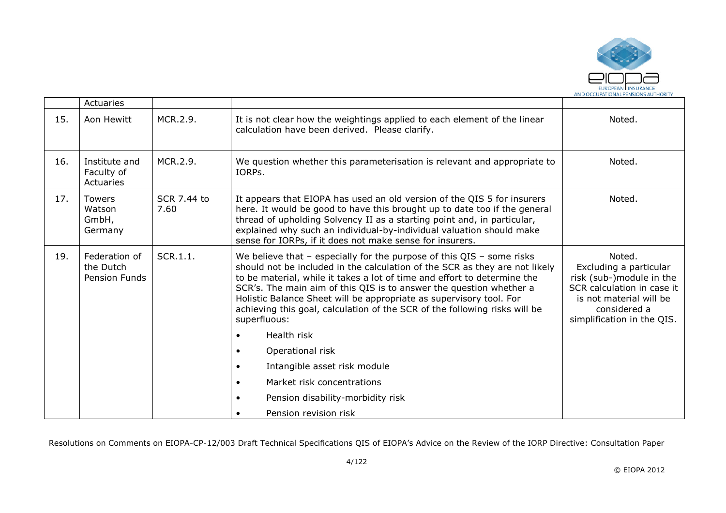

|     | Actuaries                                          |                            |                                                                                                                                                                                                                                                                                                                                                                                                                                                                                                                                                                                            |                                                                                                                                                                     |
|-----|----------------------------------------------------|----------------------------|--------------------------------------------------------------------------------------------------------------------------------------------------------------------------------------------------------------------------------------------------------------------------------------------------------------------------------------------------------------------------------------------------------------------------------------------------------------------------------------------------------------------------------------------------------------------------------------------|---------------------------------------------------------------------------------------------------------------------------------------------------------------------|
| 15. | Aon Hewitt                                         | MCR.2.9.                   | It is not clear how the weightings applied to each element of the linear<br>calculation have been derived. Please clarify.                                                                                                                                                                                                                                                                                                                                                                                                                                                                 | Noted.                                                                                                                                                              |
| 16. | Institute and<br>Faculty of<br>Actuaries           | MCR.2.9.                   | We question whether this parameterisation is relevant and appropriate to<br>IORPs.                                                                                                                                                                                                                                                                                                                                                                                                                                                                                                         | Noted.                                                                                                                                                              |
| 17. | <b>Towers</b><br>Watson<br>GmbH,<br>Germany        | <b>SCR 7.44 to</b><br>7.60 | It appears that EIOPA has used an old version of the QIS 5 for insurers<br>here. It would be good to have this brought up to date too if the general<br>thread of upholding Solvency II as a starting point and, in particular,<br>explained why such an individual-by-individual valuation should make<br>sense for IORPs, if it does not make sense for insurers.                                                                                                                                                                                                                        | Noted.                                                                                                                                                              |
| 19. | Federation of<br>the Dutch<br><b>Pension Funds</b> | SCR.1.1.                   | We believe that $-$ especially for the purpose of this QIS $-$ some risks<br>should not be included in the calculation of the SCR as they are not likely<br>to be material, while it takes a lot of time and effort to determine the<br>SCR's. The main aim of this QIS is to answer the question whether a<br>Holistic Balance Sheet will be appropriate as supervisory tool. For<br>achieving this goal, calculation of the SCR of the following risks will be<br>superfluous:<br>Health risk<br>$\bullet$<br>Operational risk<br>$\bullet$<br>Intangible asset risk module<br>$\bullet$ | Noted.<br>Excluding a particular<br>risk (sub-)module in the<br>SCR calculation in case it<br>is not material will be<br>considered a<br>simplification in the QIS. |
|     |                                                    |                            | Market risk concentrations<br>$\bullet$                                                                                                                                                                                                                                                                                                                                                                                                                                                                                                                                                    |                                                                                                                                                                     |
|     |                                                    |                            | Pension disability-morbidity risk                                                                                                                                                                                                                                                                                                                                                                                                                                                                                                                                                          |                                                                                                                                                                     |
|     |                                                    |                            | Pension revision risk                                                                                                                                                                                                                                                                                                                                                                                                                                                                                                                                                                      |                                                                                                                                                                     |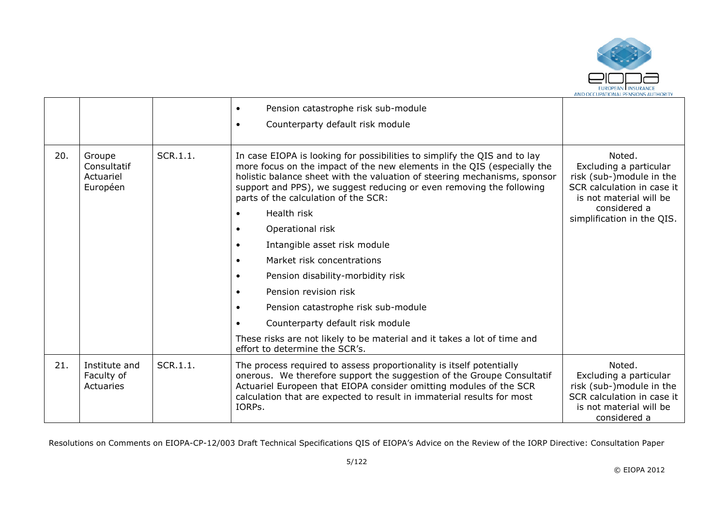

|     |                                                |          | Pension catastrophe risk sub-module<br>$\bullet$<br>Counterparty default risk module<br>$\bullet$                                                                                                                                                                                                                                                                                                                                                                                                                                                                                                                                                                                                                                                                          |                                                                                                                                                                     |
|-----|------------------------------------------------|----------|----------------------------------------------------------------------------------------------------------------------------------------------------------------------------------------------------------------------------------------------------------------------------------------------------------------------------------------------------------------------------------------------------------------------------------------------------------------------------------------------------------------------------------------------------------------------------------------------------------------------------------------------------------------------------------------------------------------------------------------------------------------------------|---------------------------------------------------------------------------------------------------------------------------------------------------------------------|
| 20. | Groupe<br>Consultatif<br>Actuariel<br>Européen | SCR.1.1. | In case EIOPA is looking for possibilities to simplify the QIS and to lay<br>more focus on the impact of the new elements in the QIS (especially the<br>holistic balance sheet with the valuation of steering mechanisms, sponsor<br>support and PPS), we suggest reducing or even removing the following<br>parts of the calculation of the SCR:<br>Health risk<br>Operational risk<br>Intangible asset risk module<br>$\bullet$<br>Market risk concentrations<br>$\bullet$<br>Pension disability-morbidity risk<br>$\bullet$<br>Pension revision risk<br>$\bullet$<br>Pension catastrophe risk sub-module<br>$\bullet$<br>Counterparty default risk module<br>These risks are not likely to be material and it takes a lot of time and<br>effort to determine the SCR's. | Noted.<br>Excluding a particular<br>risk (sub-)module in the<br>SCR calculation in case it<br>is not material will be<br>considered a<br>simplification in the QIS. |
| 21. | Institute and<br>Faculty of<br>Actuaries       | SCR.1.1. | The process required to assess proportionality is itself potentially<br>onerous. We therefore support the suggestion of the Groupe Consultatif<br>Actuariel Europeen that EIOPA consider omitting modules of the SCR<br>calculation that are expected to result in immaterial results for most<br>IORPs.                                                                                                                                                                                                                                                                                                                                                                                                                                                                   | Noted.<br>Excluding a particular<br>risk (sub-)module in the<br>SCR calculation in case it<br>is not material will be<br>considered a                               |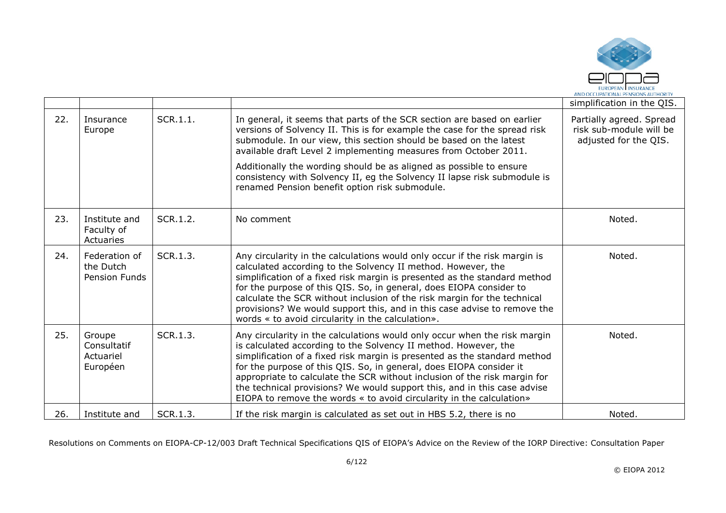

|     |                                                    |          |                                                                                                                                                                                                                                                                                                                                                                                                                                                                                                                                   | simplification in the QIS.                                                   |
|-----|----------------------------------------------------|----------|-----------------------------------------------------------------------------------------------------------------------------------------------------------------------------------------------------------------------------------------------------------------------------------------------------------------------------------------------------------------------------------------------------------------------------------------------------------------------------------------------------------------------------------|------------------------------------------------------------------------------|
| 22. | Insurance<br>Europe                                | SCR.1.1. | In general, it seems that parts of the SCR section are based on earlier<br>versions of Solvency II. This is for example the case for the spread risk<br>submodule. In our view, this section should be based on the latest<br>available draft Level 2 implementing measures from October 2011.<br>Additionally the wording should be as aligned as possible to ensure<br>consistency with Solvency II, eg the Solvency II lapse risk submodule is<br>renamed Pension benefit option risk submodule.                               | Partially agreed. Spread<br>risk sub-module will be<br>adjusted for the QIS. |
| 23. | Institute and<br>Faculty of<br>Actuaries           | SCR.1.2. | No comment                                                                                                                                                                                                                                                                                                                                                                                                                                                                                                                        | Noted.                                                                       |
| 24. | Federation of<br>the Dutch<br><b>Pension Funds</b> | SCR.1.3. | Any circularity in the calculations would only occur if the risk margin is<br>calculated according to the Solvency II method. However, the<br>simplification of a fixed risk margin is presented as the standard method<br>for the purpose of this QIS. So, in general, does EIOPA consider to<br>calculate the SCR without inclusion of the risk margin for the technical<br>provisions? We would support this, and in this case advise to remove the<br>words « to avoid circularity in the calculation».                       | Noted.                                                                       |
| 25. | Groupe<br>Consultatif<br>Actuariel<br>Européen     | SCR.1.3. | Any circularity in the calculations would only occur when the risk margin<br>is calculated according to the Solvency II method. However, the<br>simplification of a fixed risk margin is presented as the standard method<br>for the purpose of this QIS. So, in general, does EIOPA consider it<br>appropriate to calculate the SCR without inclusion of the risk margin for<br>the technical provisions? We would support this, and in this case advise<br>EIOPA to remove the words « to avoid circularity in the calculation» | Noted.                                                                       |
| 26. | Institute and                                      | SCR.1.3. | If the risk margin is calculated as set out in HBS 5.2, there is no                                                                                                                                                                                                                                                                                                                                                                                                                                                               | Noted.                                                                       |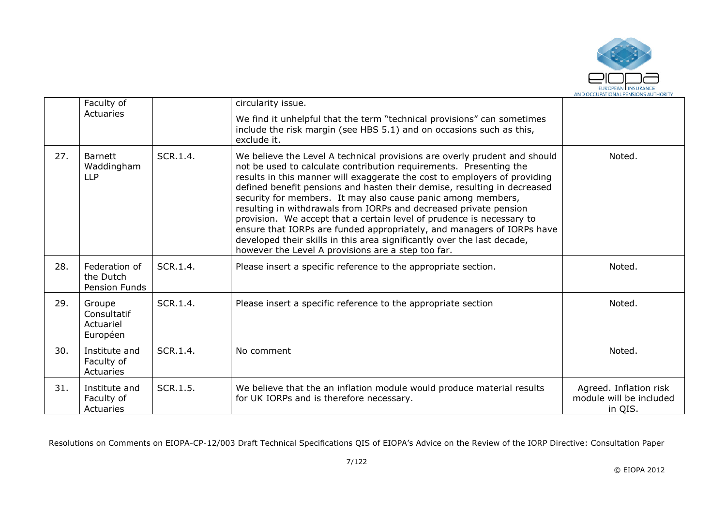

|     | Faculty of                                     |          | circularity issue.                                                                                                                                                                                                                                                                                                                                                                                                                                                                                                                                                                                                                                                                                                                |                                                              |
|-----|------------------------------------------------|----------|-----------------------------------------------------------------------------------------------------------------------------------------------------------------------------------------------------------------------------------------------------------------------------------------------------------------------------------------------------------------------------------------------------------------------------------------------------------------------------------------------------------------------------------------------------------------------------------------------------------------------------------------------------------------------------------------------------------------------------------|--------------------------------------------------------------|
|     | Actuaries                                      |          | We find it unhelpful that the term "technical provisions" can sometimes<br>include the risk margin (see HBS 5.1) and on occasions such as this,<br>exclude it.                                                                                                                                                                                                                                                                                                                                                                                                                                                                                                                                                                    |                                                              |
| 27. | <b>Barnett</b><br>Waddingham<br><b>LLP</b>     | SCR.1.4. | We believe the Level A technical provisions are overly prudent and should<br>not be used to calculate contribution requirements. Presenting the<br>results in this manner will exaggerate the cost to employers of providing<br>defined benefit pensions and hasten their demise, resulting in decreased<br>security for members. It may also cause panic among members,<br>resulting in withdrawals from IORPs and decreased private pension<br>provision. We accept that a certain level of prudence is necessary to<br>ensure that IORPs are funded appropriately, and managers of IORPs have<br>developed their skills in this area significantly over the last decade,<br>however the Level A provisions are a step too far. | Noted.                                                       |
| 28. | Federation of<br>the Dutch<br>Pension Funds    | SCR.1.4. | Please insert a specific reference to the appropriate section.                                                                                                                                                                                                                                                                                                                                                                                                                                                                                                                                                                                                                                                                    | Noted.                                                       |
| 29. | Groupe<br>Consultatif<br>Actuariel<br>Européen | SCR.1.4. | Please insert a specific reference to the appropriate section                                                                                                                                                                                                                                                                                                                                                                                                                                                                                                                                                                                                                                                                     | Noted.                                                       |
| 30. | Institute and<br>Faculty of<br>Actuaries       | SCR.1.4. | No comment                                                                                                                                                                                                                                                                                                                                                                                                                                                                                                                                                                                                                                                                                                                        | Noted.                                                       |
| 31. | Institute and<br>Faculty of<br>Actuaries       | SCR.1.5. | We believe that the an inflation module would produce material results<br>for UK IORPs and is therefore necessary.                                                                                                                                                                                                                                                                                                                                                                                                                                                                                                                                                                                                                | Agreed. Inflation risk<br>module will be included<br>in QIS. |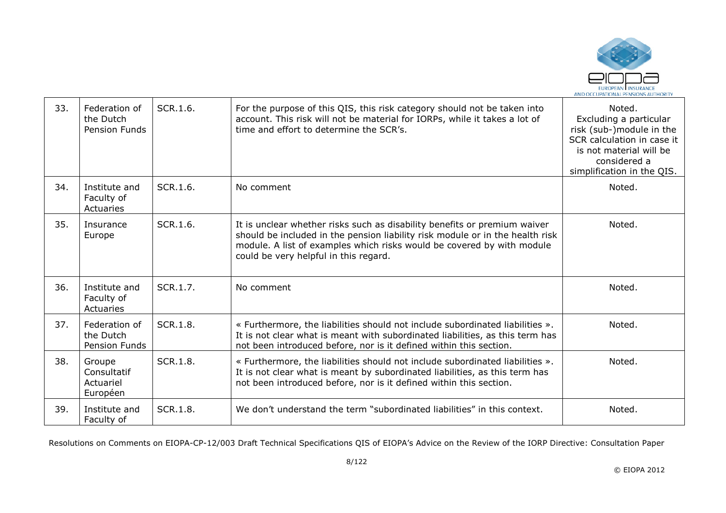

| 33. | Federation of<br>the Dutch<br>Pension Funds    | SCR.1.6.        | For the purpose of this QIS, this risk category should not be taken into<br>account. This risk will not be material for IORPs, while it takes a lot of<br>time and effort to determine the SCR's.                                                                             | Noted.<br>Excluding a particular<br>risk (sub-)module in the<br>SCR calculation in case it<br>is not material will be<br>considered a<br>simplification in the QIS. |
|-----|------------------------------------------------|-----------------|-------------------------------------------------------------------------------------------------------------------------------------------------------------------------------------------------------------------------------------------------------------------------------|---------------------------------------------------------------------------------------------------------------------------------------------------------------------|
| 34. | Institute and<br>Faculty of<br>Actuaries       | SCR.1.6.        | No comment                                                                                                                                                                                                                                                                    | Noted.                                                                                                                                                              |
| 35. | Insurance<br>Europe                            | SCR.1.6.        | It is unclear whether risks such as disability benefits or premium waiver<br>should be included in the pension liability risk module or in the health risk<br>module. A list of examples which risks would be covered by with module<br>could be very helpful in this regard. | Noted.                                                                                                                                                              |
| 36. | Institute and<br>Faculty of<br>Actuaries       | SCR.1.7.        | No comment                                                                                                                                                                                                                                                                    | Noted.                                                                                                                                                              |
| 37. | Federation of<br>the Dutch<br>Pension Funds    | SCR.1.8.        | « Furthermore, the liabilities should not include subordinated liabilities ».<br>It is not clear what is meant with subordinated liabilities, as this term has<br>not been introduced before, nor is it defined within this section.                                          | Noted.                                                                                                                                                              |
| 38. | Groupe<br>Consultatif<br>Actuariel<br>Européen | SCR.1.8.        | « Furthermore, the liabilities should not include subordinated liabilities ».<br>It is not clear what is meant by subordinated liabilities, as this term has<br>not been introduced before, nor is it defined within this section.                                            | Noted.                                                                                                                                                              |
| 39. | Institute and<br>Faculty of                    | <b>SCR.1.8.</b> | We don't understand the term "subordinated liabilities" in this context.                                                                                                                                                                                                      | Noted.                                                                                                                                                              |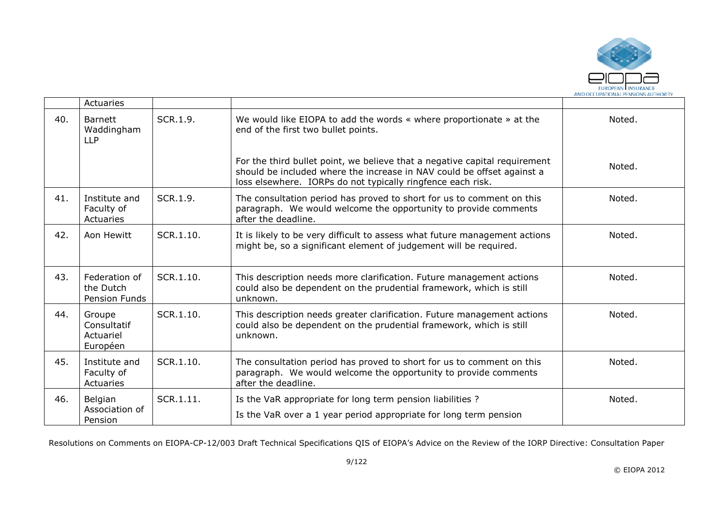

|     | Actuaries                                      |           |                                                                                                                                                                                                                     |        |
|-----|------------------------------------------------|-----------|---------------------------------------------------------------------------------------------------------------------------------------------------------------------------------------------------------------------|--------|
| 40. | <b>Barnett</b><br>Waddingham<br><b>LLP</b>     | SCR.1.9.  | We would like EIOPA to add the words « where proportionate » at the<br>end of the first two bullet points.                                                                                                          | Noted. |
|     |                                                |           | For the third bullet point, we believe that a negative capital requirement<br>should be included where the increase in NAV could be offset against a<br>loss elsewhere. IORPs do not typically ringfence each risk. | Noted. |
| 41. | Institute and<br>Faculty of<br>Actuaries       | SCR.1.9.  | The consultation period has proved to short for us to comment on this<br>paragraph. We would welcome the opportunity to provide comments<br>after the deadline.                                                     | Noted. |
| 42. | Aon Hewitt                                     | SCR.1.10. | It is likely to be very difficult to assess what future management actions<br>might be, so a significant element of judgement will be required.                                                                     | Noted. |
| 43. | Federation of<br>the Dutch<br>Pension Funds    | SCR.1.10. | This description needs more clarification. Future management actions<br>could also be dependent on the prudential framework, which is still<br>unknown.                                                             | Noted. |
| 44. | Groupe<br>Consultatif<br>Actuariel<br>Européen | SCR.1.10. | This description needs greater clarification. Future management actions<br>could also be dependent on the prudential framework, which is still<br>unknown.                                                          | Noted. |
| 45. | Institute and<br>Faculty of<br>Actuaries       | SCR.1.10. | The consultation period has proved to short for us to comment on this<br>paragraph. We would welcome the opportunity to provide comments<br>after the deadline.                                                     | Noted. |
| 46. | Belgian<br>Association of<br>Pension           | SCR.1.11. | Is the VaR appropriate for long term pension liabilities ?<br>Is the VaR over a 1 year period appropriate for long term pension                                                                                     | Noted. |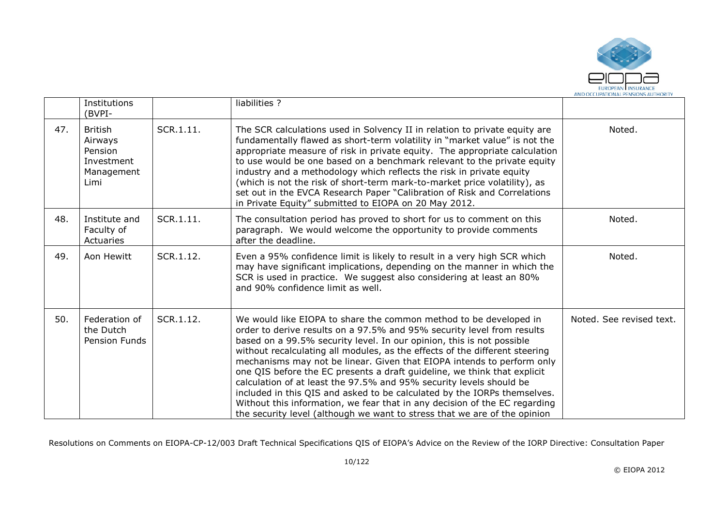

|     | Institutions<br>(BVPI-                                                   |           | liabilities ?                                                                                                                                                                                                                                                                                                                                                                                                                                                                                                                                                                                                                                                                                                                                                           |                          |
|-----|--------------------------------------------------------------------------|-----------|-------------------------------------------------------------------------------------------------------------------------------------------------------------------------------------------------------------------------------------------------------------------------------------------------------------------------------------------------------------------------------------------------------------------------------------------------------------------------------------------------------------------------------------------------------------------------------------------------------------------------------------------------------------------------------------------------------------------------------------------------------------------------|--------------------------|
| 47. | <b>British</b><br>Airways<br>Pension<br>Investment<br>Management<br>Limi | SCR.1.11. | The SCR calculations used in Solvency II in relation to private equity are<br>fundamentally flawed as short-term volatility in "market value" is not the<br>appropriate measure of risk in private equity. The appropriate calculation<br>to use would be one based on a benchmark relevant to the private equity<br>industry and a methodology which reflects the risk in private equity<br>(which is not the risk of short-term mark-to-market price volatility), as<br>set out in the EVCA Research Paper "Calibration of Risk and Correlations<br>in Private Equity" submitted to EIOPA on 20 May 2012.                                                                                                                                                             | Noted.                   |
| 48. | Institute and<br>Faculty of<br>Actuaries                                 | SCR.1.11. | The consultation period has proved to short for us to comment on this<br>paragraph. We would welcome the opportunity to provide comments<br>after the deadline.                                                                                                                                                                                                                                                                                                                                                                                                                                                                                                                                                                                                         | Noted.                   |
| 49. | Aon Hewitt                                                               | SCR.1.12. | Even a 95% confidence limit is likely to result in a very high SCR which<br>may have significant implications, depending on the manner in which the<br>SCR is used in practice. We suggest also considering at least an 80%<br>and 90% confidence limit as well.                                                                                                                                                                                                                                                                                                                                                                                                                                                                                                        | Noted.                   |
| 50. | Federation of<br>the Dutch<br>Pension Funds                              | SCR.1.12. | We would like EIOPA to share the common method to be developed in<br>order to derive results on a 97.5% and 95% security level from results<br>based on a 99.5% security level. In our opinion, this is not possible<br>without recalculating all modules, as the effects of the different steering<br>mechanisms may not be linear. Given that EIOPA intends to perform only<br>one QIS before the EC presents a draft guideline, we think that explicit<br>calculation of at least the 97.5% and 95% security levels should be<br>included in this QIS and asked to be calculated by the IORPs themselves.<br>Without this information, we fear that in any decision of the EC regarding<br>the security level (although we want to stress that we are of the opinion | Noted. See revised text. |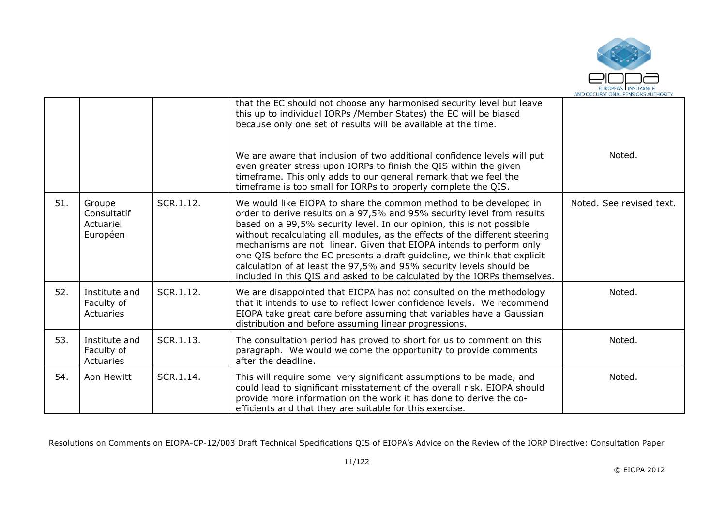

|     |                                                |           | that the EC should not choose any harmonised security level but leave<br>this up to individual IORPs / Member States) the EC will be biased<br>because only one set of results will be available at the time.<br>We are aware that inclusion of two additional confidence levels will put<br>even greater stress upon IORPs to finish the QIS within the given<br>timeframe. This only adds to our general remark that we feel the<br>timeframe is too small for IORPs to properly complete the QIS.                                                                                                      | Noted.                   |
|-----|------------------------------------------------|-----------|-----------------------------------------------------------------------------------------------------------------------------------------------------------------------------------------------------------------------------------------------------------------------------------------------------------------------------------------------------------------------------------------------------------------------------------------------------------------------------------------------------------------------------------------------------------------------------------------------------------|--------------------------|
| 51. | Groupe<br>Consultatif<br>Actuariel<br>Européen | SCR.1.12. | We would like EIOPA to share the common method to be developed in<br>order to derive results on a 97,5% and 95% security level from results<br>based on a 99,5% security level. In our opinion, this is not possible<br>without recalculating all modules, as the effects of the different steering<br>mechanisms are not linear. Given that EIOPA intends to perform only<br>one QIS before the EC presents a draft guideline, we think that explicit<br>calculation of at least the 97,5% and 95% security levels should be<br>included in this QIS and asked to be calculated by the IORPs themselves. | Noted. See revised text. |
| 52. | Institute and<br>Faculty of<br>Actuaries       | SCR.1.12. | We are disappointed that EIOPA has not consulted on the methodology<br>that it intends to use to reflect lower confidence levels. We recommend<br>EIOPA take great care before assuming that variables have a Gaussian<br>distribution and before assuming linear progressions.                                                                                                                                                                                                                                                                                                                           | Noted.                   |
| 53. | Institute and<br>Faculty of<br>Actuaries       | SCR.1.13. | The consultation period has proved to short for us to comment on this<br>paragraph. We would welcome the opportunity to provide comments<br>after the deadline.                                                                                                                                                                                                                                                                                                                                                                                                                                           | Noted.                   |
| 54. | Aon Hewitt                                     | SCR.1.14. | This will require some very significant assumptions to be made, and<br>could lead to significant misstatement of the overall risk. EIOPA should<br>provide more information on the work it has done to derive the co-<br>efficients and that they are suitable for this exercise.                                                                                                                                                                                                                                                                                                                         | Noted.                   |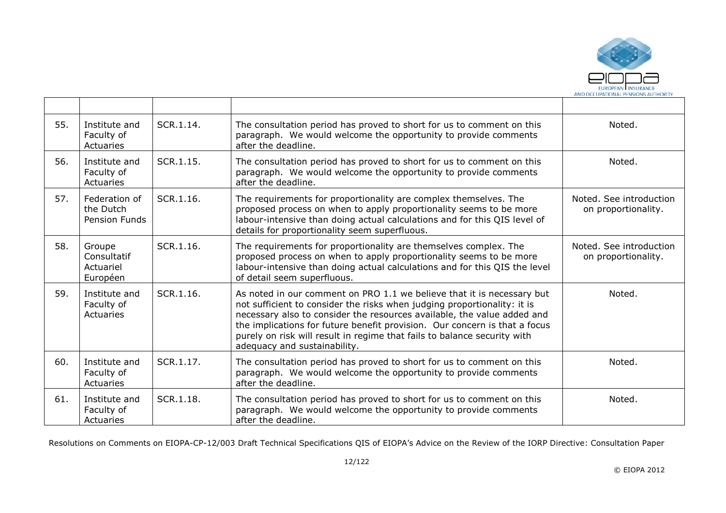

| 55. | Institute and<br>Faculty of<br>Actuaries       | SCR.1.14. | The consultation period has proved to short for us to comment on this<br>paragraph. We would welcome the opportunity to provide comments<br>after the deadline.                                                                                                                                                                                                                                                         | Noted.                                         |
|-----|------------------------------------------------|-----------|-------------------------------------------------------------------------------------------------------------------------------------------------------------------------------------------------------------------------------------------------------------------------------------------------------------------------------------------------------------------------------------------------------------------------|------------------------------------------------|
| 56. | Institute and<br>Faculty of<br>Actuaries       | SCR.1.15. | The consultation period has proved to short for us to comment on this<br>paragraph. We would welcome the opportunity to provide comments<br>after the deadline.                                                                                                                                                                                                                                                         | Noted.                                         |
| 57. | Federation of<br>the Dutch<br>Pension Funds    | SCR.1.16. | The requirements for proportionality are complex themselves. The<br>proposed process on when to apply proportionality seems to be more<br>labour-intensive than doing actual calculations and for this QIS level of<br>details for proportionality seem superfluous.                                                                                                                                                    | Noted. See introduction<br>on proportionality. |
| 58. | Groupe<br>Consultatif<br>Actuariel<br>Européen | SCR.1.16. | The requirements for proportionality are themselves complex. The<br>proposed process on when to apply proportionality seems to be more<br>labour-intensive than doing actual calculations and for this QIS the level<br>of detail seem superfluous.                                                                                                                                                                     | Noted. See introduction<br>on proportionality. |
| 59. | Institute and<br>Faculty of<br>Actuaries       | SCR.1.16. | As noted in our comment on PRO 1.1 we believe that it is necessary but<br>not sufficient to consider the risks when judging proportionality: it is<br>necessary also to consider the resources available, the value added and<br>the implications for future benefit provision. Our concern is that a focus<br>purely on risk will result in regime that fails to balance security with<br>adequacy and sustainability. | Noted.                                         |
| 60. | Institute and<br>Faculty of<br>Actuaries       | SCR.1.17. | The consultation period has proved to short for us to comment on this<br>paragraph. We would welcome the opportunity to provide comments<br>after the deadline.                                                                                                                                                                                                                                                         | Noted.                                         |
| 61. | Institute and<br>Faculty of<br>Actuaries       | SCR.1.18. | The consultation period has proved to short for us to comment on this<br>paragraph. We would welcome the opportunity to provide comments<br>after the deadline.                                                                                                                                                                                                                                                         | Noted.                                         |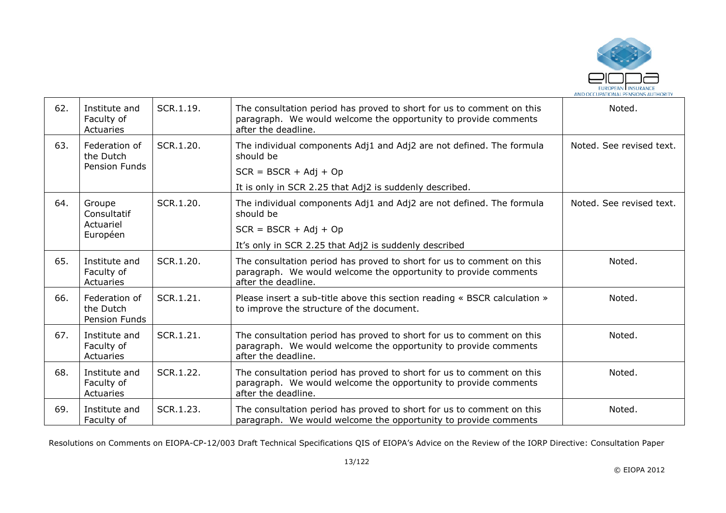

| 62. | Institute and<br>Faculty of<br>Actuaries    | SCR.1.19. | The consultation period has proved to short for us to comment on this<br>paragraph. We would welcome the opportunity to provide comments<br>after the deadline. | Noted.                   |
|-----|---------------------------------------------|-----------|-----------------------------------------------------------------------------------------------------------------------------------------------------------------|--------------------------|
| 63. | Federation of<br>the Dutch                  | SCR.1.20. | The individual components Adj1 and Adj2 are not defined. The formula<br>should be                                                                               | Noted. See revised text. |
|     | Pension Funds                               |           | $SCR = BSCR + Adj + Op$                                                                                                                                         |                          |
|     |                                             |           | It is only in SCR 2.25 that Adj2 is suddenly described.                                                                                                         |                          |
| 64. | Groupe<br>Consultatif                       | SCR.1.20. | The individual components Adj1 and Adj2 are not defined. The formula<br>should be                                                                               | Noted. See revised text. |
|     | Actuariel<br>Européen                       |           | $SCR = BSCR + Adj + Op$                                                                                                                                         |                          |
|     |                                             |           | It's only in SCR 2.25 that Adj2 is suddenly described                                                                                                           |                          |
| 65. | Institute and<br>Faculty of<br>Actuaries    | SCR.1.20. | The consultation period has proved to short for us to comment on this<br>paragraph. We would welcome the opportunity to provide comments<br>after the deadline. | Noted.                   |
| 66. | Federation of<br>the Dutch<br>Pension Funds | SCR.1.21. | Please insert a sub-title above this section reading « BSCR calculation »<br>to improve the structure of the document.                                          | Noted.                   |
| 67. | Institute and<br>Faculty of<br>Actuaries    | SCR.1.21. | The consultation period has proved to short for us to comment on this<br>paragraph. We would welcome the opportunity to provide comments<br>after the deadline. | Noted.                   |
| 68. | Institute and<br>Faculty of<br>Actuaries    | SCR.1.22. | The consultation period has proved to short for us to comment on this<br>paragraph. We would welcome the opportunity to provide comments<br>after the deadline. | Noted.                   |
| 69. | Institute and<br>Faculty of                 | SCR.1.23. | The consultation period has proved to short for us to comment on this<br>paragraph. We would welcome the opportunity to provide comments                        | Noted.                   |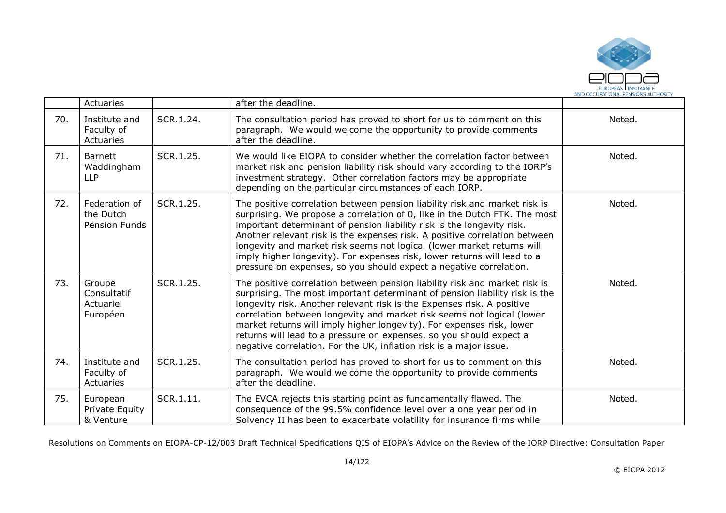

|     | Actuaries                                      |           | after the deadline.                                                                                                                                                                                                                                                                                                                                                                                                                                                                                                                          |        |
|-----|------------------------------------------------|-----------|----------------------------------------------------------------------------------------------------------------------------------------------------------------------------------------------------------------------------------------------------------------------------------------------------------------------------------------------------------------------------------------------------------------------------------------------------------------------------------------------------------------------------------------------|--------|
| 70. | Institute and<br>Faculty of<br>Actuaries       | SCR.1.24. | The consultation period has proved to short for us to comment on this<br>paragraph. We would welcome the opportunity to provide comments<br>after the deadline.                                                                                                                                                                                                                                                                                                                                                                              | Noted. |
| 71. | Barnett<br>Waddingham<br><b>LLP</b>            | SCR.1.25. | We would like EIOPA to consider whether the correlation factor between<br>market risk and pension liability risk should vary according to the IORP's<br>investment strategy. Other correlation factors may be appropriate<br>depending on the particular circumstances of each IORP.                                                                                                                                                                                                                                                         | Noted. |
| 72. | Federation of<br>the Dutch<br>Pension Funds    | SCR.1.25. | The positive correlation between pension liability risk and market risk is<br>surprising. We propose a correlation of 0, like in the Dutch FTK. The most<br>important determinant of pension liability risk is the longevity risk.<br>Another relevant risk is the expenses risk. A positive correlation between<br>longevity and market risk seems not logical (lower market returns will<br>imply higher longevity). For expenses risk, lower returns will lead to a<br>pressure on expenses, so you should expect a negative correlation. | Noted. |
| 73. | Groupe<br>Consultatif<br>Actuariel<br>Européen | SCR.1.25. | The positive correlation between pension liability risk and market risk is<br>surprising. The most important determinant of pension liability risk is the<br>longevity risk. Another relevant risk is the Expenses risk. A positive<br>correlation between longevity and market risk seems not logical (lower<br>market returns will imply higher longevity). For expenses risk, lower<br>returns will lead to a pressure on expenses, so you should expect a<br>negative correlation. For the UK, inflation risk is a major issue.          | Noted. |
| 74. | Institute and<br>Faculty of<br>Actuaries       | SCR.1.25. | The consultation period has proved to short for us to comment on this<br>paragraph. We would welcome the opportunity to provide comments<br>after the deadline.                                                                                                                                                                                                                                                                                                                                                                              | Noted. |
| 75. | European<br>Private Equity<br>& Venture        | SCR.1.11. | The EVCA rejects this starting point as fundamentally flawed. The<br>consequence of the 99.5% confidence level over a one year period in<br>Solvency II has been to exacerbate volatility for insurance firms while                                                                                                                                                                                                                                                                                                                          | Noted. |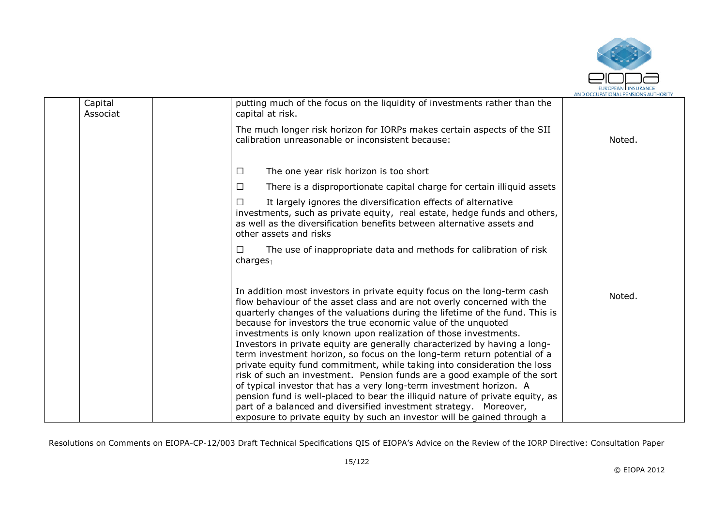

|                                                                                                                                                                                                                                                                                                                                                                                                                                                                                                                                                                                                                                                                                                                                                                                                                                                                                                                        | AND OCCUPATIONAL FENSIONS AUTHONIT                                      |
|------------------------------------------------------------------------------------------------------------------------------------------------------------------------------------------------------------------------------------------------------------------------------------------------------------------------------------------------------------------------------------------------------------------------------------------------------------------------------------------------------------------------------------------------------------------------------------------------------------------------------------------------------------------------------------------------------------------------------------------------------------------------------------------------------------------------------------------------------------------------------------------------------------------------|-------------------------------------------------------------------------|
| putting much of the focus on the liquidity of investments rather than the<br>capital at risk.                                                                                                                                                                                                                                                                                                                                                                                                                                                                                                                                                                                                                                                                                                                                                                                                                          |                                                                         |
| The much longer risk horizon for IORPs makes certain aspects of the SII<br>calibration unreasonable or inconsistent because:                                                                                                                                                                                                                                                                                                                                                                                                                                                                                                                                                                                                                                                                                                                                                                                           | Noted.                                                                  |
| The one year risk horizon is too short<br>$\Box$                                                                                                                                                                                                                                                                                                                                                                                                                                                                                                                                                                                                                                                                                                                                                                                                                                                                       |                                                                         |
| There is a disproportionate capital charge for certain illiquid assets<br>$\Box$                                                                                                                                                                                                                                                                                                                                                                                                                                                                                                                                                                                                                                                                                                                                                                                                                                       |                                                                         |
| It largely ignores the diversification effects of alternative<br>$\perp$<br>investments, such as private equity, real estate, hedge funds and others,<br>as well as the diversification benefits between alternative assets and<br>other assets and risks                                                                                                                                                                                                                                                                                                                                                                                                                                                                                                                                                                                                                                                              |                                                                         |
| The use of inappropriate data and methods for calibration of risk<br>$\perp$<br>charges $_1$                                                                                                                                                                                                                                                                                                                                                                                                                                                                                                                                                                                                                                                                                                                                                                                                                           |                                                                         |
| In addition most investors in private equity focus on the long-term cash<br>flow behaviour of the asset class and are not overly concerned with the<br>quarterly changes of the valuations during the lifetime of the fund. This is<br>because for investors the true economic value of the unquoted<br>investments is only known upon realization of those investments.<br>Investors in private equity are generally characterized by having a long-<br>term investment horizon, so focus on the long-term return potential of a<br>private equity fund commitment, while taking into consideration the loss<br>risk of such an investment. Pension funds are a good example of the sort<br>of typical investor that has a very long-term investment horizon. A<br>pension fund is well-placed to bear the illiquid nature of private equity, as<br>part of a balanced and diversified investment strategy. Moreover, | Noted.                                                                  |
|                                                                                                                                                                                                                                                                                                                                                                                                                                                                                                                                                                                                                                                                                                                                                                                                                                                                                                                        | exposure to private equity by such an investor will be gained through a |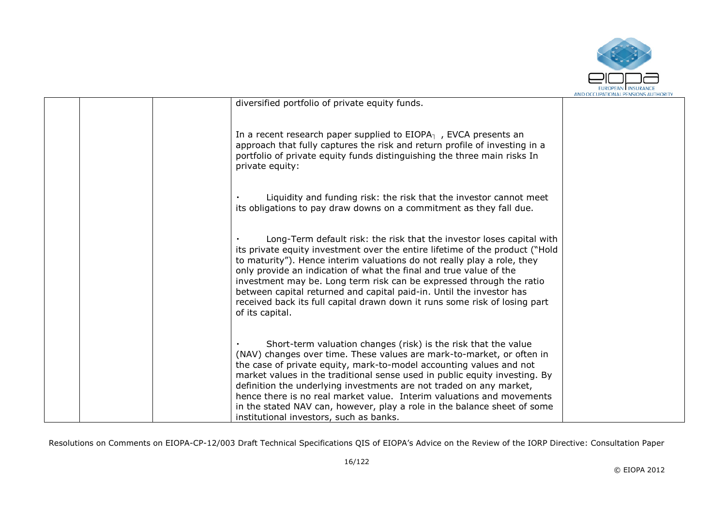

| diversified portfolio of private equity funds.                                                                                                                                                                                                                                                                                                                                                                                                                                                                                                                      |  |
|---------------------------------------------------------------------------------------------------------------------------------------------------------------------------------------------------------------------------------------------------------------------------------------------------------------------------------------------------------------------------------------------------------------------------------------------------------------------------------------------------------------------------------------------------------------------|--|
| In a recent research paper supplied to $EIOPA1$ , EVCA presents an<br>approach that fully captures the risk and return profile of investing in a<br>portfolio of private equity funds distinguishing the three main risks In<br>private equity:                                                                                                                                                                                                                                                                                                                     |  |
| Liquidity and funding risk: the risk that the investor cannot meet<br>its obligations to pay draw downs on a commitment as they fall due.                                                                                                                                                                                                                                                                                                                                                                                                                           |  |
| Long-Term default risk: the risk that the investor loses capital with<br>its private equity investment over the entire lifetime of the product ("Hold<br>to maturity"). Hence interim valuations do not really play a role, they<br>only provide an indication of what the final and true value of the<br>investment may be. Long term risk can be expressed through the ratio<br>between capital returned and capital paid-in. Until the investor has<br>received back its full capital drawn down it runs some risk of losing part<br>of its capital.             |  |
| Short-term valuation changes (risk) is the risk that the value<br>(NAV) changes over time. These values are mark-to-market, or often in<br>the case of private equity, mark-to-model accounting values and not<br>market values in the traditional sense used in public equity investing. By<br>definition the underlying investments are not traded on any market,<br>hence there is no real market value. Interim valuations and movements<br>in the stated NAV can, however, play a role in the balance sheet of some<br>institutional investors, such as banks. |  |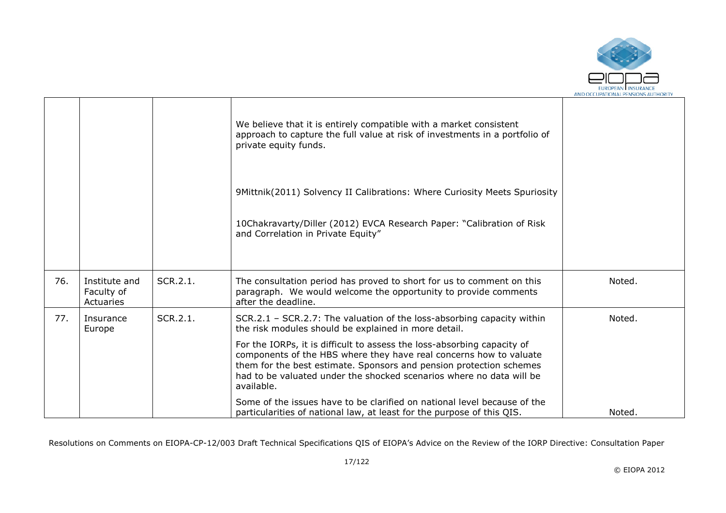

|     |                                          |          | We believe that it is entirely compatible with a market consistent<br>approach to capture the full value at risk of investments in a portfolio of<br>private equity funds.                                                                                                                                 |        |
|-----|------------------------------------------|----------|------------------------------------------------------------------------------------------------------------------------------------------------------------------------------------------------------------------------------------------------------------------------------------------------------------|--------|
|     |                                          |          | 9Mittnik(2011) Solvency II Calibrations: Where Curiosity Meets Spuriosity                                                                                                                                                                                                                                  |        |
|     |                                          |          | 10Chakravarty/Diller (2012) EVCA Research Paper: "Calibration of Risk<br>and Correlation in Private Equity"                                                                                                                                                                                                |        |
| 76. | Institute and<br>Faculty of<br>Actuaries | SCR.2.1. | The consultation period has proved to short for us to comment on this<br>paragraph. We would welcome the opportunity to provide comments<br>after the deadline.                                                                                                                                            | Noted. |
| 77. | Insurance<br>Europe                      | SCR.2.1. | SCR.2.1 - SCR.2.7: The valuation of the loss-absorbing capacity within<br>the risk modules should be explained in more detail.                                                                                                                                                                             | Noted. |
|     |                                          |          | For the IORPs, it is difficult to assess the loss-absorbing capacity of<br>components of the HBS where they have real concerns how to valuate<br>them for the best estimate. Sponsors and pension protection schemes<br>had to be valuated under the shocked scenarios where no data will be<br>available. |        |
|     |                                          |          | Some of the issues have to be clarified on national level because of the<br>particularities of national law, at least for the purpose of this QIS.                                                                                                                                                         | Noted. |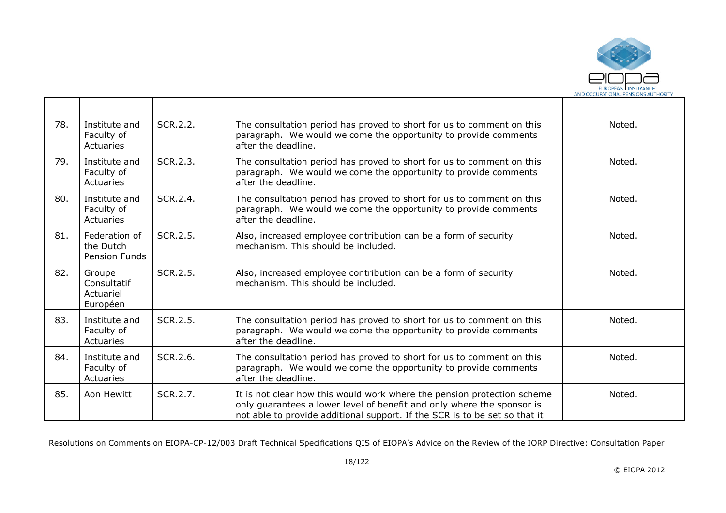

| 78. | Institute and<br>Faculty of<br>Actuaries       | SCR.2.2. | The consultation period has proved to short for us to comment on this<br>paragraph. We would welcome the opportunity to provide comments<br>after the deadline.                                                                 | Noted. |
|-----|------------------------------------------------|----------|---------------------------------------------------------------------------------------------------------------------------------------------------------------------------------------------------------------------------------|--------|
| 79. | Institute and<br>Faculty of<br>Actuaries       | SCR.2.3. | The consultation period has proved to short for us to comment on this<br>paragraph. We would welcome the opportunity to provide comments<br>after the deadline.                                                                 | Noted. |
| 80. | Institute and<br>Faculty of<br>Actuaries       | SCR.2.4. | The consultation period has proved to short for us to comment on this<br>paragraph. We would welcome the opportunity to provide comments<br>after the deadline.                                                                 | Noted. |
| 81. | Federation of<br>the Dutch<br>Pension Funds    | SCR.2.5. | Also, increased employee contribution can be a form of security<br>mechanism. This should be included.                                                                                                                          | Noted. |
| 82. | Groupe<br>Consultatif<br>Actuariel<br>Européen | SCR.2.5. | Also, increased employee contribution can be a form of security<br>mechanism. This should be included.                                                                                                                          | Noted. |
| 83. | Institute and<br>Faculty of<br>Actuaries       | SCR.2.5. | The consultation period has proved to short for us to comment on this<br>paragraph. We would welcome the opportunity to provide comments<br>after the deadline.                                                                 | Noted. |
| 84. | Institute and<br>Faculty of<br>Actuaries       | SCR.2.6. | The consultation period has proved to short for us to comment on this<br>paragraph. We would welcome the opportunity to provide comments<br>after the deadline.                                                                 | Noted. |
| 85. | Aon Hewitt                                     | SCR.2.7. | It is not clear how this would work where the pension protection scheme<br>only guarantees a lower level of benefit and only where the sponsor is<br>not able to provide additional support. If the SCR is to be set so that it | Noted. |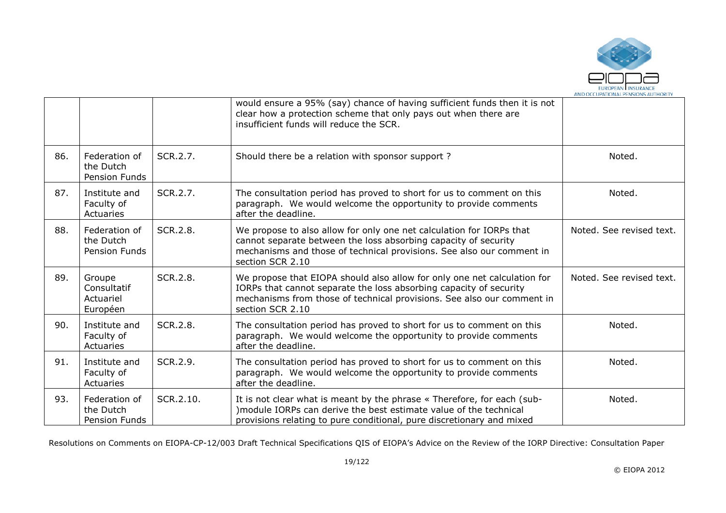

|     |                                                    |           | would ensure a 95% (say) chance of having sufficient funds then it is not<br>clear how a protection scheme that only pays out when there are<br>insufficient funds will reduce the SCR.                                                      |                          |
|-----|----------------------------------------------------|-----------|----------------------------------------------------------------------------------------------------------------------------------------------------------------------------------------------------------------------------------------------|--------------------------|
| 86. | Federation of<br>the Dutch<br><b>Pension Funds</b> | SCR.2.7.  | Should there be a relation with sponsor support?                                                                                                                                                                                             | Noted.                   |
| 87. | Institute and<br>Faculty of<br>Actuaries           | SCR.2.7.  | The consultation period has proved to short for us to comment on this<br>paragraph. We would welcome the opportunity to provide comments<br>after the deadline.                                                                              | Noted.                   |
| 88. | Federation of<br>the Dutch<br>Pension Funds        | SCR.2.8.  | We propose to also allow for only one net calculation for IORPs that<br>cannot separate between the loss absorbing capacity of security<br>mechanisms and those of technical provisions. See also our comment in<br>section SCR 2.10         | Noted. See revised text. |
| 89. | Groupe<br>Consultatif<br>Actuariel<br>Européen     | SCR.2.8.  | We propose that EIOPA should also allow for only one net calculation for<br>IORPs that cannot separate the loss absorbing capacity of security<br>mechanisms from those of technical provisions. See also our comment in<br>section SCR 2.10 | Noted. See revised text. |
| 90. | Institute and<br>Faculty of<br>Actuaries           | SCR.2.8.  | The consultation period has proved to short for us to comment on this<br>paragraph. We would welcome the opportunity to provide comments<br>after the deadline.                                                                              | Noted.                   |
| 91. | Institute and<br>Faculty of<br>Actuaries           | SCR.2.9.  | The consultation period has proved to short for us to comment on this<br>paragraph. We would welcome the opportunity to provide comments<br>after the deadline.                                                                              | Noted.                   |
| 93. | Federation of<br>the Dutch<br>Pension Funds        | SCR.2.10. | It is not clear what is meant by the phrase « Therefore, for each (sub-<br>)module IORPs can derive the best estimate value of the technical<br>provisions relating to pure conditional, pure discretionary and mixed                        | Noted.                   |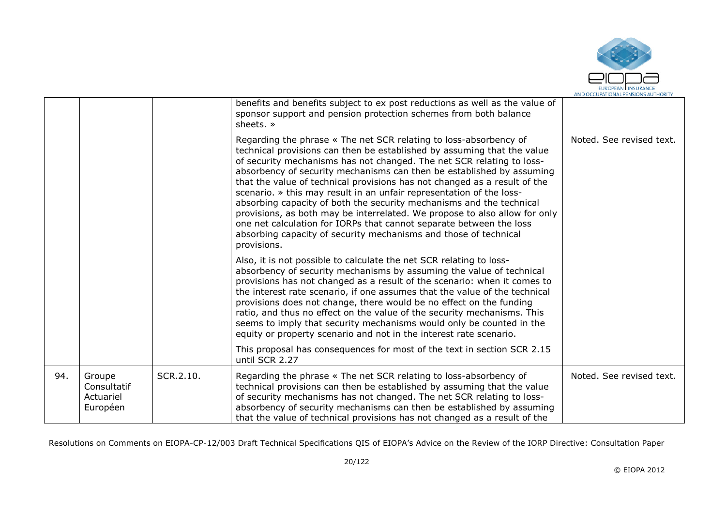

|     |                                                |           | benefits and benefits subject to ex post reductions as well as the value of<br>sponsor support and pension protection schemes from both balance<br>sheets. »                                                                                                                                                                                                                                                                                                                                                                                                                                                                                                                                                                                                        |                          |
|-----|------------------------------------------------|-----------|---------------------------------------------------------------------------------------------------------------------------------------------------------------------------------------------------------------------------------------------------------------------------------------------------------------------------------------------------------------------------------------------------------------------------------------------------------------------------------------------------------------------------------------------------------------------------------------------------------------------------------------------------------------------------------------------------------------------------------------------------------------------|--------------------------|
|     |                                                |           | Regarding the phrase « The net SCR relating to loss-absorbency of<br>technical provisions can then be established by assuming that the value<br>of security mechanisms has not changed. The net SCR relating to loss-<br>absorbency of security mechanisms can then be established by assuming<br>that the value of technical provisions has not changed as a result of the<br>scenario. » this may result in an unfair representation of the loss-<br>absorbing capacity of both the security mechanisms and the technical<br>provisions, as both may be interrelated. We propose to also allow for only<br>one net calculation for IORPs that cannot separate between the loss<br>absorbing capacity of security mechanisms and those of technical<br>provisions. | Noted. See revised text. |
|     |                                                |           | Also, it is not possible to calculate the net SCR relating to loss-<br>absorbency of security mechanisms by assuming the value of technical<br>provisions has not changed as a result of the scenario: when it comes to<br>the interest rate scenario, if one assumes that the value of the technical<br>provisions does not change, there would be no effect on the funding<br>ratio, and thus no effect on the value of the security mechanisms. This<br>seems to imply that security mechanisms would only be counted in the<br>equity or property scenario and not in the interest rate scenario.                                                                                                                                                               |                          |
|     |                                                |           | This proposal has consequences for most of the text in section SCR 2.15<br>until SCR 2.27                                                                                                                                                                                                                                                                                                                                                                                                                                                                                                                                                                                                                                                                           |                          |
| 94. | Groupe<br>Consultatif<br>Actuariel<br>Européen | SCR.2.10. | Regarding the phrase « The net SCR relating to loss-absorbency of<br>technical provisions can then be established by assuming that the value<br>of security mechanisms has not changed. The net SCR relating to loss-<br>absorbency of security mechanisms can then be established by assuming<br>that the value of technical provisions has not changed as a result of the                                                                                                                                                                                                                                                                                                                                                                                         | Noted. See revised text. |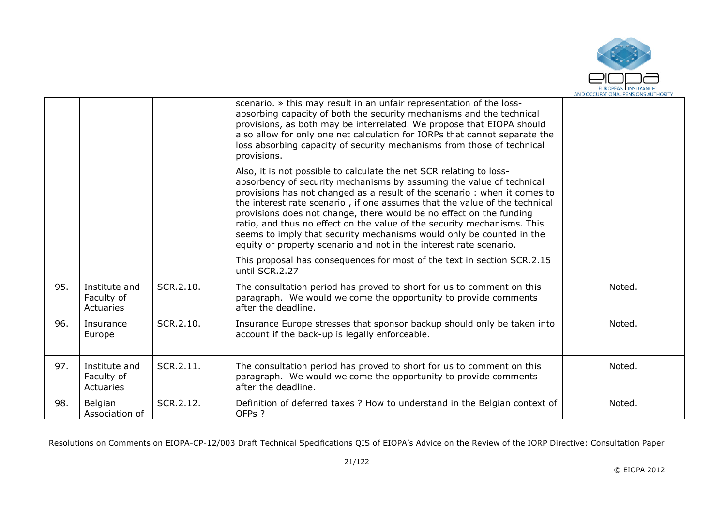

|     |                                          |           | scenario. » this may result in an unfair representation of the loss-<br>absorbing capacity of both the security mechanisms and the technical<br>provisions, as both may be interrelated. We propose that EIOPA should<br>also allow for only one net calculation for IORPs that cannot separate the<br>loss absorbing capacity of security mechanisms from those of technical<br>provisions.                                                                                                                                                                                                          |        |
|-----|------------------------------------------|-----------|-------------------------------------------------------------------------------------------------------------------------------------------------------------------------------------------------------------------------------------------------------------------------------------------------------------------------------------------------------------------------------------------------------------------------------------------------------------------------------------------------------------------------------------------------------------------------------------------------------|--------|
|     |                                          |           | Also, it is not possible to calculate the net SCR relating to loss-<br>absorbency of security mechanisms by assuming the value of technical<br>provisions has not changed as a result of the scenario: when it comes to<br>the interest rate scenario, if one assumes that the value of the technical<br>provisions does not change, there would be no effect on the funding<br>ratio, and thus no effect on the value of the security mechanisms. This<br>seems to imply that security mechanisms would only be counted in the<br>equity or property scenario and not in the interest rate scenario. |        |
|     |                                          |           | This proposal has consequences for most of the text in section SCR.2.15<br>until SCR.2.27                                                                                                                                                                                                                                                                                                                                                                                                                                                                                                             |        |
| 95. | Institute and<br>Faculty of<br>Actuaries | SCR.2.10. | The consultation period has proved to short for us to comment on this<br>paragraph. We would welcome the opportunity to provide comments<br>after the deadline.                                                                                                                                                                                                                                                                                                                                                                                                                                       | Noted. |
| 96. | Insurance<br>Europe                      | SCR.2.10. | Insurance Europe stresses that sponsor backup should only be taken into<br>account if the back-up is legally enforceable.                                                                                                                                                                                                                                                                                                                                                                                                                                                                             | Noted. |
| 97. | Institute and<br>Faculty of<br>Actuaries | SCR.2.11. | The consultation period has proved to short for us to comment on this<br>paragraph. We would welcome the opportunity to provide comments<br>after the deadline.                                                                                                                                                                                                                                                                                                                                                                                                                                       | Noted. |
| 98. | Belgian<br>Association of                | SCR.2.12. | Definition of deferred taxes ? How to understand in the Belgian context of<br>OFPs ?                                                                                                                                                                                                                                                                                                                                                                                                                                                                                                                  | Noted. |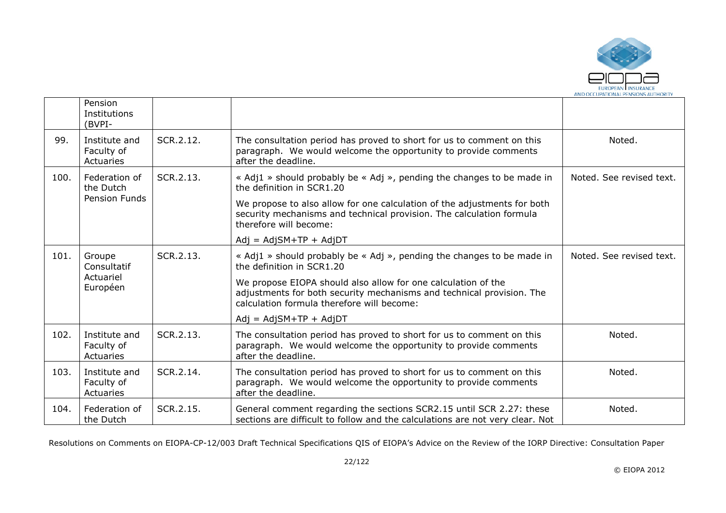

|      | Pension<br>Institutions<br>(BVPI-                  |           |                                                                                                                                                                                      |                          |
|------|----------------------------------------------------|-----------|--------------------------------------------------------------------------------------------------------------------------------------------------------------------------------------|--------------------------|
| 99.  | Institute and<br>Faculty of<br>Actuaries           | SCR.2.12. | The consultation period has proved to short for us to comment on this<br>paragraph. We would welcome the opportunity to provide comments<br>after the deadline.                      | Noted.                   |
| 100. | Federation of<br>the Dutch<br><b>Pension Funds</b> | SCR.2.13. | « Adj1 » should probably be « Adj », pending the changes to be made in<br>the definition in SCR1.20<br>We propose to also allow for one calculation of the adjustments for both      | Noted. See revised text. |
|      |                                                    |           | security mechanisms and technical provision. The calculation formula<br>therefore will become:                                                                                       |                          |
|      |                                                    |           | $Adj = AdjSM+TP + AdjDT$                                                                                                                                                             |                          |
| 101. | Groupe<br>Consultatif                              | SCR.2.13. | « Adj1 » should probably be « Adj », pending the changes to be made in<br>the definition in SCR1.20                                                                                  | Noted. See revised text. |
|      | Actuariel<br>Européen                              |           | We propose EIOPA should also allow for one calculation of the<br>adjustments for both security mechanisms and technical provision. The<br>calculation formula therefore will become: |                          |
|      |                                                    |           | $Adj = AdjSM+TP + AdjDT$                                                                                                                                                             |                          |
| 102. | Institute and<br>Faculty of<br>Actuaries           | SCR.2.13. | The consultation period has proved to short for us to comment on this<br>paragraph. We would welcome the opportunity to provide comments<br>after the deadline.                      | Noted.                   |
| 103. | Institute and<br>Faculty of<br>Actuaries           | SCR.2.14. | The consultation period has proved to short for us to comment on this<br>paragraph. We would welcome the opportunity to provide comments<br>after the deadline.                      | Noted.                   |
| 104. | Federation of<br>the Dutch                         | SCR.2.15. | General comment regarding the sections SCR2.15 until SCR 2.27: these<br>sections are difficult to follow and the calculations are not very clear. Not                                | Noted.                   |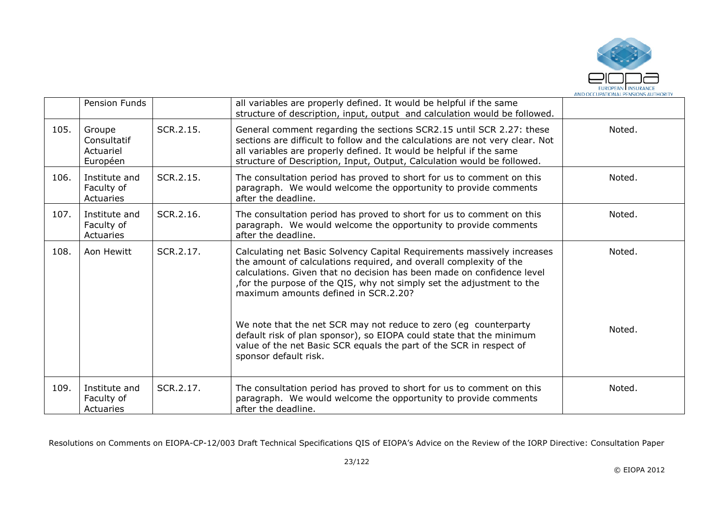

|      | Pension Funds                                  |           | all variables are properly defined. It would be helpful if the same<br>structure of description, input, output and calculation would be followed.                                                                                                                                                                                       |        |
|------|------------------------------------------------|-----------|-----------------------------------------------------------------------------------------------------------------------------------------------------------------------------------------------------------------------------------------------------------------------------------------------------------------------------------------|--------|
| 105. | Groupe<br>Consultatif<br>Actuariel<br>Européen | SCR.2.15. | General comment regarding the sections SCR2.15 until SCR 2.27: these<br>sections are difficult to follow and the calculations are not very clear. Not<br>all variables are properly defined. It would be helpful if the same<br>structure of Description, Input, Output, Calculation would be followed.                                 | Noted. |
| 106. | Institute and<br>Faculty of<br>Actuaries       | SCR.2.15. | The consultation period has proved to short for us to comment on this<br>paragraph. We would welcome the opportunity to provide comments<br>after the deadline.                                                                                                                                                                         | Noted. |
| 107. | Institute and<br>Faculty of<br>Actuaries       | SCR.2.16. | The consultation period has proved to short for us to comment on this<br>paragraph. We would welcome the opportunity to provide comments<br>after the deadline.                                                                                                                                                                         | Noted. |
| 108. | Aon Hewitt                                     | SCR.2.17. | Calculating net Basic Solvency Capital Requirements massively increases<br>the amount of calculations required, and overall complexity of the<br>calculations. Given that no decision has been made on confidence level<br>for the purpose of the QIS, why not simply set the adjustment to the<br>maximum amounts defined in SCR.2.20? | Noted. |
|      |                                                |           | We note that the net SCR may not reduce to zero (eg counterparty<br>default risk of plan sponsor), so EIOPA could state that the minimum<br>value of the net Basic SCR equals the part of the SCR in respect of<br>sponsor default risk.                                                                                                | Noted. |
| 109. | Institute and<br>Faculty of<br>Actuaries       | SCR.2.17. | The consultation period has proved to short for us to comment on this<br>paragraph. We would welcome the opportunity to provide comments<br>after the deadline.                                                                                                                                                                         | Noted. |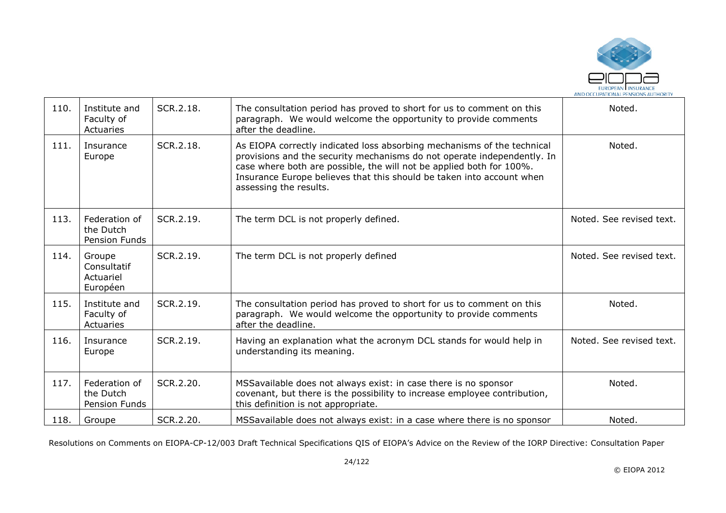

| 110. | Institute and<br>Faculty of<br>Actuaries           | SCR.2.18. | The consultation period has proved to short for us to comment on this<br>paragraph. We would welcome the opportunity to provide comments<br>after the deadline.                                                                                                                                                               | Noted.                   |
|------|----------------------------------------------------|-----------|-------------------------------------------------------------------------------------------------------------------------------------------------------------------------------------------------------------------------------------------------------------------------------------------------------------------------------|--------------------------|
| 111. | Insurance<br>Europe                                | SCR.2.18. | As EIOPA correctly indicated loss absorbing mechanisms of the technical<br>provisions and the security mechanisms do not operate independently. In<br>case where both are possible, the will not be applied both for 100%.<br>Insurance Europe believes that this should be taken into account when<br>assessing the results. | Noted.                   |
| 113. | Federation of<br>the Dutch<br>Pension Funds        | SCR.2.19. | The term DCL is not properly defined.                                                                                                                                                                                                                                                                                         | Noted. See revised text. |
| 114. | Groupe<br>Consultatif<br>Actuariel<br>Européen     | SCR.2.19. | The term DCL is not properly defined                                                                                                                                                                                                                                                                                          | Noted. See revised text. |
| 115. | Institute and<br>Faculty of<br>Actuaries           | SCR.2.19. | The consultation period has proved to short for us to comment on this<br>paragraph. We would welcome the opportunity to provide comments<br>after the deadline.                                                                                                                                                               | Noted.                   |
| 116. | Insurance<br>Europe                                | SCR.2.19. | Having an explanation what the acronym DCL stands for would help in<br>understanding its meaning.                                                                                                                                                                                                                             | Noted. See revised text. |
| 117. | Federation of<br>the Dutch<br><b>Pension Funds</b> | SCR.2.20. | MSSavailable does not always exist: in case there is no sponsor<br>covenant, but there is the possibility to increase employee contribution,<br>this definition is not appropriate.                                                                                                                                           | Noted.                   |
| 118. | Groupe                                             | SCR.2.20. | MSSavailable does not always exist: in a case where there is no sponsor                                                                                                                                                                                                                                                       | Noted.                   |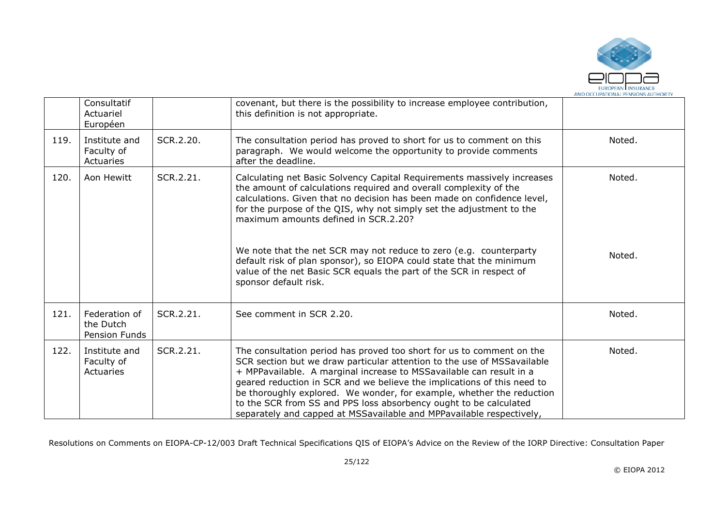

|      | Consultatif<br>Actuariel<br>Européen               |           | covenant, but there is the possibility to increase employee contribution,<br>this definition is not appropriate.                                                                                                                                                                                                                                                                                                                                                                                                         |        |
|------|----------------------------------------------------|-----------|--------------------------------------------------------------------------------------------------------------------------------------------------------------------------------------------------------------------------------------------------------------------------------------------------------------------------------------------------------------------------------------------------------------------------------------------------------------------------------------------------------------------------|--------|
| 119. | Institute and<br>Faculty of<br>Actuaries           | SCR.2.20. | The consultation period has proved to short for us to comment on this<br>paragraph. We would welcome the opportunity to provide comments<br>after the deadline.                                                                                                                                                                                                                                                                                                                                                          | Noted. |
| 120. | Aon Hewitt                                         | SCR.2.21. | Calculating net Basic Solvency Capital Requirements massively increases<br>the amount of calculations required and overall complexity of the<br>calculations. Given that no decision has been made on confidence level,<br>for the purpose of the QIS, why not simply set the adjustment to the<br>maximum amounts defined in SCR.2.20?                                                                                                                                                                                  | Noted. |
|      |                                                    |           | We note that the net SCR may not reduce to zero (e.g. counterparty<br>default risk of plan sponsor), so EIOPA could state that the minimum<br>value of the net Basic SCR equals the part of the SCR in respect of<br>sponsor default risk.                                                                                                                                                                                                                                                                               | Noted. |
| 121. | Federation of<br>the Dutch<br><b>Pension Funds</b> | SCR.2.21. | See comment in SCR 2.20.                                                                                                                                                                                                                                                                                                                                                                                                                                                                                                 | Noted. |
| 122. | Institute and<br>Faculty of<br>Actuaries           | SCR.2.21. | The consultation period has proved too short for us to comment on the<br>SCR section but we draw particular attention to the use of MSSavailable<br>+ MPPavailable. A marginal increase to MSSavailable can result in a<br>geared reduction in SCR and we believe the implications of this need to<br>be thoroughly explored. We wonder, for example, whether the reduction<br>to the SCR from SS and PPS loss absorbency ought to be calculated<br>separately and capped at MSSavailable and MPPavailable respectively, | Noted. |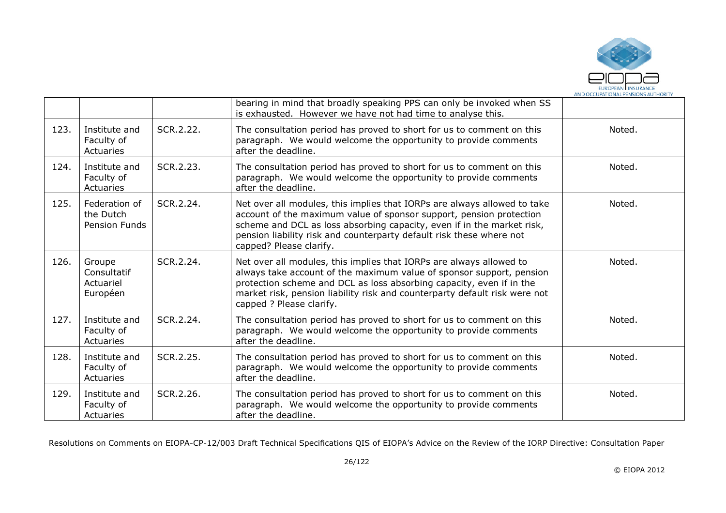

|      |                                                    |           | bearing in mind that broadly speaking PPS can only be invoked when SS<br>is exhausted. However we have not had time to analyse this.                                                                                                                                                                                          |        |
|------|----------------------------------------------------|-----------|-------------------------------------------------------------------------------------------------------------------------------------------------------------------------------------------------------------------------------------------------------------------------------------------------------------------------------|--------|
| 123. | Institute and<br>Faculty of<br>Actuaries           | SCR.2.22. | The consultation period has proved to short for us to comment on this<br>paragraph. We would welcome the opportunity to provide comments<br>after the deadline.                                                                                                                                                               | Noted. |
| 124. | Institute and<br>Faculty of<br>Actuaries           | SCR.2.23. | The consultation period has proved to short for us to comment on this<br>paragraph. We would welcome the opportunity to provide comments<br>after the deadline.                                                                                                                                                               | Noted. |
| 125. | Federation of<br>the Dutch<br><b>Pension Funds</b> | SCR.2.24. | Net over all modules, this implies that IORPs are always allowed to take<br>account of the maximum value of sponsor support, pension protection<br>scheme and DCL as loss absorbing capacity, even if in the market risk,<br>pension liability risk and counterparty default risk these where not<br>capped? Please clarify.  | Noted. |
| 126. | Groupe<br>Consultatif<br>Actuariel<br>Européen     | SCR.2.24. | Net over all modules, this implies that IORPs are always allowed to<br>always take account of the maximum value of sponsor support, pension<br>protection scheme and DCL as loss absorbing capacity, even if in the<br>market risk, pension liability risk and counterparty default risk were not<br>capped ? Please clarify. | Noted. |
| 127. | Institute and<br>Faculty of<br>Actuaries           | SCR.2.24. | The consultation period has proved to short for us to comment on this<br>paragraph. We would welcome the opportunity to provide comments<br>after the deadline.                                                                                                                                                               | Noted. |
| 128. | Institute and<br>Faculty of<br>Actuaries           | SCR.2.25. | The consultation period has proved to short for us to comment on this<br>paragraph. We would welcome the opportunity to provide comments<br>after the deadline.                                                                                                                                                               | Noted. |
| 129. | Institute and<br>Faculty of<br>Actuaries           | SCR.2.26. | The consultation period has proved to short for us to comment on this<br>paragraph. We would welcome the opportunity to provide comments<br>after the deadline.                                                                                                                                                               | Noted. |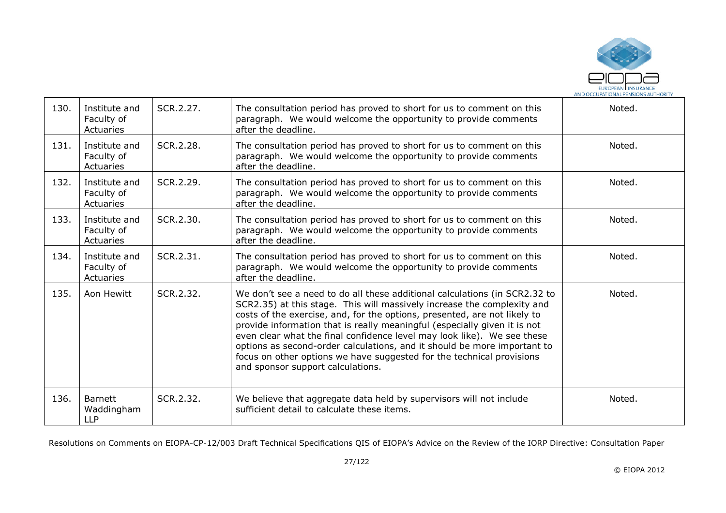

| 130. | Institute and<br>Faculty of<br>Actuaries   | SCR.2.27. | The consultation period has proved to short for us to comment on this<br>paragraph. We would welcome the opportunity to provide comments<br>after the deadline.                                                                                                                                                                                                                                                                                                                                                                                                                      | Noted. |
|------|--------------------------------------------|-----------|--------------------------------------------------------------------------------------------------------------------------------------------------------------------------------------------------------------------------------------------------------------------------------------------------------------------------------------------------------------------------------------------------------------------------------------------------------------------------------------------------------------------------------------------------------------------------------------|--------|
| 131. | Institute and<br>Faculty of<br>Actuaries   | SCR.2.28. | The consultation period has proved to short for us to comment on this<br>paragraph. We would welcome the opportunity to provide comments<br>after the deadline.                                                                                                                                                                                                                                                                                                                                                                                                                      | Noted. |
| 132. | Institute and<br>Faculty of<br>Actuaries   | SCR.2.29. | The consultation period has proved to short for us to comment on this<br>paragraph. We would welcome the opportunity to provide comments<br>after the deadline.                                                                                                                                                                                                                                                                                                                                                                                                                      | Noted. |
| 133. | Institute and<br>Faculty of<br>Actuaries   | SCR.2.30. | The consultation period has proved to short for us to comment on this<br>paragraph. We would welcome the opportunity to provide comments<br>after the deadline.                                                                                                                                                                                                                                                                                                                                                                                                                      | Noted. |
| 134. | Institute and<br>Faculty of<br>Actuaries   | SCR.2.31. | The consultation period has proved to short for us to comment on this<br>paragraph. We would welcome the opportunity to provide comments<br>after the deadline.                                                                                                                                                                                                                                                                                                                                                                                                                      | Noted. |
| 135. | Aon Hewitt                                 | SCR.2.32. | We don't see a need to do all these additional calculations (in SCR2.32 to<br>SCR2.35) at this stage. This will massively increase the complexity and<br>costs of the exercise, and, for the options, presented, are not likely to<br>provide information that is really meaningful (especially given it is not<br>even clear what the final confidence level may look like). We see these<br>options as second-order calculations, and it should be more important to<br>focus on other options we have suggested for the technical provisions<br>and sponsor support calculations. | Noted. |
| 136. | <b>Barnett</b><br>Waddingham<br><b>LLP</b> | SCR.2.32. | We believe that aggregate data held by supervisors will not include<br>sufficient detail to calculate these items.                                                                                                                                                                                                                                                                                                                                                                                                                                                                   | Noted. |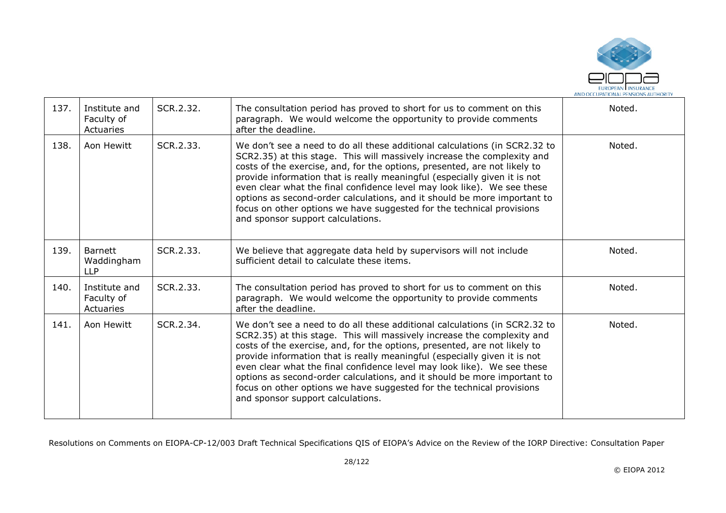

| 137. | Institute and<br>Faculty of<br>Actuaries   | SCR.2.32. | The consultation period has proved to short for us to comment on this<br>paragraph. We would welcome the opportunity to provide comments<br>after the deadline.                                                                                                                                                                                                                                                                                                                                                                                                                      | Noted. |
|------|--------------------------------------------|-----------|--------------------------------------------------------------------------------------------------------------------------------------------------------------------------------------------------------------------------------------------------------------------------------------------------------------------------------------------------------------------------------------------------------------------------------------------------------------------------------------------------------------------------------------------------------------------------------------|--------|
| 138. | Aon Hewitt                                 | SCR.2.33. | We don't see a need to do all these additional calculations (in SCR2.32 to<br>SCR2.35) at this stage. This will massively increase the complexity and<br>costs of the exercise, and, for the options, presented, are not likely to<br>provide information that is really meaningful (especially given it is not<br>even clear what the final confidence level may look like). We see these<br>options as second-order calculations, and it should be more important to<br>focus on other options we have suggested for the technical provisions<br>and sponsor support calculations. | Noted. |
| 139. | <b>Barnett</b><br>Waddingham<br><b>LLP</b> | SCR.2.33. | We believe that aggregate data held by supervisors will not include<br>sufficient detail to calculate these items.                                                                                                                                                                                                                                                                                                                                                                                                                                                                   | Noted. |
| 140. | Institute and<br>Faculty of<br>Actuaries   | SCR.2.33. | The consultation period has proved to short for us to comment on this<br>paragraph. We would welcome the opportunity to provide comments<br>after the deadline.                                                                                                                                                                                                                                                                                                                                                                                                                      | Noted. |
| 141. | Aon Hewitt                                 | SCR.2.34. | We don't see a need to do all these additional calculations (in SCR2.32 to<br>SCR2.35) at this stage. This will massively increase the complexity and<br>costs of the exercise, and, for the options, presented, are not likely to<br>provide information that is really meaningful (especially given it is not<br>even clear what the final confidence level may look like). We see these<br>options as second-order calculations, and it should be more important to<br>focus on other options we have suggested for the technical provisions<br>and sponsor support calculations. | Noted. |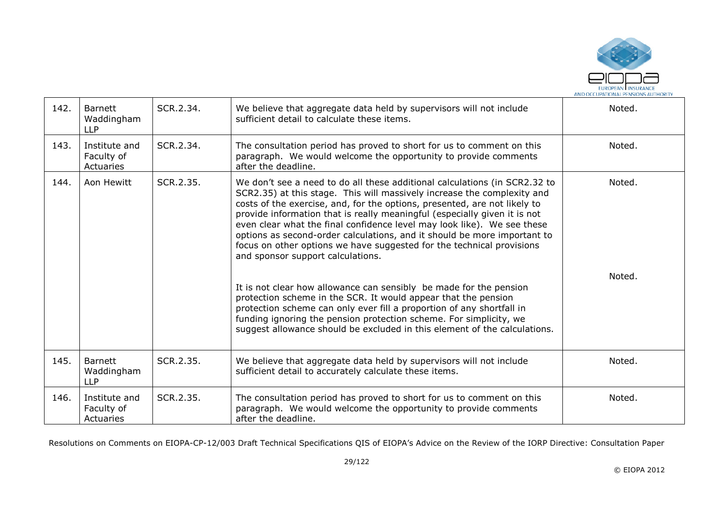

| 142. | <b>Barnett</b><br>Waddingham<br><b>LLP</b> | SCR.2.34. | We believe that aggregate data held by supervisors will not include<br>sufficient detail to calculate these items.                                                                                                                                                                                                                                                                                                                                                                                                                                                                   | Noted. |
|------|--------------------------------------------|-----------|--------------------------------------------------------------------------------------------------------------------------------------------------------------------------------------------------------------------------------------------------------------------------------------------------------------------------------------------------------------------------------------------------------------------------------------------------------------------------------------------------------------------------------------------------------------------------------------|--------|
| 143. | Institute and<br>Faculty of<br>Actuaries   | SCR.2.34. | The consultation period has proved to short for us to comment on this<br>paragraph. We would welcome the opportunity to provide comments<br>after the deadline.                                                                                                                                                                                                                                                                                                                                                                                                                      | Noted. |
| 144. | Aon Hewitt                                 | SCR.2.35. | We don't see a need to do all these additional calculations (in SCR2.32 to<br>SCR2.35) at this stage. This will massively increase the complexity and<br>costs of the exercise, and, for the options, presented, are not likely to<br>provide information that is really meaningful (especially given it is not<br>even clear what the final confidence level may look like). We see these<br>options as second-order calculations, and it should be more important to<br>focus on other options we have suggested for the technical provisions<br>and sponsor support calculations. | Noted. |
|      |                                            |           | It is not clear how allowance can sensibly be made for the pension<br>protection scheme in the SCR. It would appear that the pension<br>protection scheme can only ever fill a proportion of any shortfall in<br>funding ignoring the pension protection scheme. For simplicity, we<br>suggest allowance should be excluded in this element of the calculations.                                                                                                                                                                                                                     | Noted. |
| 145. | <b>Barnett</b><br>Waddingham<br><b>LLP</b> | SCR.2.35. | We believe that aggregate data held by supervisors will not include<br>sufficient detail to accurately calculate these items.                                                                                                                                                                                                                                                                                                                                                                                                                                                        | Noted. |
| 146. | Institute and<br>Faculty of<br>Actuaries   | SCR.2.35. | The consultation period has proved to short for us to comment on this<br>paragraph. We would welcome the opportunity to provide comments<br>after the deadline.                                                                                                                                                                                                                                                                                                                                                                                                                      | Noted. |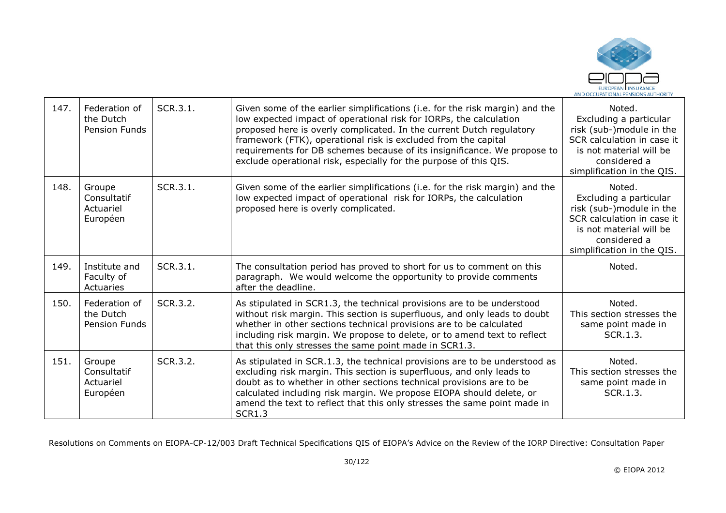

| 147. | Federation of<br>the Dutch<br>Pension Funds    | SCR.3.1. | Given some of the earlier simplifications (i.e. for the risk margin) and the<br>low expected impact of operational risk for IORPs, the calculation<br>proposed here is overly complicated. In the current Dutch regulatory<br>framework (FTK), operational risk is excluded from the capital<br>requirements for DB schemes because of its insignificance. We propose to<br>exclude operational risk, especially for the purpose of this QIS. | Noted.<br>Excluding a particular<br>risk (sub-)module in the<br>SCR calculation in case it<br>is not material will be<br>considered a<br>simplification in the QIS. |
|------|------------------------------------------------|----------|-----------------------------------------------------------------------------------------------------------------------------------------------------------------------------------------------------------------------------------------------------------------------------------------------------------------------------------------------------------------------------------------------------------------------------------------------|---------------------------------------------------------------------------------------------------------------------------------------------------------------------|
| 148. | Groupe<br>Consultatif<br>Actuariel<br>Européen | SCR.3.1. | Given some of the earlier simplifications (i.e. for the risk margin) and the<br>low expected impact of operational risk for IORPs, the calculation<br>proposed here is overly complicated.                                                                                                                                                                                                                                                    | Noted.<br>Excluding a particular<br>risk (sub-)module in the<br>SCR calculation in case it<br>is not material will be<br>considered a<br>simplification in the QIS. |
| 149. | Institute and<br>Faculty of<br>Actuaries       | SCR.3.1. | The consultation period has proved to short for us to comment on this<br>paragraph. We would welcome the opportunity to provide comments<br>after the deadline.                                                                                                                                                                                                                                                                               | Noted.                                                                                                                                                              |
| 150. | Federation of<br>the Dutch<br>Pension Funds    | SCR.3.2. | As stipulated in SCR1.3, the technical provisions are to be understood<br>without risk margin. This section is superfluous, and only leads to doubt<br>whether in other sections technical provisions are to be calculated<br>including risk margin. We propose to delete, or to amend text to reflect<br>that this only stresses the same point made in SCR1.3.                                                                              | Noted.<br>This section stresses the<br>same point made in<br>SCR.1.3.                                                                                               |
| 151. | Groupe<br>Consultatif<br>Actuariel<br>Européen | SCR.3.2. | As stipulated in SCR.1.3, the technical provisions are to be understood as<br>excluding risk margin. This section is superfluous, and only leads to<br>doubt as to whether in other sections technical provisions are to be<br>calculated including risk margin. We propose EIOPA should delete, or<br>amend the text to reflect that this only stresses the same point made in<br><b>SCR1.3</b>                                              | Noted.<br>This section stresses the<br>same point made in<br>SCR.1.3.                                                                                               |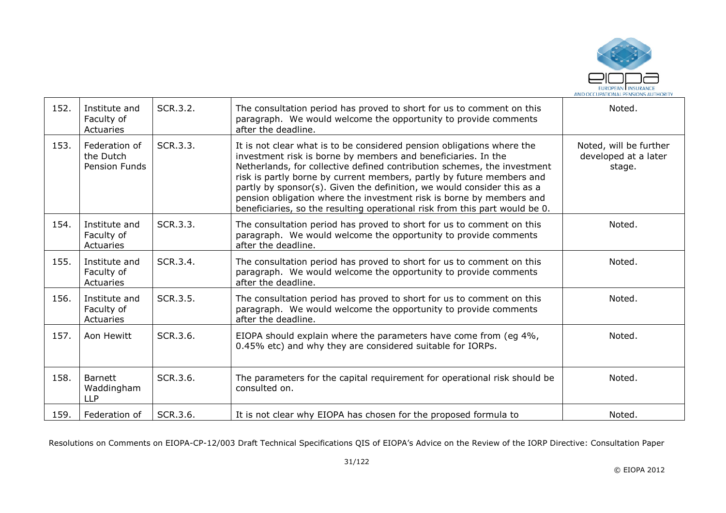

| 152. | Institute and<br>Faculty of<br>Actuaries    | SCR.3.2. | The consultation period has proved to short for us to comment on this<br>paragraph. We would welcome the opportunity to provide comments<br>after the deadline.                                                                                                                                                                                                                                                                                                                                                                | Noted.                                                   |
|------|---------------------------------------------|----------|--------------------------------------------------------------------------------------------------------------------------------------------------------------------------------------------------------------------------------------------------------------------------------------------------------------------------------------------------------------------------------------------------------------------------------------------------------------------------------------------------------------------------------|----------------------------------------------------------|
| 153. | Federation of<br>the Dutch<br>Pension Funds | SCR.3.3. | It is not clear what is to be considered pension obligations where the<br>investment risk is borne by members and beneficiaries. In the<br>Netherlands, for collective defined contribution schemes, the investment<br>risk is partly borne by current members, partly by future members and<br>partly by sponsor(s). Given the definition, we would consider this as a<br>pension obligation where the investment risk is borne by members and<br>beneficiaries, so the resulting operational risk from this part would be 0. | Noted, will be further<br>developed at a later<br>stage. |
| 154. | Institute and<br>Faculty of<br>Actuaries    | SCR.3.3. | The consultation period has proved to short for us to comment on this<br>paragraph. We would welcome the opportunity to provide comments<br>after the deadline.                                                                                                                                                                                                                                                                                                                                                                | Noted.                                                   |
| 155. | Institute and<br>Faculty of<br>Actuaries    | SCR.3.4. | The consultation period has proved to short for us to comment on this<br>paragraph. We would welcome the opportunity to provide comments<br>after the deadline.                                                                                                                                                                                                                                                                                                                                                                | Noted.                                                   |
| 156. | Institute and<br>Faculty of<br>Actuaries    | SCR.3.5. | The consultation period has proved to short for us to comment on this<br>paragraph. We would welcome the opportunity to provide comments<br>after the deadline.                                                                                                                                                                                                                                                                                                                                                                | Noted.                                                   |
| 157. | Aon Hewitt                                  | SCR.3.6. | EIOPA should explain where the parameters have come from (eg 4%,<br>0.45% etc) and why they are considered suitable for IORPs.                                                                                                                                                                                                                                                                                                                                                                                                 | Noted.                                                   |
| 158. | Barnett<br>Waddingham<br><b>LLP</b>         | SCR.3.6. | The parameters for the capital requirement for operational risk should be<br>consulted on.                                                                                                                                                                                                                                                                                                                                                                                                                                     | Noted.                                                   |
| 159. | Federation of                               | SCR.3.6. | It is not clear why EIOPA has chosen for the proposed formula to                                                                                                                                                                                                                                                                                                                                                                                                                                                               | Noted.                                                   |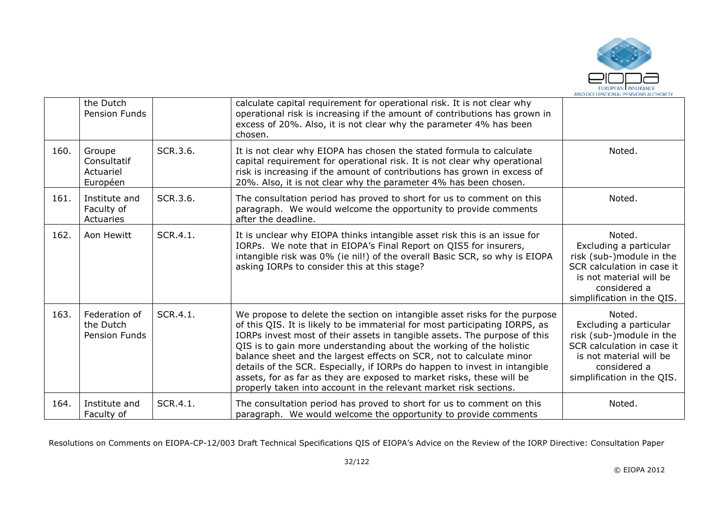

|      | the Dutch<br>Pension Funds                     |          | calculate capital requirement for operational risk. It is not clear why<br>operational risk is increasing if the amount of contributions has grown in<br>excess of 20%. Also, it is not clear why the parameter 4% has been<br>chosen.                                                                                                                                                                                                                                                                                                                                                                            |                                                                                                                                                                     |
|------|------------------------------------------------|----------|-------------------------------------------------------------------------------------------------------------------------------------------------------------------------------------------------------------------------------------------------------------------------------------------------------------------------------------------------------------------------------------------------------------------------------------------------------------------------------------------------------------------------------------------------------------------------------------------------------------------|---------------------------------------------------------------------------------------------------------------------------------------------------------------------|
| 160. | Groupe<br>Consultatif<br>Actuariel<br>Européen | SCR.3.6. | It is not clear why EIOPA has chosen the stated formula to calculate<br>capital requirement for operational risk. It is not clear why operational<br>risk is increasing if the amount of contributions has grown in excess of<br>20%. Also, it is not clear why the parameter 4% has been chosen.                                                                                                                                                                                                                                                                                                                 | Noted.                                                                                                                                                              |
| 161. | Institute and<br>Faculty of<br>Actuaries       | SCR.3.6. | The consultation period has proved to short for us to comment on this<br>paragraph. We would welcome the opportunity to provide comments<br>after the deadline.                                                                                                                                                                                                                                                                                                                                                                                                                                                   | Noted.                                                                                                                                                              |
| 162. | Aon Hewitt                                     | SCR.4.1. | It is unclear why EIOPA thinks intangible asset risk this is an issue for<br>IORPs. We note that in EIOPA's Final Report on QIS5 for insurers,<br>intangible risk was 0% (ie nil!) of the overall Basic SCR, so why is EIOPA<br>asking IORPs to consider this at this stage?                                                                                                                                                                                                                                                                                                                                      | Noted.<br>Excluding a particular<br>risk (sub-)module in the<br>SCR calculation in case it<br>is not material will be<br>considered a<br>simplification in the QIS. |
| 163. | Federation of<br>the Dutch<br>Pension Funds    | SCR.4.1. | We propose to delete the section on intangible asset risks for the purpose<br>of this QIS. It is likely to be immaterial for most participating IORPS, as<br>IORPs invest most of their assets in tangible assets. The purpose of this<br>QIS is to gain more understanding about the working of the holistic<br>balance sheet and the largest effects on SCR, not to calculate minor<br>details of the SCR. Especially, if IORPs do happen to invest in intangible<br>assets, for as far as they are exposed to market risks, these will be<br>properly taken into account in the relevant market risk sections. | Noted.<br>Excluding a particular<br>risk (sub-)module in the<br>SCR calculation in case it<br>is not material will be<br>considered a<br>simplification in the QIS. |
| 164. | Institute and<br>Faculty of                    | SCR.4.1. | The consultation period has proved to short for us to comment on this<br>paragraph. We would welcome the opportunity to provide comments                                                                                                                                                                                                                                                                                                                                                                                                                                                                          | Noted.                                                                                                                                                              |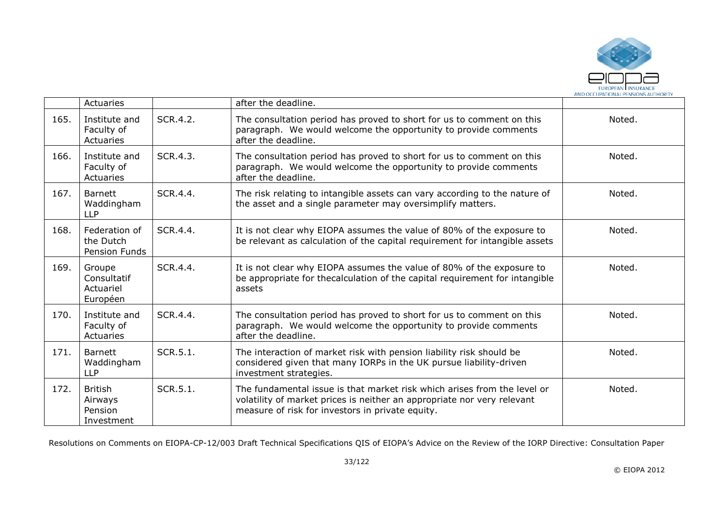

|      | Actuaries                                          |          | after the deadline.                                                                                                                                                                                     |        |
|------|----------------------------------------------------|----------|---------------------------------------------------------------------------------------------------------------------------------------------------------------------------------------------------------|--------|
| 165. | Institute and<br>Faculty of<br>Actuaries           | SCR.4.2. | The consultation period has proved to short for us to comment on this<br>paragraph. We would welcome the opportunity to provide comments<br>after the deadline.                                         | Noted. |
| 166. | Institute and<br>Faculty of<br>Actuaries           | SCR.4.3. | The consultation period has proved to short for us to comment on this<br>paragraph. We would welcome the opportunity to provide comments<br>after the deadline.                                         | Noted. |
| 167. | <b>Barnett</b><br>Waddingham<br><b>LLP</b>         | SCR.4.4. | The risk relating to intangible assets can vary according to the nature of<br>the asset and a single parameter may oversimplify matters.                                                                | Noted. |
| 168. | Federation of<br>the Dutch<br>Pension Funds        | SCR.4.4. | It is not clear why EIOPA assumes the value of 80% of the exposure to<br>be relevant as calculation of the capital requirement for intangible assets                                                    | Noted. |
| 169. | Groupe<br>Consultatif<br>Actuariel<br>Européen     | SCR.4.4. | It is not clear why EIOPA assumes the value of 80% of the exposure to<br>be appropriate for thecalculation of the capital requirement for intangible<br>assets                                          | Noted. |
| 170. | Institute and<br>Faculty of<br>Actuaries           | SCR.4.4. | The consultation period has proved to short for us to comment on this<br>paragraph. We would welcome the opportunity to provide comments<br>after the deadline.                                         | Noted. |
| 171. | <b>Barnett</b><br>Waddingham<br><b>LLP</b>         | SCR.5.1. | The interaction of market risk with pension liability risk should be<br>considered given that many IORPs in the UK pursue liability-driven<br>investment strategies.                                    | Noted. |
| 172. | <b>British</b><br>Airways<br>Pension<br>Investment | SCR.5.1. | The fundamental issue is that market risk which arises from the level or<br>volatility of market prices is neither an appropriate nor very relevant<br>measure of risk for investors in private equity. | Noted. |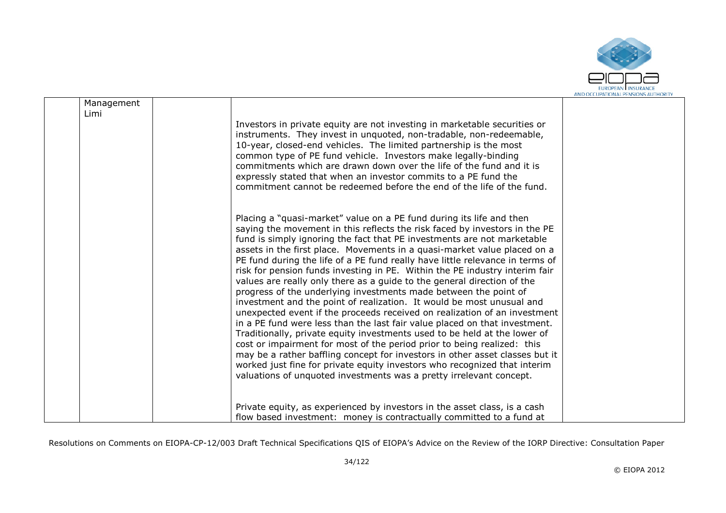

| Management |                                                                                                                                                                                                                                                                                                                                                                                                                                                                                                                                                                                                                                                                                                                                                                                                                                                                                                                                                                                                                                                                                                                                                                                                                                                          |  |
|------------|----------------------------------------------------------------------------------------------------------------------------------------------------------------------------------------------------------------------------------------------------------------------------------------------------------------------------------------------------------------------------------------------------------------------------------------------------------------------------------------------------------------------------------------------------------------------------------------------------------------------------------------------------------------------------------------------------------------------------------------------------------------------------------------------------------------------------------------------------------------------------------------------------------------------------------------------------------------------------------------------------------------------------------------------------------------------------------------------------------------------------------------------------------------------------------------------------------------------------------------------------------|--|
| Limi       |                                                                                                                                                                                                                                                                                                                                                                                                                                                                                                                                                                                                                                                                                                                                                                                                                                                                                                                                                                                                                                                                                                                                                                                                                                                          |  |
|            | Investors in private equity are not investing in marketable securities or<br>instruments. They invest in unquoted, non-tradable, non-redeemable,<br>10-year, closed-end vehicles. The limited partnership is the most<br>common type of PE fund vehicle. Investors make legally-binding<br>commitments which are drawn down over the life of the fund and it is<br>expressly stated that when an investor commits to a PE fund the<br>commitment cannot be redeemed before the end of the life of the fund.                                                                                                                                                                                                                                                                                                                                                                                                                                                                                                                                                                                                                                                                                                                                              |  |
|            | Placing a "quasi-market" value on a PE fund during its life and then<br>saying the movement in this reflects the risk faced by investors in the PE<br>fund is simply ignoring the fact that PE investments are not marketable<br>assets in the first place. Movements in a quasi-market value placed on a<br>PE fund during the life of a PE fund really have little relevance in terms of<br>risk for pension funds investing in PE. Within the PE industry interim fair<br>values are really only there as a guide to the general direction of the<br>progress of the underlying investments made between the point of<br>investment and the point of realization. It would be most unusual and<br>unexpected event if the proceeds received on realization of an investment<br>in a PE fund were less than the last fair value placed on that investment.<br>Traditionally, private equity investments used to be held at the lower of<br>cost or impairment for most of the period prior to being realized: this<br>may be a rather baffling concept for investors in other asset classes but it<br>worked just fine for private equity investors who recognized that interim<br>valuations of unquoted investments was a pretty irrelevant concept. |  |
|            | Private equity, as experienced by investors in the asset class, is a cash                                                                                                                                                                                                                                                                                                                                                                                                                                                                                                                                                                                                                                                                                                                                                                                                                                                                                                                                                                                                                                                                                                                                                                                |  |
|            | flow based investment: money is contractually committed to a fund at                                                                                                                                                                                                                                                                                                                                                                                                                                                                                                                                                                                                                                                                                                                                                                                                                                                                                                                                                                                                                                                                                                                                                                                     |  |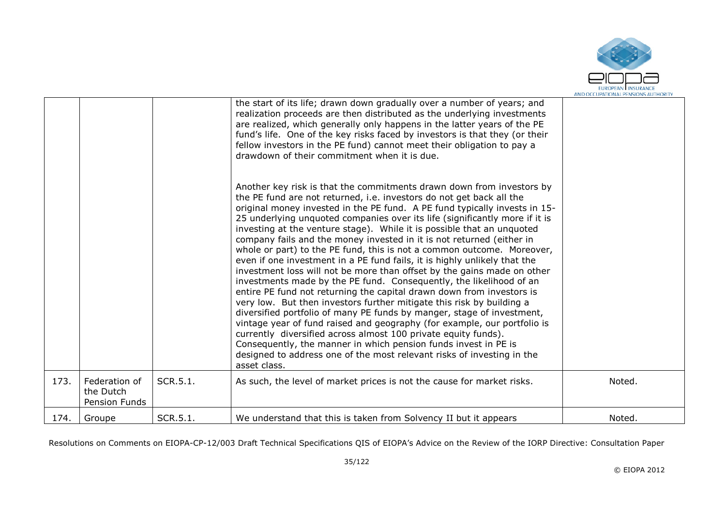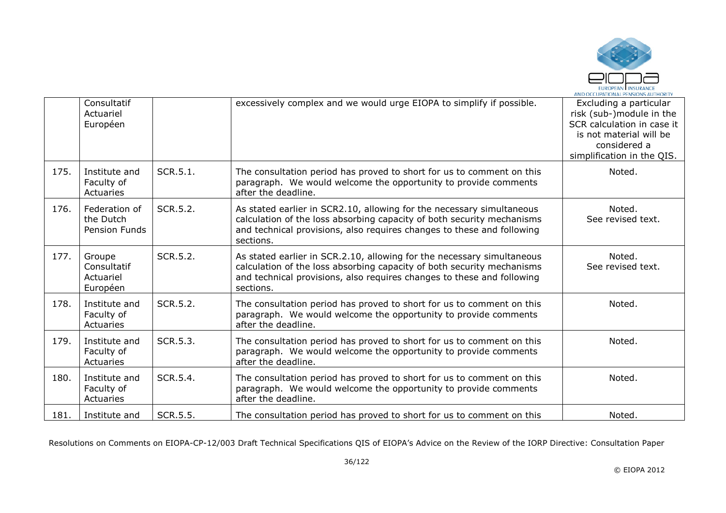

|      | Consultatif<br>Actuariel<br>Européen           |          | excessively complex and we would urge EIOPA to simplify if possible.                                                                                                                                                                    | Excluding a particular<br>risk (sub-)module in the<br>SCR calculation in case it<br>is not material will be<br>considered a<br>simplification in the QIS. |
|------|------------------------------------------------|----------|-----------------------------------------------------------------------------------------------------------------------------------------------------------------------------------------------------------------------------------------|-----------------------------------------------------------------------------------------------------------------------------------------------------------|
| 175. | Institute and<br>Faculty of<br>Actuaries       | SCR.5.1. | The consultation period has proved to short for us to comment on this<br>paragraph. We would welcome the opportunity to provide comments<br>after the deadline.                                                                         | Noted.                                                                                                                                                    |
| 176. | Federation of<br>the Dutch<br>Pension Funds    | SCR.5.2. | As stated earlier in SCR2.10, allowing for the necessary simultaneous<br>calculation of the loss absorbing capacity of both security mechanisms<br>and technical provisions, also requires changes to these and following<br>sections.  | Noted.<br>See revised text.                                                                                                                               |
| 177. | Groupe<br>Consultatif<br>Actuariel<br>Européen | SCR.5.2. | As stated earlier in SCR.2.10, allowing for the necessary simultaneous<br>calculation of the loss absorbing capacity of both security mechanisms<br>and technical provisions, also requires changes to these and following<br>sections. | Noted.<br>See revised text.                                                                                                                               |
| 178. | Institute and<br>Faculty of<br>Actuaries       | SCR.5.2. | The consultation period has proved to short for us to comment on this<br>paragraph. We would welcome the opportunity to provide comments<br>after the deadline.                                                                         | Noted.                                                                                                                                                    |
| 179. | Institute and<br>Faculty of<br>Actuaries       | SCR.5.3. | The consultation period has proved to short for us to comment on this<br>paragraph. We would welcome the opportunity to provide comments<br>after the deadline.                                                                         | Noted.                                                                                                                                                    |
| 180. | Institute and<br>Faculty of<br>Actuaries       | SCR.5.4. | The consultation period has proved to short for us to comment on this<br>paragraph. We would welcome the opportunity to provide comments<br>after the deadline.                                                                         | Noted.                                                                                                                                                    |
| 181. | Institute and                                  | SCR.5.5. | The consultation period has proved to short for us to comment on this                                                                                                                                                                   | Noted.                                                                                                                                                    |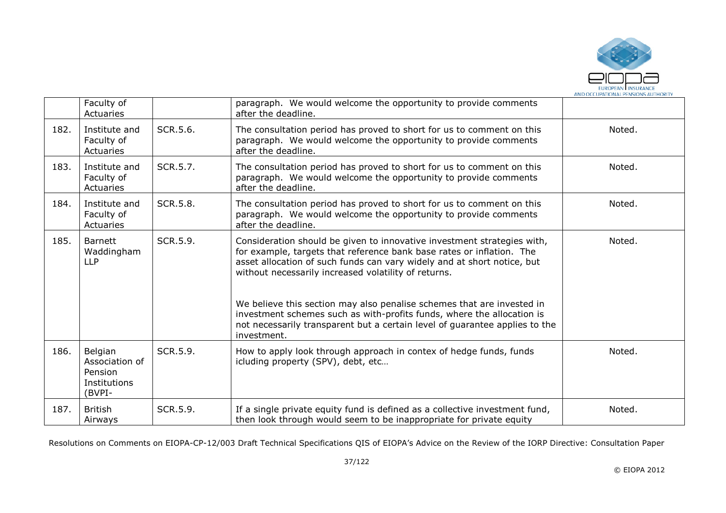

|      | Faculty of<br>Actuaries                                        |          | paragraph. We would welcome the opportunity to provide comments<br>after the deadline.                                                                                                                                                                                                                                                                                                                                                  |        |
|------|----------------------------------------------------------------|----------|-----------------------------------------------------------------------------------------------------------------------------------------------------------------------------------------------------------------------------------------------------------------------------------------------------------------------------------------------------------------------------------------------------------------------------------------|--------|
| 182. | Institute and<br>Faculty of<br>Actuaries                       | SCR.5.6. | The consultation period has proved to short for us to comment on this<br>paragraph. We would welcome the opportunity to provide comments<br>after the deadline.                                                                                                                                                                                                                                                                         | Noted. |
| 183. | Institute and<br>Faculty of<br>Actuaries                       | SCR.5.7. | The consultation period has proved to short for us to comment on this<br>paragraph. We would welcome the opportunity to provide comments<br>after the deadline.                                                                                                                                                                                                                                                                         | Noted. |
| 184. | Institute and<br>Faculty of<br>Actuaries                       | SCR.5.8. | The consultation period has proved to short for us to comment on this<br>paragraph. We would welcome the opportunity to provide comments<br>after the deadline.                                                                                                                                                                                                                                                                         | Noted. |
| 185. | <b>Barnett</b><br>Waddingham<br><b>LLP</b>                     | SCR.5.9. | Consideration should be given to innovative investment strategies with,<br>for example, targets that reference bank base rates or inflation. The<br>asset allocation of such funds can vary widely and at short notice, but<br>without necessarily increased volatility of returns.<br>We believe this section may also penalise schemes that are invested in<br>investment schemes such as with-profits funds, where the allocation is | Noted. |
|      |                                                                |          | not necessarily transparent but a certain level of guarantee applies to the<br>investment.                                                                                                                                                                                                                                                                                                                                              |        |
| 186. | Belgian<br>Association of<br>Pension<br>Institutions<br>(BVPI- | SCR.5.9. | How to apply look through approach in contex of hedge funds, funds<br>icluding property (SPV), debt, etc                                                                                                                                                                                                                                                                                                                                | Noted. |
| 187. | <b>British</b><br>Airways                                      | SCR.5.9. | If a single private equity fund is defined as a collective investment fund,<br>then look through would seem to be inappropriate for private equity                                                                                                                                                                                                                                                                                      | Noted. |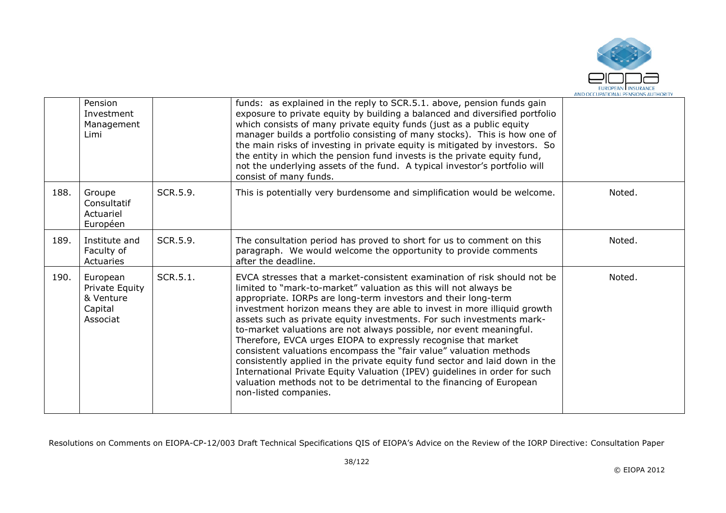

|      | Pension<br>Investment<br>Management<br>Limi                    |          | funds: as explained in the reply to SCR.5.1. above, pension funds gain<br>exposure to private equity by building a balanced and diversified portfolio<br>which consists of many private equity funds (just as a public equity<br>manager builds a portfolio consisting of many stocks). This is how one of<br>the main risks of investing in private equity is mitigated by investors. So<br>the entity in which the pension fund invests is the private equity fund,<br>not the underlying assets of the fund. A typical investor's portfolio will<br>consist of many funds.                                                                                                                                                                                                                                                                    |        |
|------|----------------------------------------------------------------|----------|--------------------------------------------------------------------------------------------------------------------------------------------------------------------------------------------------------------------------------------------------------------------------------------------------------------------------------------------------------------------------------------------------------------------------------------------------------------------------------------------------------------------------------------------------------------------------------------------------------------------------------------------------------------------------------------------------------------------------------------------------------------------------------------------------------------------------------------------------|--------|
| 188. | Groupe<br>Consultatif<br>Actuariel<br>Européen                 | SCR.5.9. | This is potentially very burdensome and simplification would be welcome.                                                                                                                                                                                                                                                                                                                                                                                                                                                                                                                                                                                                                                                                                                                                                                         | Noted. |
| 189. | Institute and<br>Faculty of<br>Actuaries                       | SCR.5.9. | The consultation period has proved to short for us to comment on this<br>paragraph. We would welcome the opportunity to provide comments<br>after the deadline.                                                                                                                                                                                                                                                                                                                                                                                                                                                                                                                                                                                                                                                                                  | Noted. |
| 190. | European<br>Private Equity<br>& Venture<br>Capital<br>Associat | SCR.5.1. | EVCA stresses that a market-consistent examination of risk should not be<br>limited to "mark-to-market" valuation as this will not always be<br>appropriate. IORPs are long-term investors and their long-term<br>investment horizon means they are able to invest in more illiquid growth<br>assets such as private equity investments. For such investments mark-<br>to-market valuations are not always possible, nor event meaningful.<br>Therefore, EVCA urges EIOPA to expressly recognise that market<br>consistent valuations encompass the "fair value" valuation methods<br>consistently applied in the private equity fund sector and laid down in the<br>International Private Equity Valuation (IPEV) guidelines in order for such<br>valuation methods not to be detrimental to the financing of European<br>non-listed companies. | Noted. |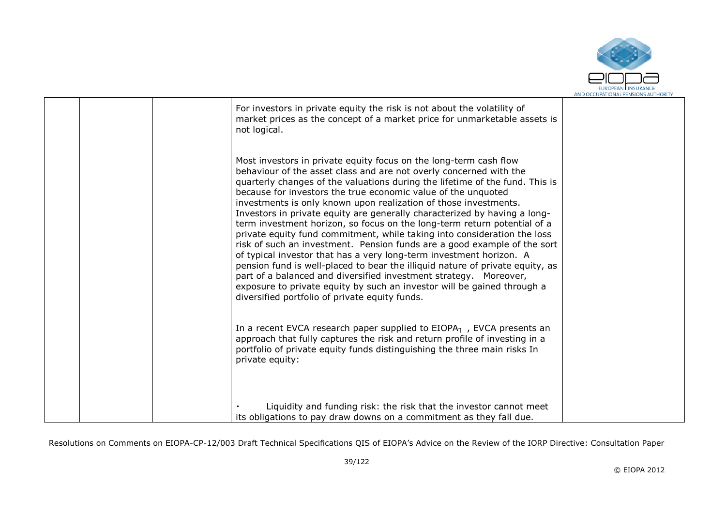

|  | For investors in private equity the risk is not about the volatility of<br>market prices as the concept of a market price for unmarketable assets is<br>not logical.                                                                                                                                                                                                                                                                                                                                                                                                                                                                                                                                                                                                                                                                                                                                                                                                                                                                    |  |
|--|-----------------------------------------------------------------------------------------------------------------------------------------------------------------------------------------------------------------------------------------------------------------------------------------------------------------------------------------------------------------------------------------------------------------------------------------------------------------------------------------------------------------------------------------------------------------------------------------------------------------------------------------------------------------------------------------------------------------------------------------------------------------------------------------------------------------------------------------------------------------------------------------------------------------------------------------------------------------------------------------------------------------------------------------|--|
|  | Most investors in private equity focus on the long-term cash flow<br>behaviour of the asset class and are not overly concerned with the<br>quarterly changes of the valuations during the lifetime of the fund. This is<br>because for investors the true economic value of the unquoted<br>investments is only known upon realization of those investments.<br>Investors in private equity are generally characterized by having a long-<br>term investment horizon, so focus on the long-term return potential of a<br>private equity fund commitment, while taking into consideration the loss<br>risk of such an investment. Pension funds are a good example of the sort<br>of typical investor that has a very long-term investment horizon. A<br>pension fund is well-placed to bear the illiquid nature of private equity, as<br>part of a balanced and diversified investment strategy. Moreover,<br>exposure to private equity by such an investor will be gained through a<br>diversified portfolio of private equity funds. |  |
|  | In a recent EVCA research paper supplied to $EIOPA1$ , EVCA presents an<br>approach that fully captures the risk and return profile of investing in a<br>portfolio of private equity funds distinguishing the three main risks In<br>private equity:                                                                                                                                                                                                                                                                                                                                                                                                                                                                                                                                                                                                                                                                                                                                                                                    |  |
|  | Liquidity and funding risk: the risk that the investor cannot meet<br>its obligations to pay draw downs on a commitment as they fall due.                                                                                                                                                                                                                                                                                                                                                                                                                                                                                                                                                                                                                                                                                                                                                                                                                                                                                               |  |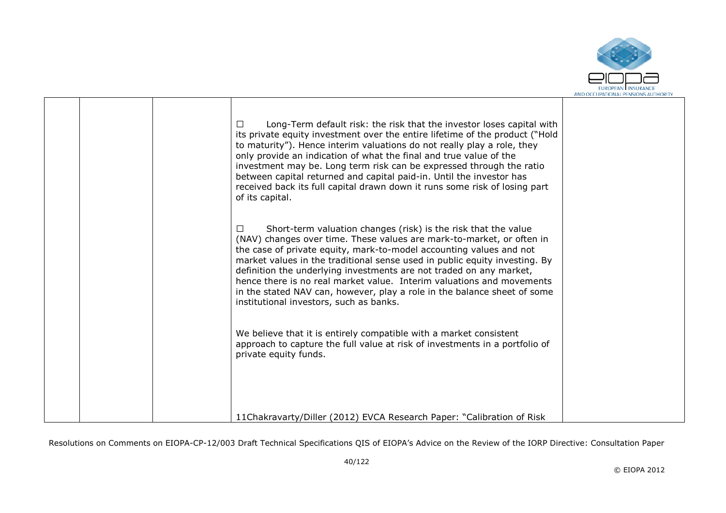

|  | Long-Term default risk: the risk that the investor loses capital with<br>$\Box$<br>its private equity investment over the entire lifetime of the product ("Hold<br>to maturity"). Hence interim valuations do not really play a role, they<br>only provide an indication of what the final and true value of the<br>investment may be. Long term risk can be expressed through the ratio<br>between capital returned and capital paid-in. Until the investor has<br>received back its full capital drawn down it runs some risk of losing part<br>of its capital.        |  |
|--|--------------------------------------------------------------------------------------------------------------------------------------------------------------------------------------------------------------------------------------------------------------------------------------------------------------------------------------------------------------------------------------------------------------------------------------------------------------------------------------------------------------------------------------------------------------------------|--|
|  | Short-term valuation changes (risk) is the risk that the value<br>П<br>(NAV) changes over time. These values are mark-to-market, or often in<br>the case of private equity, mark-to-model accounting values and not<br>market values in the traditional sense used in public equity investing. By<br>definition the underlying investments are not traded on any market,<br>hence there is no real market value. Interim valuations and movements<br>in the stated NAV can, however, play a role in the balance sheet of some<br>institutional investors, such as banks. |  |
|  | We believe that it is entirely compatible with a market consistent<br>approach to capture the full value at risk of investments in a portfolio of<br>private equity funds.                                                                                                                                                                                                                                                                                                                                                                                               |  |
|  | 11Chakravarty/Diller (2012) EVCA Research Paper: "Calibration of Risk                                                                                                                                                                                                                                                                                                                                                                                                                                                                                                    |  |

┰

Т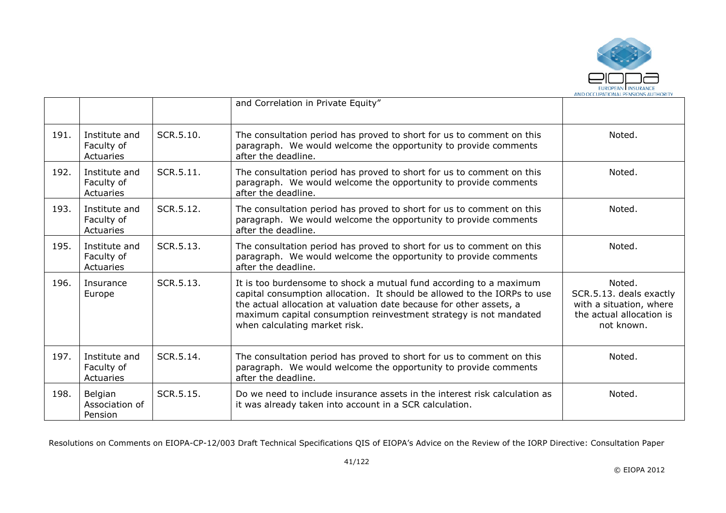

|      |                                          |           | and Correlation in Private Equity"                                                                                                                                                                                                                                                                                          |                                                                                                        |
|------|------------------------------------------|-----------|-----------------------------------------------------------------------------------------------------------------------------------------------------------------------------------------------------------------------------------------------------------------------------------------------------------------------------|--------------------------------------------------------------------------------------------------------|
| 191. | Institute and<br>Faculty of<br>Actuaries | SCR.5.10. | The consultation period has proved to short for us to comment on this<br>paragraph. We would welcome the opportunity to provide comments<br>after the deadline.                                                                                                                                                             | Noted.                                                                                                 |
| 192. | Institute and<br>Faculty of<br>Actuaries | SCR.5.11. | The consultation period has proved to short for us to comment on this<br>paragraph. We would welcome the opportunity to provide comments<br>after the deadline.                                                                                                                                                             | Noted.                                                                                                 |
| 193. | Institute and<br>Faculty of<br>Actuaries | SCR.5.12. | The consultation period has proved to short for us to comment on this<br>paragraph. We would welcome the opportunity to provide comments<br>after the deadline.                                                                                                                                                             | Noted.                                                                                                 |
| 195. | Institute and<br>Faculty of<br>Actuaries | SCR.5.13. | The consultation period has proved to short for us to comment on this<br>paragraph. We would welcome the opportunity to provide comments<br>after the deadline.                                                                                                                                                             | Noted.                                                                                                 |
| 196. | Insurance<br>Europe                      | SCR.5.13. | It is too burdensome to shock a mutual fund according to a maximum<br>capital consumption allocation. It should be allowed to the IORPs to use<br>the actual allocation at valuation date because for other assets, a<br>maximum capital consumption reinvestment strategy is not mandated<br>when calculating market risk. | Noted.<br>SCR.5.13. deals exactly<br>with a situation, where<br>the actual allocation is<br>not known. |
| 197. | Institute and<br>Faculty of<br>Actuaries | SCR.5.14. | The consultation period has proved to short for us to comment on this<br>paragraph. We would welcome the opportunity to provide comments<br>after the deadline.                                                                                                                                                             | Noted.                                                                                                 |
| 198. | Belgian<br>Association of<br>Pension     | SCR.5.15. | Do we need to include insurance assets in the interest risk calculation as<br>it was already taken into account in a SCR calculation.                                                                                                                                                                                       | Noted.                                                                                                 |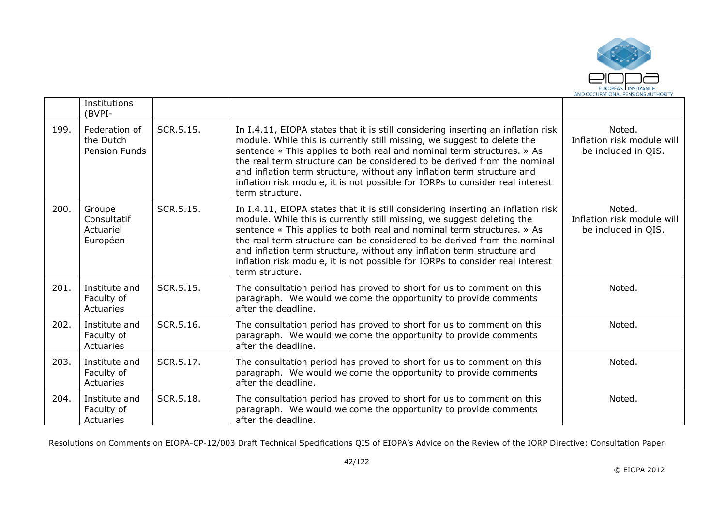

|      | Institutions<br>(BVPI-                             |           |                                                                                                                                                                                                                                                                                                                                                                                                                                                                                                 |                                                             |
|------|----------------------------------------------------|-----------|-------------------------------------------------------------------------------------------------------------------------------------------------------------------------------------------------------------------------------------------------------------------------------------------------------------------------------------------------------------------------------------------------------------------------------------------------------------------------------------------------|-------------------------------------------------------------|
| 199. | Federation of<br>the Dutch<br><b>Pension Funds</b> | SCR.5.15. | In I.4.11, EIOPA states that it is still considering inserting an inflation risk<br>module. While this is currently still missing, we suggest to delete the<br>sentence « This applies to both real and nominal term structures. » As<br>the real term structure can be considered to be derived from the nominal<br>and inflation term structure, without any inflation term structure and<br>inflation risk module, it is not possible for IORPs to consider real interest<br>term structure. | Noted.<br>Inflation risk module will<br>be included in QIS. |
| 200. | Groupe<br>Consultatif<br>Actuariel<br>Européen     | SCR.5.15. | In I.4.11, EIOPA states that it is still considering inserting an inflation risk<br>module. While this is currently still missing, we suggest deleting the<br>sentence « This applies to both real and nominal term structures. » As<br>the real term structure can be considered to be derived from the nominal<br>and inflation term structure, without any inflation term structure and<br>inflation risk module, it is not possible for IORPs to consider real interest<br>term structure.  | Noted.<br>Inflation risk module will<br>be included in QIS. |
| 201. | Institute and<br>Faculty of<br>Actuaries           | SCR.5.15. | The consultation period has proved to short for us to comment on this<br>paragraph. We would welcome the opportunity to provide comments<br>after the deadline.                                                                                                                                                                                                                                                                                                                                 | Noted.                                                      |
| 202. | Institute and<br>Faculty of<br>Actuaries           | SCR.5.16. | The consultation period has proved to short for us to comment on this<br>paragraph. We would welcome the opportunity to provide comments<br>after the deadline.                                                                                                                                                                                                                                                                                                                                 | Noted.                                                      |
| 203. | Institute and<br>Faculty of<br>Actuaries           | SCR.5.17. | The consultation period has proved to short for us to comment on this<br>paragraph. We would welcome the opportunity to provide comments<br>after the deadline.                                                                                                                                                                                                                                                                                                                                 | Noted.                                                      |
| 204. | Institute and<br>Faculty of<br>Actuaries           | SCR.5.18. | The consultation period has proved to short for us to comment on this<br>paragraph. We would welcome the opportunity to provide comments<br>after the deadline.                                                                                                                                                                                                                                                                                                                                 | Noted.                                                      |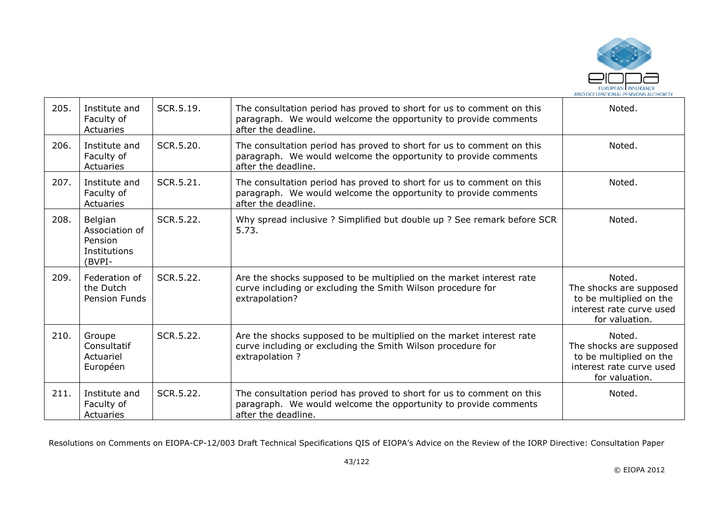

| 205. | Institute and<br>Faculty of<br>Actuaries                       | SCR.5.19. | The consultation period has proved to short for us to comment on this<br>paragraph. We would welcome the opportunity to provide comments<br>after the deadline. | Noted.                                                                                                     |
|------|----------------------------------------------------------------|-----------|-----------------------------------------------------------------------------------------------------------------------------------------------------------------|------------------------------------------------------------------------------------------------------------|
| 206. | Institute and<br>Faculty of<br>Actuaries                       | SCR.5.20. | The consultation period has proved to short for us to comment on this<br>paragraph. We would welcome the opportunity to provide comments<br>after the deadline. | Noted.                                                                                                     |
| 207. | Institute and<br>Faculty of<br>Actuaries                       | SCR.5.21. | The consultation period has proved to short for us to comment on this<br>paragraph. We would welcome the opportunity to provide comments<br>after the deadline. | Noted.                                                                                                     |
| 208. | Belgian<br>Association of<br>Pension<br>Institutions<br>(BVPI- | SCR.5.22. | Why spread inclusive ? Simplified but double up ? See remark before SCR<br>5.73.                                                                                | Noted.                                                                                                     |
| 209. | Federation of<br>the Dutch<br><b>Pension Funds</b>             | SCR.5.22. | Are the shocks supposed to be multiplied on the market interest rate<br>curve including or excluding the Smith Wilson procedure for<br>extrapolation?           | Noted.<br>The shocks are supposed<br>to be multiplied on the<br>interest rate curve used<br>for valuation. |
| 210. | Groupe<br>Consultatif<br>Actuariel<br>Européen                 | SCR.5.22. | Are the shocks supposed to be multiplied on the market interest rate<br>curve including or excluding the Smith Wilson procedure for<br>extrapolation ?          | Noted.<br>The shocks are supposed<br>to be multiplied on the<br>interest rate curve used<br>for valuation. |
| 211. | Institute and<br>Faculty of<br><b>Actuaries</b>                | SCR.5.22. | The consultation period has proved to short for us to comment on this<br>paragraph. We would welcome the opportunity to provide comments<br>after the deadline. | Noted.                                                                                                     |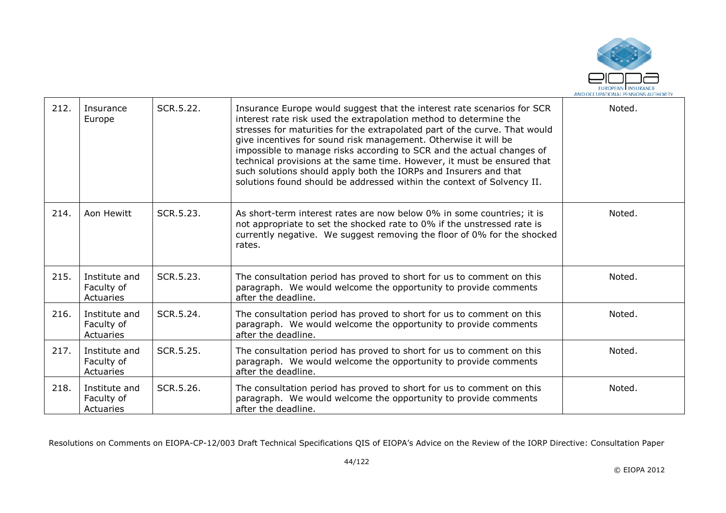

| 212. | Insurance<br>Europe                      | SCR.5.22. | Insurance Europe would suggest that the interest rate scenarios for SCR<br>interest rate risk used the extrapolation method to determine the<br>stresses for maturities for the extrapolated part of the curve. That would<br>give incentives for sound risk management. Otherwise it will be<br>impossible to manage risks according to SCR and the actual changes of<br>technical provisions at the same time. However, it must be ensured that<br>such solutions should apply both the IORPs and Insurers and that<br>solutions found should be addressed within the context of Solvency II. | Noted. |
|------|------------------------------------------|-----------|-------------------------------------------------------------------------------------------------------------------------------------------------------------------------------------------------------------------------------------------------------------------------------------------------------------------------------------------------------------------------------------------------------------------------------------------------------------------------------------------------------------------------------------------------------------------------------------------------|--------|
| 214. | Aon Hewitt                               | SCR.5.23. | As short-term interest rates are now below 0% in some countries; it is<br>not appropriate to set the shocked rate to 0% if the unstressed rate is<br>currently negative. We suggest removing the floor of 0% for the shocked<br>rates.                                                                                                                                                                                                                                                                                                                                                          | Noted. |
| 215. | Institute and<br>Faculty of<br>Actuaries | SCR.5.23. | The consultation period has proved to short for us to comment on this<br>paragraph. We would welcome the opportunity to provide comments<br>after the deadline.                                                                                                                                                                                                                                                                                                                                                                                                                                 | Noted. |
| 216. | Institute and<br>Faculty of<br>Actuaries | SCR.5.24. | The consultation period has proved to short for us to comment on this<br>paragraph. We would welcome the opportunity to provide comments<br>after the deadline.                                                                                                                                                                                                                                                                                                                                                                                                                                 | Noted. |
| 217. | Institute and<br>Faculty of<br>Actuaries | SCR.5.25. | The consultation period has proved to short for us to comment on this<br>paragraph. We would welcome the opportunity to provide comments<br>after the deadline.                                                                                                                                                                                                                                                                                                                                                                                                                                 | Noted. |
| 218. | Institute and<br>Faculty of<br>Actuaries | SCR.5.26. | The consultation period has proved to short for us to comment on this<br>paragraph. We would welcome the opportunity to provide comments<br>after the deadline.                                                                                                                                                                                                                                                                                                                                                                                                                                 | Noted. |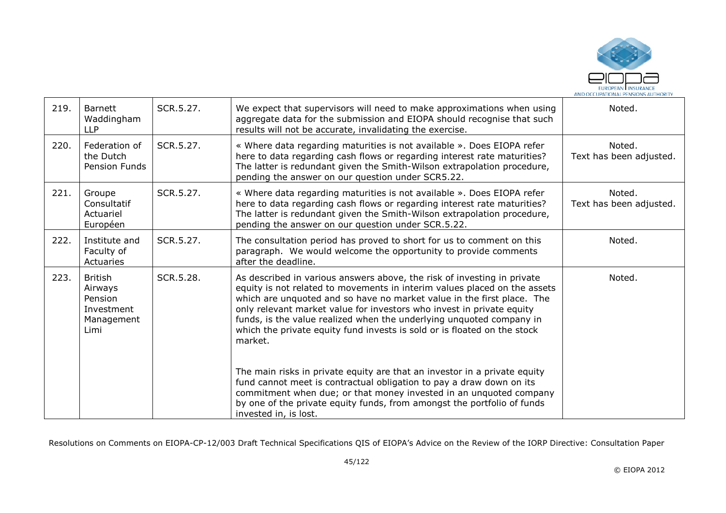

| 219. | <b>Barnett</b><br>Waddingham<br><b>LLP</b>                               | SCR.5.27. | We expect that supervisors will need to make approximations when using<br>aggregate data for the submission and EIOPA should recognise that such<br>results will not be accurate, invalidating the exercise.                                                                                                                                                                                                                                                                                                                                                                                                                                                                                                                                                                                          | Noted.                            |
|------|--------------------------------------------------------------------------|-----------|-------------------------------------------------------------------------------------------------------------------------------------------------------------------------------------------------------------------------------------------------------------------------------------------------------------------------------------------------------------------------------------------------------------------------------------------------------------------------------------------------------------------------------------------------------------------------------------------------------------------------------------------------------------------------------------------------------------------------------------------------------------------------------------------------------|-----------------------------------|
| 220. | Federation of<br>the Dutch<br>Pension Funds                              | SCR.5.27. | « Where data regarding maturities is not available ». Does EIOPA refer<br>here to data regarding cash flows or regarding interest rate maturities?<br>The latter is redundant given the Smith-Wilson extrapolation procedure,<br>pending the answer on our question under SCR5.22.                                                                                                                                                                                                                                                                                                                                                                                                                                                                                                                    | Noted.<br>Text has been adjusted. |
| 221. | Groupe<br>Consultatif<br>Actuariel<br>Européen                           | SCR.5.27. | « Where data regarding maturities is not available ». Does EIOPA refer<br>here to data regarding cash flows or regarding interest rate maturities?<br>The latter is redundant given the Smith-Wilson extrapolation procedure,<br>pending the answer on our question under SCR.5.22.                                                                                                                                                                                                                                                                                                                                                                                                                                                                                                                   | Noted.<br>Text has been adjusted. |
| 222. | Institute and<br>Faculty of<br>Actuaries                                 | SCR.5.27. | The consultation period has proved to short for us to comment on this<br>paragraph. We would welcome the opportunity to provide comments<br>after the deadline.                                                                                                                                                                                                                                                                                                                                                                                                                                                                                                                                                                                                                                       | Noted.                            |
| 223. | <b>British</b><br>Airways<br>Pension<br>Investment<br>Management<br>Limi | SCR.5.28. | As described in various answers above, the risk of investing in private<br>equity is not related to movements in interim values placed on the assets<br>which are unquoted and so have no market value in the first place. The<br>only relevant market value for investors who invest in private equity<br>funds, is the value realized when the underlying unquoted company in<br>which the private equity fund invests is sold or is floated on the stock<br>market.<br>The main risks in private equity are that an investor in a private equity<br>fund cannot meet is contractual obligation to pay a draw down on its<br>commitment when due; or that money invested in an unquoted company<br>by one of the private equity funds, from amongst the portfolio of funds<br>invested in, is lost. | Noted.                            |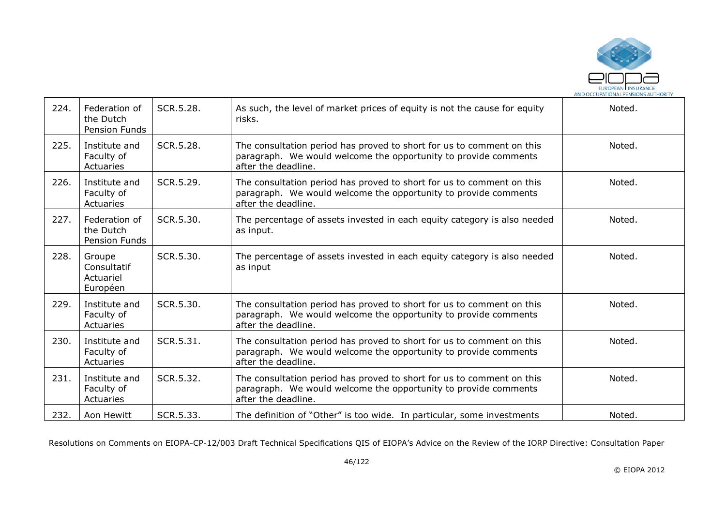

| 224. | Federation of<br>the Dutch<br>Pension Funds    | SCR.5.28. | As such, the level of market prices of equity is not the cause for equity<br>risks.                                                                             | Noted. |
|------|------------------------------------------------|-----------|-----------------------------------------------------------------------------------------------------------------------------------------------------------------|--------|
| 225. | Institute and<br>Faculty of<br>Actuaries       | SCR.5.28. | The consultation period has proved to short for us to comment on this<br>paragraph. We would welcome the opportunity to provide comments<br>after the deadline. | Noted. |
| 226. | Institute and<br>Faculty of<br>Actuaries       | SCR.5.29. | The consultation period has proved to short for us to comment on this<br>paragraph. We would welcome the opportunity to provide comments<br>after the deadline. | Noted. |
| 227. | Federation of<br>the Dutch<br>Pension Funds    | SCR.5.30. | The percentage of assets invested in each equity category is also needed<br>as input.                                                                           | Noted. |
| 228. | Groupe<br>Consultatif<br>Actuariel<br>Européen | SCR.5.30. | The percentage of assets invested in each equity category is also needed<br>as input                                                                            | Noted. |
| 229. | Institute and<br>Faculty of<br>Actuaries       | SCR.5.30. | The consultation period has proved to short for us to comment on this<br>paragraph. We would welcome the opportunity to provide comments<br>after the deadline. | Noted. |
| 230. | Institute and<br>Faculty of<br>Actuaries       | SCR.5.31. | The consultation period has proved to short for us to comment on this<br>paragraph. We would welcome the opportunity to provide comments<br>after the deadline. | Noted. |
| 231. | Institute and<br>Faculty of<br>Actuaries       | SCR.5.32. | The consultation period has proved to short for us to comment on this<br>paragraph. We would welcome the opportunity to provide comments<br>after the deadline. | Noted. |
| 232. | Aon Hewitt                                     | SCR.5.33. | The definition of "Other" is too wide. In particular, some investments                                                                                          | Noted. |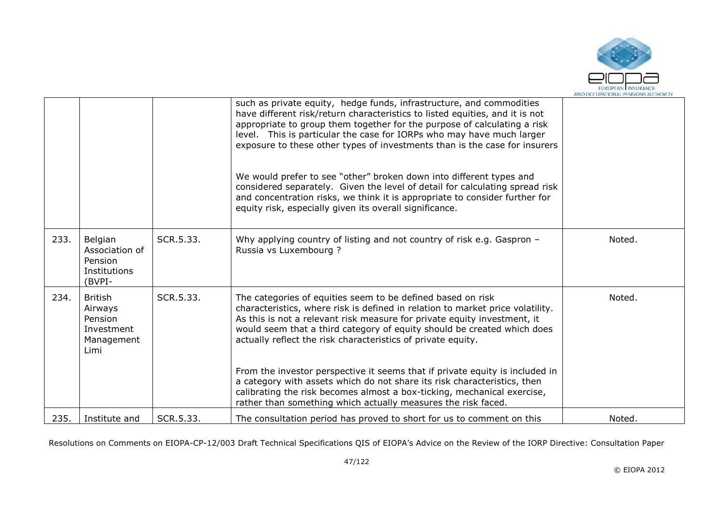

|      |                                                                          |           | such as private equity, hedge funds, infrastructure, and commodities<br>have different risk/return characteristics to listed equities, and it is not<br>appropriate to group them together for the purpose of calculating a risk<br>level. This is particular the case for IORPs who may have much larger<br>exposure to these other types of investments than is the case for insurers<br>We would prefer to see "other" broken down into different types and<br>considered separately. Given the level of detail for calculating spread risk<br>and concentration risks, we think it is appropriate to consider further for<br>equity risk, especially given its overall significance. |        |
|------|--------------------------------------------------------------------------|-----------|------------------------------------------------------------------------------------------------------------------------------------------------------------------------------------------------------------------------------------------------------------------------------------------------------------------------------------------------------------------------------------------------------------------------------------------------------------------------------------------------------------------------------------------------------------------------------------------------------------------------------------------------------------------------------------------|--------|
|      |                                                                          |           |                                                                                                                                                                                                                                                                                                                                                                                                                                                                                                                                                                                                                                                                                          |        |
| 233. | Belgian<br>Association of<br>Pension<br>Institutions<br>(BVPI-           | SCR.5.33. | Why applying country of listing and not country of risk e.g. Gaspron -<br>Russia vs Luxembourg ?                                                                                                                                                                                                                                                                                                                                                                                                                                                                                                                                                                                         | Noted. |
| 234. | <b>British</b><br>Airways<br>Pension<br>Investment<br>Management<br>Limi | SCR.5.33. | The categories of equities seem to be defined based on risk<br>characteristics, where risk is defined in relation to market price volatility.<br>As this is not a relevant risk measure for private equity investment, it<br>would seem that a third category of equity should be created which does<br>actually reflect the risk characteristics of private equity.                                                                                                                                                                                                                                                                                                                     | Noted. |
|      |                                                                          |           | From the investor perspective it seems that if private equity is included in<br>a category with assets which do not share its risk characteristics, then<br>calibrating the risk becomes almost a box-ticking, mechanical exercise,<br>rather than something which actually measures the risk faced.                                                                                                                                                                                                                                                                                                                                                                                     |        |
| 235. | Institute and                                                            | SCR.5.33. | The consultation period has proved to short for us to comment on this                                                                                                                                                                                                                                                                                                                                                                                                                                                                                                                                                                                                                    | Noted. |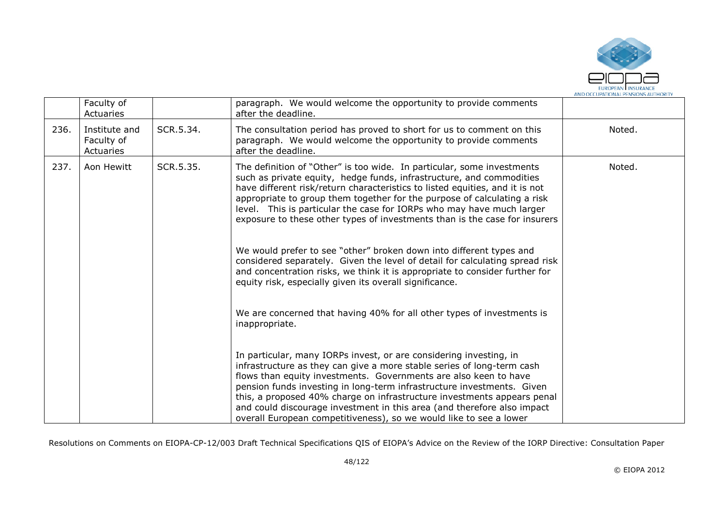

|      | Faculty of<br>Actuaries                  |           | paragraph. We would welcome the opportunity to provide comments<br>after the deadline.                                                                                                                                                                                                                                                                                                                                                                                                                                                                                                                                                                                                                                                                                                                                                                                                                                                                                                                                                                                                                                                                                                                                                  |        |
|------|------------------------------------------|-----------|-----------------------------------------------------------------------------------------------------------------------------------------------------------------------------------------------------------------------------------------------------------------------------------------------------------------------------------------------------------------------------------------------------------------------------------------------------------------------------------------------------------------------------------------------------------------------------------------------------------------------------------------------------------------------------------------------------------------------------------------------------------------------------------------------------------------------------------------------------------------------------------------------------------------------------------------------------------------------------------------------------------------------------------------------------------------------------------------------------------------------------------------------------------------------------------------------------------------------------------------|--------|
| 236. | Institute and<br>Faculty of<br>Actuaries | SCR.5.34. | The consultation period has proved to short for us to comment on this<br>paragraph. We would welcome the opportunity to provide comments<br>after the deadline.                                                                                                                                                                                                                                                                                                                                                                                                                                                                                                                                                                                                                                                                                                                                                                                                                                                                                                                                                                                                                                                                         | Noted. |
| 237. | Aon Hewitt                               | SCR.5.35. | The definition of "Other" is too wide. In particular, some investments<br>such as private equity, hedge funds, infrastructure, and commodities<br>have different risk/return characteristics to listed equities, and it is not<br>appropriate to group them together for the purpose of calculating a risk<br>level. This is particular the case for IORPs who may have much larger<br>exposure to these other types of investments than is the case for insurers<br>We would prefer to see "other" broken down into different types and<br>considered separately. Given the level of detail for calculating spread risk<br>and concentration risks, we think it is appropriate to consider further for<br>equity risk, especially given its overall significance.<br>We are concerned that having 40% for all other types of investments is<br>inappropriate.<br>In particular, many IORPs invest, or are considering investing, in<br>infrastructure as they can give a more stable series of long-term cash<br>flows than equity investments. Governments are also keen to have<br>pension funds investing in long-term infrastructure investments. Given<br>this, a proposed 40% charge on infrastructure investments appears penal | Noted. |
|      |                                          |           | and could discourage investment in this area (and therefore also impact<br>overall European competitiveness), so we would like to see a lower                                                                                                                                                                                                                                                                                                                                                                                                                                                                                                                                                                                                                                                                                                                                                                                                                                                                                                                                                                                                                                                                                           |        |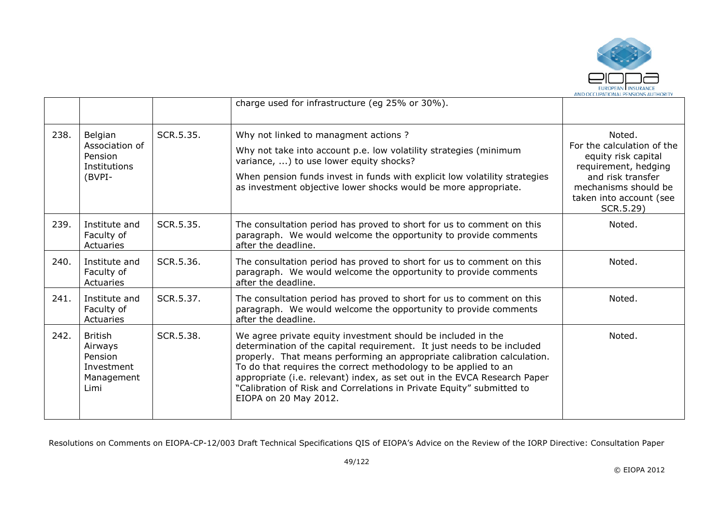

|      |                                                                   |           | charge used for infrastructure (eg 25% or 30%).                                                                                                                                                                                                                                                                                                                                                                                                                    |                                                                                                                                                                          |
|------|-------------------------------------------------------------------|-----------|--------------------------------------------------------------------------------------------------------------------------------------------------------------------------------------------------------------------------------------------------------------------------------------------------------------------------------------------------------------------------------------------------------------------------------------------------------------------|--------------------------------------------------------------------------------------------------------------------------------------------------------------------------|
| 238. | Belgian<br>Association of<br>Pension<br>Institutions<br>(BVPI-    | SCR.5.35. | Why not linked to managment actions?<br>Why not take into account p.e. low volatility strategies (minimum<br>variance, ) to use lower equity shocks?<br>When pension funds invest in funds with explicit low volatility strategies<br>as investment objective lower shocks would be more appropriate.                                                                                                                                                              | Noted.<br>For the calculation of the<br>equity risk capital<br>requirement, hedging<br>and risk transfer<br>mechanisms should be<br>taken into account (see<br>SCR.5.29) |
| 239. | Institute and<br>Faculty of<br>Actuaries                          | SCR.5.35. | The consultation period has proved to short for us to comment on this<br>paragraph. We would welcome the opportunity to provide comments<br>after the deadline.                                                                                                                                                                                                                                                                                                    | Noted.                                                                                                                                                                   |
| 240. | Institute and<br>Faculty of<br>Actuaries                          | SCR.5.36. | The consultation period has proved to short for us to comment on this<br>paragraph. We would welcome the opportunity to provide comments<br>after the deadline.                                                                                                                                                                                                                                                                                                    | Noted.                                                                                                                                                                   |
| 241. | Institute and<br>Faculty of<br>Actuaries                          | SCR.5.37. | The consultation period has proved to short for us to comment on this<br>paragraph. We would welcome the opportunity to provide comments<br>after the deadline.                                                                                                                                                                                                                                                                                                    | Noted.                                                                                                                                                                   |
| 242. | British<br>Airways<br>Pension<br>Investment<br>Management<br>Limi | SCR.5.38. | We agree private equity investment should be included in the<br>determination of the capital requirement. It just needs to be included<br>properly. That means performing an appropriate calibration calculation.<br>To do that requires the correct methodology to be applied to an<br>appropriate (i.e. relevant) index, as set out in the EVCA Research Paper<br>"Calibration of Risk and Correlations in Private Equity" submitted to<br>EIOPA on 20 May 2012. | Noted.                                                                                                                                                                   |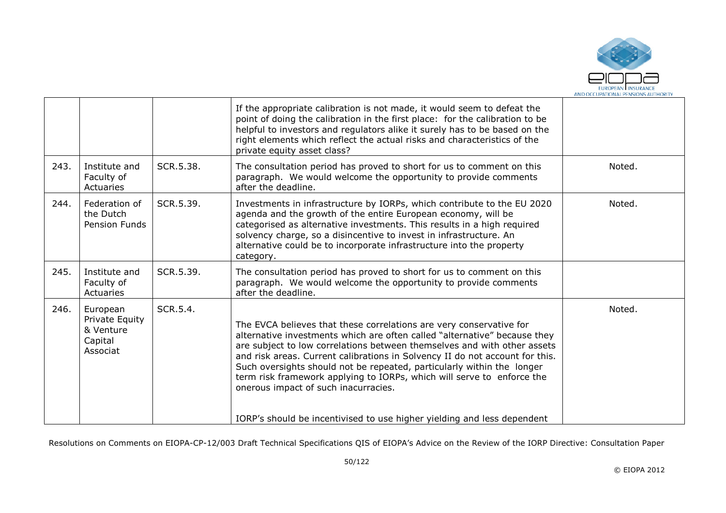

|      |                                                                |           | If the appropriate calibration is not made, it would seem to defeat the<br>point of doing the calibration in the first place: for the calibration to be<br>helpful to investors and regulators alike it surely has to be based on the<br>right elements which reflect the actual risks and characteristics of the<br>private equity asset class?                                                                                                                                                         |        |
|------|----------------------------------------------------------------|-----------|----------------------------------------------------------------------------------------------------------------------------------------------------------------------------------------------------------------------------------------------------------------------------------------------------------------------------------------------------------------------------------------------------------------------------------------------------------------------------------------------------------|--------|
| 243. | Institute and<br>Faculty of<br>Actuaries                       | SCR.5.38. | The consultation period has proved to short for us to comment on this<br>paragraph. We would welcome the opportunity to provide comments<br>after the deadline.                                                                                                                                                                                                                                                                                                                                          | Noted. |
| 244. | Federation of<br>the Dutch<br>Pension Funds                    | SCR.5.39. | Investments in infrastructure by IORPs, which contribute to the EU 2020<br>agenda and the growth of the entire European economy, will be<br>categorised as alternative investments. This results in a high required<br>solvency charge, so a disincentive to invest in infrastructure. An<br>alternative could be to incorporate infrastructure into the property<br>category.                                                                                                                           | Noted. |
| 245. | Institute and<br>Faculty of<br>Actuaries                       | SCR.5.39. | The consultation period has proved to short for us to comment on this<br>paragraph. We would welcome the opportunity to provide comments<br>after the deadline.                                                                                                                                                                                                                                                                                                                                          |        |
| 246. | European<br>Private Equity<br>& Venture<br>Capital<br>Associat | SCR.5.4.  | The EVCA believes that these correlations are very conservative for<br>alternative investments which are often called "alternative" because they<br>are subject to low correlations between themselves and with other assets<br>and risk areas. Current calibrations in Solvency II do not account for this.<br>Such oversights should not be repeated, particularly within the longer<br>term risk framework applying to IORPs, which will serve to enforce the<br>onerous impact of such inacurracies. | Noted. |
|      |                                                                |           | IORP's should be incentivised to use higher yielding and less dependent                                                                                                                                                                                                                                                                                                                                                                                                                                  |        |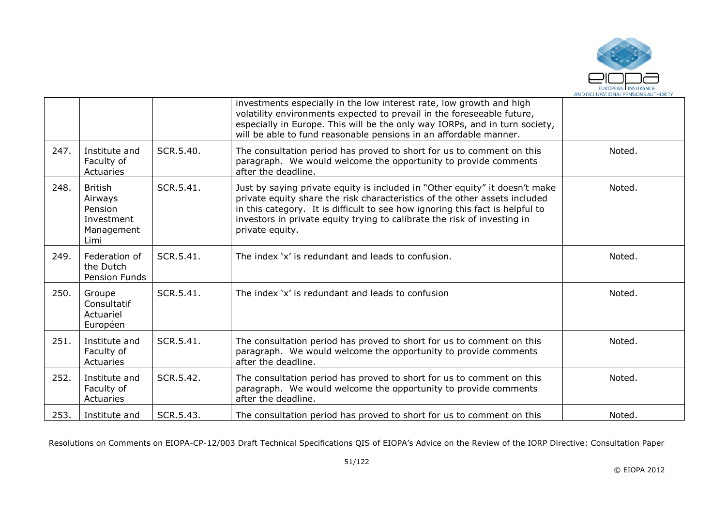

|      |                                                                          |           | investments especially in the low interest rate, low growth and high<br>volatility environments expected to prevail in the foreseeable future,<br>especially in Europe. This will be the only way IORPs, and in turn society,<br>will be able to fund reasonable pensions in an affordable manner.                                        |        |
|------|--------------------------------------------------------------------------|-----------|-------------------------------------------------------------------------------------------------------------------------------------------------------------------------------------------------------------------------------------------------------------------------------------------------------------------------------------------|--------|
| 247. | Institute and<br>Faculty of<br>Actuaries                                 | SCR.5.40. | The consultation period has proved to short for us to comment on this<br>paragraph. We would welcome the opportunity to provide comments<br>after the deadline.                                                                                                                                                                           | Noted. |
| 248. | <b>British</b><br>Airways<br>Pension<br>Investment<br>Management<br>Limi | SCR.5.41. | Just by saying private equity is included in "Other equity" it doesn't make<br>private equity share the risk characteristics of the other assets included<br>in this category. It is difficult to see how ignoring this fact is helpful to<br>investors in private equity trying to calibrate the risk of investing in<br>private equity. | Noted. |
| 249. | Federation of<br>the Dutch<br>Pension Funds                              | SCR.5.41. | The index 'x' is redundant and leads to confusion.                                                                                                                                                                                                                                                                                        | Noted. |
| 250. | Groupe<br>Consultatif<br>Actuariel<br>Européen                           | SCR.5.41. | The index 'x' is redundant and leads to confusion                                                                                                                                                                                                                                                                                         | Noted. |
| 251. | Institute and<br>Faculty of<br>Actuaries                                 | SCR.5.41. | The consultation period has proved to short for us to comment on this<br>paragraph. We would welcome the opportunity to provide comments<br>after the deadline.                                                                                                                                                                           | Noted. |
| 252. | Institute and<br>Faculty of<br>Actuaries                                 | SCR.5.42. | The consultation period has proved to short for us to comment on this<br>paragraph. We would welcome the opportunity to provide comments<br>after the deadline.                                                                                                                                                                           | Noted. |
| 253. | Institute and                                                            | SCR.5.43. | The consultation period has proved to short for us to comment on this                                                                                                                                                                                                                                                                     | Noted. |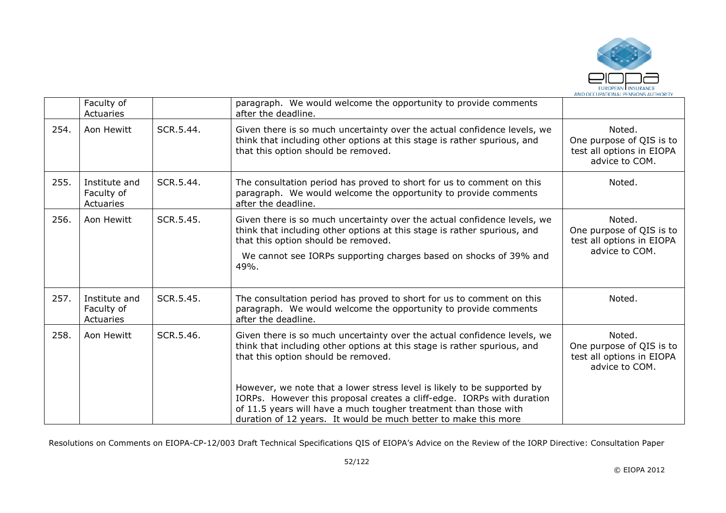

|      | Faculty of<br>Actuaries                  |           | paragraph. We would welcome the opportunity to provide comments<br>after the deadline.                                                                                                                                                                                                   |                                                                                   |
|------|------------------------------------------|-----------|------------------------------------------------------------------------------------------------------------------------------------------------------------------------------------------------------------------------------------------------------------------------------------------|-----------------------------------------------------------------------------------|
| 254. | Aon Hewitt                               | SCR.5.44. | Given there is so much uncertainty over the actual confidence levels, we<br>think that including other options at this stage is rather spurious, and<br>that this option should be removed.                                                                                              | Noted.<br>One purpose of QIS is to<br>test all options in EIOPA<br>advice to COM. |
| 255. | Institute and<br>Faculty of<br>Actuaries | SCR.5.44. | The consultation period has proved to short for us to comment on this<br>paragraph. We would welcome the opportunity to provide comments<br>after the deadline.                                                                                                                          | Noted.                                                                            |
| 256. | Aon Hewitt                               | SCR.5.45. | Given there is so much uncertainty over the actual confidence levels, we<br>think that including other options at this stage is rather spurious, and<br>that this option should be removed.<br>We cannot see IORPs supporting charges based on shocks of 39% and<br>49%.                 | Noted.<br>One purpose of QIS is to<br>test all options in EIOPA<br>advice to COM. |
| 257. | Institute and<br>Faculty of<br>Actuaries | SCR.5.45. | The consultation period has proved to short for us to comment on this<br>paragraph. We would welcome the opportunity to provide comments<br>after the deadline.                                                                                                                          | Noted.                                                                            |
| 258. | Aon Hewitt                               | SCR.5.46. | Given there is so much uncertainty over the actual confidence levels, we<br>think that including other options at this stage is rather spurious, and<br>that this option should be removed.                                                                                              | Noted.<br>One purpose of QIS is to<br>test all options in EIOPA<br>advice to COM. |
|      |                                          |           | However, we note that a lower stress level is likely to be supported by<br>IORPs. However this proposal creates a cliff-edge. IORPs with duration<br>of 11.5 years will have a much tougher treatment than those with<br>duration of 12 years. It would be much better to make this more |                                                                                   |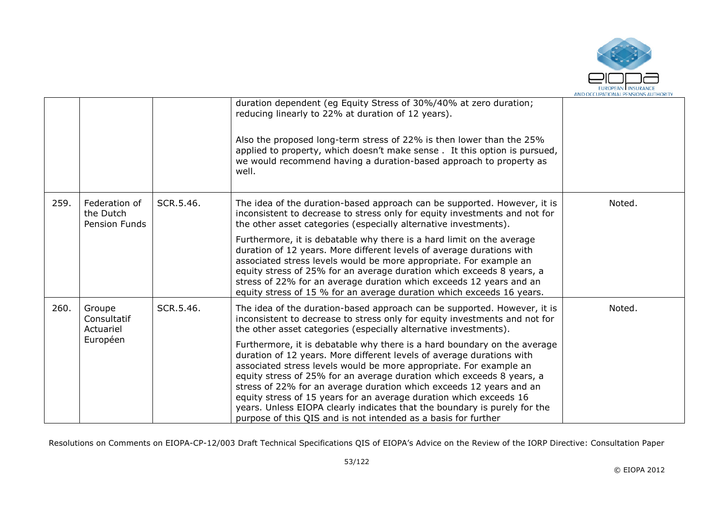

|      |                                             |           | duration dependent (eg Equity Stress of 30%/40% at zero duration;<br>reducing linearly to 22% at duration of 12 years).<br>Also the proposed long-term stress of 22% is then lower than the 25%<br>applied to property, which doesn't make sense. It this option is pursued,<br>we would recommend having a duration-based approach to property as<br>well.                                                                                                                                                                                                                                  |        |
|------|---------------------------------------------|-----------|----------------------------------------------------------------------------------------------------------------------------------------------------------------------------------------------------------------------------------------------------------------------------------------------------------------------------------------------------------------------------------------------------------------------------------------------------------------------------------------------------------------------------------------------------------------------------------------------|--------|
| 259. | Federation of<br>the Dutch<br>Pension Funds | SCR.5.46. | The idea of the duration-based approach can be supported. However, it is<br>inconsistent to decrease to stress only for equity investments and not for<br>the other asset categories (especially alternative investments).                                                                                                                                                                                                                                                                                                                                                                   | Noted. |
|      |                                             |           | Furthermore, it is debatable why there is a hard limit on the average<br>duration of 12 years. More different levels of average durations with<br>associated stress levels would be more appropriate. For example an<br>equity stress of 25% for an average duration which exceeds 8 years, a<br>stress of 22% for an average duration which exceeds 12 years and an<br>equity stress of 15 % for an average duration which exceeds 16 years.                                                                                                                                                |        |
| 260. | Groupe<br>Consultatif<br>Actuariel          | SCR.5.46. | The idea of the duration-based approach can be supported. However, it is<br>inconsistent to decrease to stress only for equity investments and not for<br>the other asset categories (especially alternative investments).                                                                                                                                                                                                                                                                                                                                                                   | Noted. |
|      | Européen                                    |           | Furthermore, it is debatable why there is a hard boundary on the average<br>duration of 12 years. More different levels of average durations with<br>associated stress levels would be more appropriate. For example an<br>equity stress of 25% for an average duration which exceeds 8 years, a<br>stress of 22% for an average duration which exceeds 12 years and an<br>equity stress of 15 years for an average duration which exceeds 16<br>years. Unless EIOPA clearly indicates that the boundary is purely for the<br>purpose of this QIS and is not intended as a basis for further |        |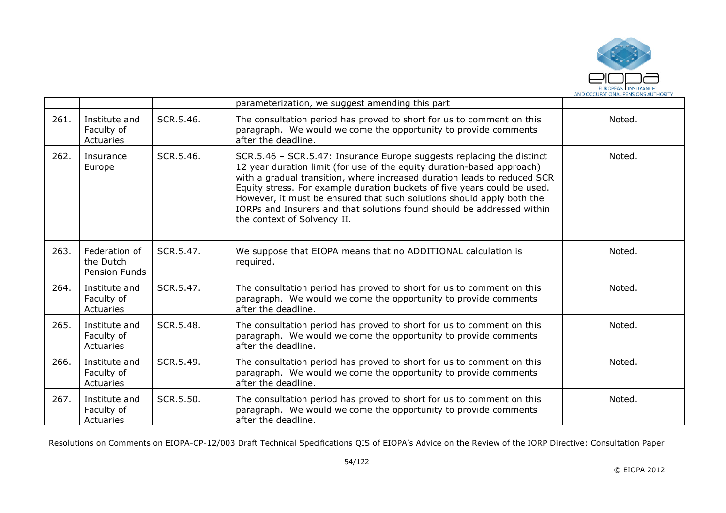

|      |                                             |           | parameterization, we suggest amending this part                                                                                                                                                                                                                                                                                                                                                                                                                                           |        |
|------|---------------------------------------------|-----------|-------------------------------------------------------------------------------------------------------------------------------------------------------------------------------------------------------------------------------------------------------------------------------------------------------------------------------------------------------------------------------------------------------------------------------------------------------------------------------------------|--------|
| 261. | Institute and<br>Faculty of<br>Actuaries    | SCR.5.46. | The consultation period has proved to short for us to comment on this<br>paragraph. We would welcome the opportunity to provide comments<br>after the deadline.                                                                                                                                                                                                                                                                                                                           | Noted. |
| 262. | Insurance<br>Europe                         | SCR.5.46. | SCR.5.46 - SCR.5.47: Insurance Europe suggests replacing the distinct<br>12 year duration limit (for use of the equity duration-based approach)<br>with a gradual transition, where increased duration leads to reduced SCR<br>Equity stress. For example duration buckets of five years could be used.<br>However, it must be ensured that such solutions should apply both the<br>IORPs and Insurers and that solutions found should be addressed within<br>the context of Solvency II. | Noted. |
| 263. | Federation of<br>the Dutch<br>Pension Funds | SCR.5.47. | We suppose that EIOPA means that no ADDITIONAL calculation is<br>required.                                                                                                                                                                                                                                                                                                                                                                                                                | Noted. |
| 264. | Institute and<br>Faculty of<br>Actuaries    | SCR.5.47. | The consultation period has proved to short for us to comment on this<br>paragraph. We would welcome the opportunity to provide comments<br>after the deadline.                                                                                                                                                                                                                                                                                                                           | Noted. |
| 265. | Institute and<br>Faculty of<br>Actuaries    | SCR.5.48. | The consultation period has proved to short for us to comment on this<br>paragraph. We would welcome the opportunity to provide comments<br>after the deadline.                                                                                                                                                                                                                                                                                                                           | Noted. |
| 266. | Institute and<br>Faculty of<br>Actuaries    | SCR.5.49. | The consultation period has proved to short for us to comment on this<br>paragraph. We would welcome the opportunity to provide comments<br>after the deadline.                                                                                                                                                                                                                                                                                                                           | Noted. |
| 267. | Institute and<br>Faculty of<br>Actuaries    | SCR.5.50. | The consultation period has proved to short for us to comment on this<br>paragraph. We would welcome the opportunity to provide comments<br>after the deadline.                                                                                                                                                                                                                                                                                                                           | Noted. |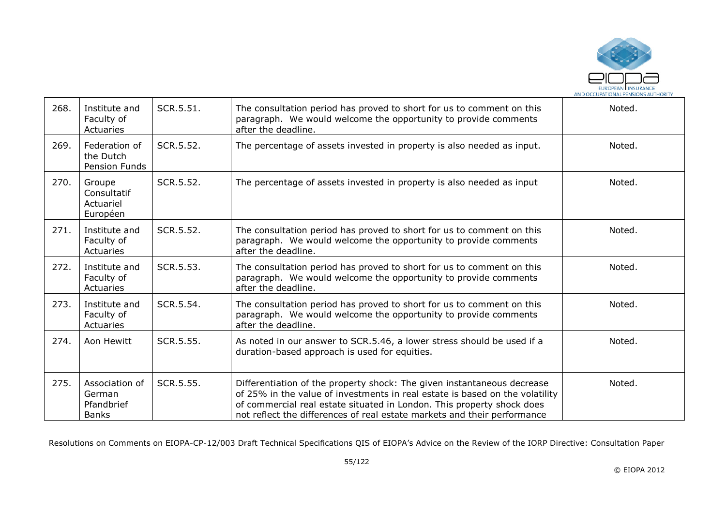

| 268. | Institute and<br>Faculty of<br>Actuaries               | SCR.5.51. | The consultation period has proved to short for us to comment on this<br>paragraph. We would welcome the opportunity to provide comments<br>after the deadline.                                                                                                                                               | Noted. |
|------|--------------------------------------------------------|-----------|---------------------------------------------------------------------------------------------------------------------------------------------------------------------------------------------------------------------------------------------------------------------------------------------------------------|--------|
| 269. | Federation of<br>the Dutch<br>Pension Funds            | SCR.5.52. | The percentage of assets invested in property is also needed as input.                                                                                                                                                                                                                                        | Noted. |
| 270. | Groupe<br>Consultatif<br>Actuariel<br>Européen         | SCR.5.52. | The percentage of assets invested in property is also needed as input                                                                                                                                                                                                                                         | Noted. |
| 271. | Institute and<br>Faculty of<br>Actuaries               | SCR.5.52. | The consultation period has proved to short for us to comment on this<br>paragraph. We would welcome the opportunity to provide comments<br>after the deadline.                                                                                                                                               | Noted. |
| 272. | Institute and<br>Faculty of<br>Actuaries               | SCR.5.53. | The consultation period has proved to short for us to comment on this<br>paragraph. We would welcome the opportunity to provide comments<br>after the deadline.                                                                                                                                               | Noted. |
| 273. | Institute and<br>Faculty of<br>Actuaries               | SCR.5.54. | The consultation period has proved to short for us to comment on this<br>paragraph. We would welcome the opportunity to provide comments<br>after the deadline.                                                                                                                                               | Noted. |
| 274. | Aon Hewitt                                             | SCR.5.55. | As noted in our answer to SCR.5.46, a lower stress should be used if a<br>duration-based approach is used for equities.                                                                                                                                                                                       | Noted. |
| 275. | Association of<br>German<br>Pfandbrief<br><b>Banks</b> | SCR.5.55. | Differentiation of the property shock: The given instantaneous decrease<br>of 25% in the value of investments in real estate is based on the volatility<br>of commercial real estate situated in London. This property shock does<br>not reflect the differences of real estate markets and their performance | Noted. |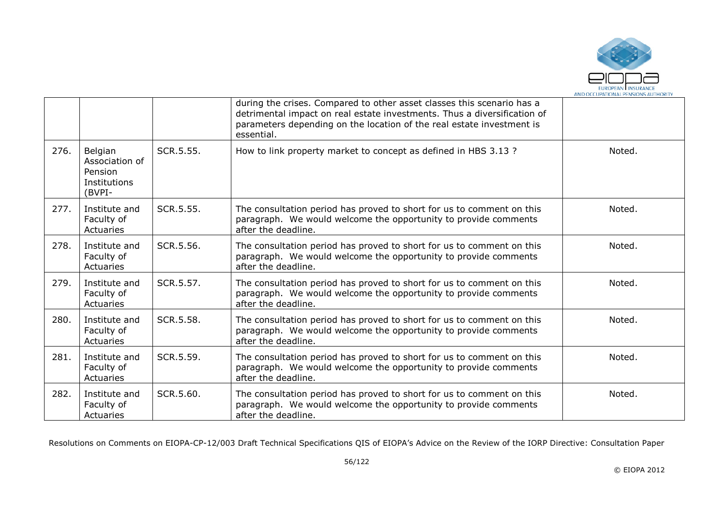

|      |                                                                |           | during the crises. Compared to other asset classes this scenario has a<br>detrimental impact on real estate investments. Thus a diversification of<br>parameters depending on the location of the real estate investment is<br>essential. |        |
|------|----------------------------------------------------------------|-----------|-------------------------------------------------------------------------------------------------------------------------------------------------------------------------------------------------------------------------------------------|--------|
| 276. | Belgian<br>Association of<br>Pension<br>Institutions<br>(BVPI- | SCR.5.55. | How to link property market to concept as defined in HBS 3.13 ?                                                                                                                                                                           | Noted. |
| 277. | Institute and<br>Faculty of<br>Actuaries                       | SCR.5.55. | The consultation period has proved to short for us to comment on this<br>paragraph. We would welcome the opportunity to provide comments<br>after the deadline.                                                                           | Noted. |
| 278. | Institute and<br>Faculty of<br>Actuaries                       | SCR.5.56. | The consultation period has proved to short for us to comment on this<br>paragraph. We would welcome the opportunity to provide comments<br>after the deadline.                                                                           | Noted. |
| 279. | Institute and<br>Faculty of<br>Actuaries                       | SCR.5.57. | The consultation period has proved to short for us to comment on this<br>paragraph. We would welcome the opportunity to provide comments<br>after the deadline.                                                                           | Noted. |
| 280. | Institute and<br>Faculty of<br>Actuaries                       | SCR.5.58. | The consultation period has proved to short for us to comment on this<br>paragraph. We would welcome the opportunity to provide comments<br>after the deadline.                                                                           | Noted. |
| 281. | Institute and<br>Faculty of<br>Actuaries                       | SCR.5.59. | The consultation period has proved to short for us to comment on this<br>paragraph. We would welcome the opportunity to provide comments<br>after the deadline.                                                                           | Noted. |
| 282. | Institute and<br>Faculty of<br>Actuaries                       | SCR.5.60. | The consultation period has proved to short for us to comment on this<br>paragraph. We would welcome the opportunity to provide comments<br>after the deadline.                                                                           | Noted. |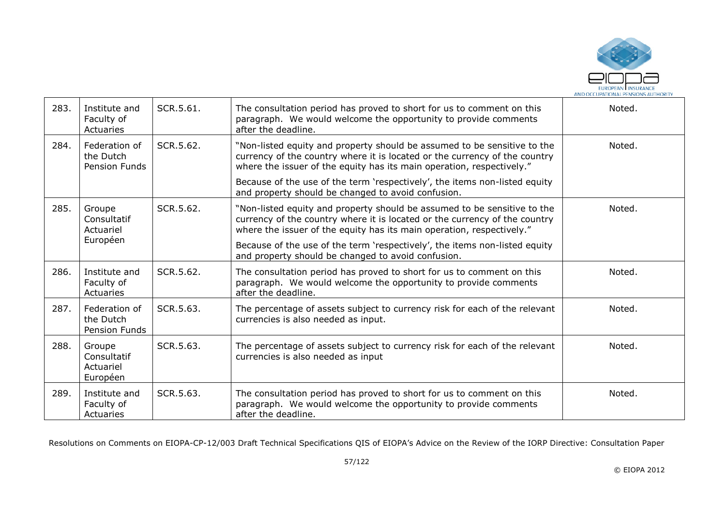

| 283. | Institute and<br>Faculty of<br>Actuaries        | SCR.5.61. | The consultation period has proved to short for us to comment on this<br>paragraph. We would welcome the opportunity to provide comments<br>after the deadline.                                                                 | Noted. |
|------|-------------------------------------------------|-----------|---------------------------------------------------------------------------------------------------------------------------------------------------------------------------------------------------------------------------------|--------|
| 284. | Federation of<br>the Dutch<br>Pension Funds     | SCR.5.62. | "Non-listed equity and property should be assumed to be sensitive to the<br>currency of the country where it is located or the currency of the country<br>where the issuer of the equity has its main operation, respectively." | Noted. |
|      |                                                 |           | Because of the use of the term 'respectively', the items non-listed equity<br>and property should be changed to avoid confusion.                                                                                                |        |
| 285. | Groupe<br>Consultatif<br>Actuariel              | SCR.5.62. | "Non-listed equity and property should be assumed to be sensitive to the<br>currency of the country where it is located or the currency of the country<br>where the issuer of the equity has its main operation, respectively." | Noted. |
|      | Européen                                        |           | Because of the use of the term 'respectively', the items non-listed equity<br>and property should be changed to avoid confusion.                                                                                                |        |
| 286. | Institute and<br>Faculty of<br>Actuaries        | SCR.5.62. | The consultation period has proved to short for us to comment on this<br>paragraph. We would welcome the opportunity to provide comments<br>after the deadline.                                                                 | Noted. |
| 287. | Federation of<br>the Dutch<br>Pension Funds     | SCR.5.63. | The percentage of assets subject to currency risk for each of the relevant<br>currencies is also needed as input.                                                                                                               | Noted. |
| 288. | Groupe<br>Consultatif<br>Actuariel<br>Européen  | SCR.5.63. | The percentage of assets subject to currency risk for each of the relevant<br>currencies is also needed as input                                                                                                                | Noted. |
| 289. | Institute and<br>Faculty of<br><b>Actuaries</b> | SCR.5.63. | The consultation period has proved to short for us to comment on this<br>paragraph. We would welcome the opportunity to provide comments<br>after the deadline.                                                                 | Noted. |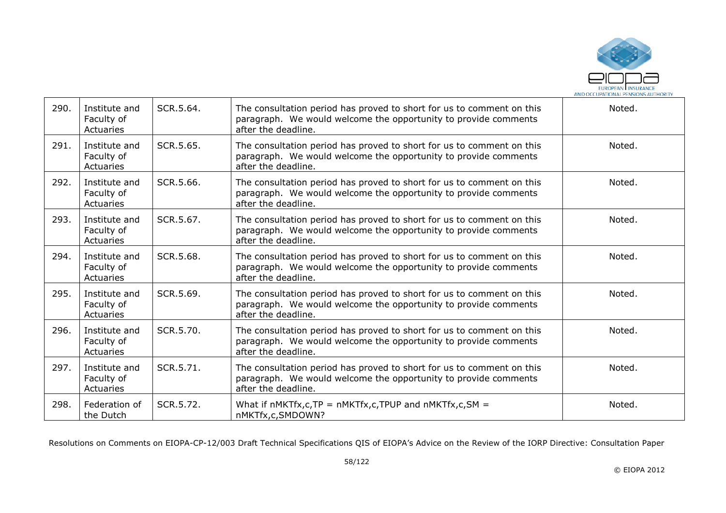

| 290. | Institute and<br>Faculty of<br>Actuaries | SCR.5.64. | The consultation period has proved to short for us to comment on this<br>paragraph. We would welcome the opportunity to provide comments<br>after the deadline. | Noted. |
|------|------------------------------------------|-----------|-----------------------------------------------------------------------------------------------------------------------------------------------------------------|--------|
| 291. | Institute and<br>Faculty of<br>Actuaries | SCR.5.65. | The consultation period has proved to short for us to comment on this<br>paragraph. We would welcome the opportunity to provide comments<br>after the deadline. | Noted. |
| 292. | Institute and<br>Faculty of<br>Actuaries | SCR.5.66. | The consultation period has proved to short for us to comment on this<br>paragraph. We would welcome the opportunity to provide comments<br>after the deadline. | Noted. |
| 293. | Institute and<br>Faculty of<br>Actuaries | SCR.5.67. | The consultation period has proved to short for us to comment on this<br>paragraph. We would welcome the opportunity to provide comments<br>after the deadline. | Noted. |
| 294. | Institute and<br>Faculty of<br>Actuaries | SCR.5.68. | The consultation period has proved to short for us to comment on this<br>paragraph. We would welcome the opportunity to provide comments<br>after the deadline. | Noted. |
| 295. | Institute and<br>Faculty of<br>Actuaries | SCR.5.69. | The consultation period has proved to short for us to comment on this<br>paragraph. We would welcome the opportunity to provide comments<br>after the deadline. | Noted. |
| 296. | Institute and<br>Faculty of<br>Actuaries | SCR.5.70. | The consultation period has proved to short for us to comment on this<br>paragraph. We would welcome the opportunity to provide comments<br>after the deadline. | Noted. |
| 297. | Institute and<br>Faculty of<br>Actuaries | SCR.5.71. | The consultation period has proved to short for us to comment on this<br>paragraph. We would welcome the opportunity to provide comments<br>after the deadline. | Noted. |
| 298. | Federation of<br>the Dutch               | SCR.5.72. | What if $nMKTf x, c, TP = nMKTf x, c, TPUP$ and $nMKTf x, c, SM =$<br>nMKTfx,c,SMDOWN?                                                                          | Noted. |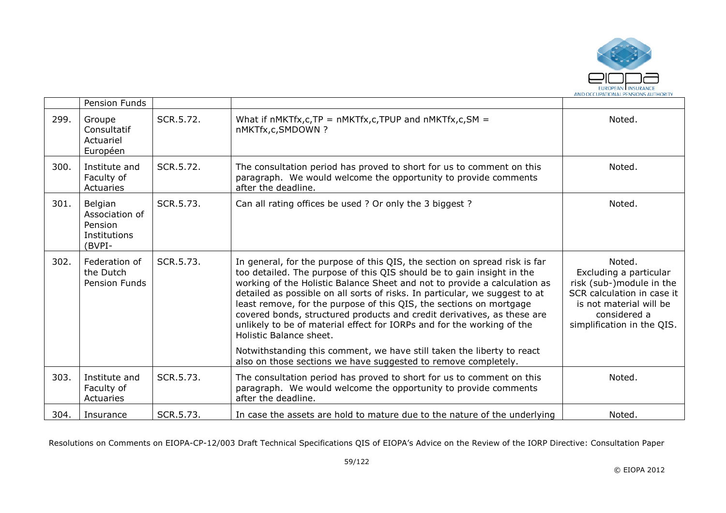

|      | Pension Funds                                                  |           |                                                                                                                                                                                                                                                                                                                                                                                                                                                                                                                                                                         |                                                                                                                                                                     |
|------|----------------------------------------------------------------|-----------|-------------------------------------------------------------------------------------------------------------------------------------------------------------------------------------------------------------------------------------------------------------------------------------------------------------------------------------------------------------------------------------------------------------------------------------------------------------------------------------------------------------------------------------------------------------------------|---------------------------------------------------------------------------------------------------------------------------------------------------------------------|
| 299. | Groupe<br>Consultatif<br>Actuariel<br>Européen                 | SCR.5.72. | What if $nMKTf x, c, TP = nMKTf x, c, TPUP$ and $nMKTf x, c, SM =$<br>nMKTfx,c,SMDOWN?                                                                                                                                                                                                                                                                                                                                                                                                                                                                                  | Noted.                                                                                                                                                              |
| 300. | Institute and<br>Faculty of<br>Actuaries                       | SCR.5.72. | The consultation period has proved to short for us to comment on this<br>paragraph. We would welcome the opportunity to provide comments<br>after the deadline.                                                                                                                                                                                                                                                                                                                                                                                                         | Noted.                                                                                                                                                              |
| 301. | Belgian<br>Association of<br>Pension<br>Institutions<br>(BVPI- | SCR.5.73. | Can all rating offices be used ? Or only the 3 biggest ?                                                                                                                                                                                                                                                                                                                                                                                                                                                                                                                | Noted.                                                                                                                                                              |
| 302. | Federation of<br>the Dutch<br><b>Pension Funds</b>             | SCR.5.73. | In general, for the purpose of this QIS, the section on spread risk is far<br>too detailed. The purpose of this QIS should be to gain insight in the<br>working of the Holistic Balance Sheet and not to provide a calculation as<br>detailed as possible on all sorts of risks. In particular, we suggest to at<br>least remove, for the purpose of this QIS, the sections on mortgage<br>covered bonds, structured products and credit derivatives, as these are<br>unlikely to be of material effect for IORPs and for the working of the<br>Holistic Balance sheet. | Noted.<br>Excluding a particular<br>risk (sub-)module in the<br>SCR calculation in case it<br>is not material will be<br>considered a<br>simplification in the QIS. |
|      |                                                                |           | Notwithstanding this comment, we have still taken the liberty to react<br>also on those sections we have suggested to remove completely.                                                                                                                                                                                                                                                                                                                                                                                                                                |                                                                                                                                                                     |
| 303. | Institute and<br>Faculty of<br>Actuaries                       | SCR.5.73. | The consultation period has proved to short for us to comment on this<br>paragraph. We would welcome the opportunity to provide comments<br>after the deadline.                                                                                                                                                                                                                                                                                                                                                                                                         | Noted.                                                                                                                                                              |
| 304. | Insurance                                                      | SCR.5.73. | In case the assets are hold to mature due to the nature of the underlying                                                                                                                                                                                                                                                                                                                                                                                                                                                                                               | Noted.                                                                                                                                                              |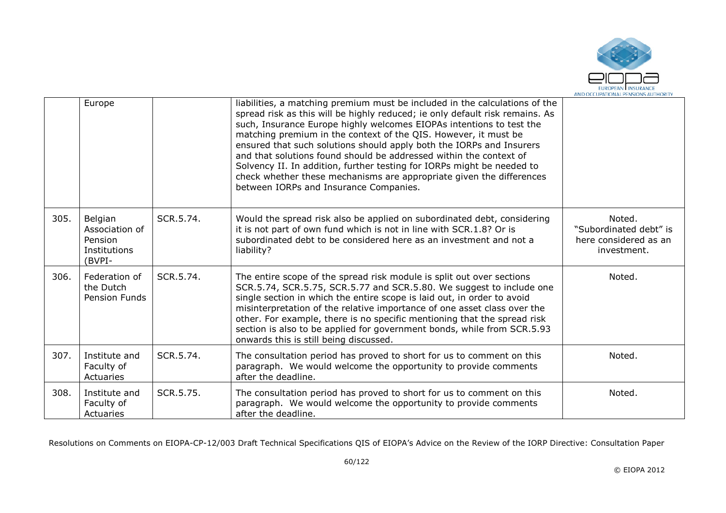

|      | Europe                                                         |           | liabilities, a matching premium must be included in the calculations of the<br>spread risk as this will be highly reduced; ie only default risk remains. As<br>such, Insurance Europe highly welcomes EIOPAs intentions to test the<br>matching premium in the context of the QIS. However, it must be<br>ensured that such solutions should apply both the IORPs and Insurers<br>and that solutions found should be addressed within the context of<br>Solvency II. In addition, further testing for IORPs might be needed to<br>check whether these mechanisms are appropriate given the differences<br>between IORPs and Insurance Companies. |                                                                          |
|------|----------------------------------------------------------------|-----------|--------------------------------------------------------------------------------------------------------------------------------------------------------------------------------------------------------------------------------------------------------------------------------------------------------------------------------------------------------------------------------------------------------------------------------------------------------------------------------------------------------------------------------------------------------------------------------------------------------------------------------------------------|--------------------------------------------------------------------------|
| 305. | Belgian<br>Association of<br>Pension<br>Institutions<br>(BVPI- | SCR.5.74. | Would the spread risk also be applied on subordinated debt, considering<br>it is not part of own fund which is not in line with SCR.1.8? Or is<br>subordinated debt to be considered here as an investment and not a<br>liability?                                                                                                                                                                                                                                                                                                                                                                                                               | Noted.<br>"Subordinated debt" is<br>here considered as an<br>investment. |
| 306. | Federation of<br>the Dutch<br>Pension Funds                    | SCR.5.74. | The entire scope of the spread risk module is split out over sections<br>SCR.5.74, SCR.5.75, SCR.5.77 and SCR.5.80. We suggest to include one<br>single section in which the entire scope is laid out, in order to avoid<br>misinterpretation of the relative importance of one asset class over the<br>other. For example, there is no specific mentioning that the spread risk<br>section is also to be applied for government bonds, while from SCR.5.93<br>onwards this is still being discussed.                                                                                                                                            | Noted.                                                                   |
| 307. | Institute and<br>Faculty of<br>Actuaries                       | SCR.5.74. | The consultation period has proved to short for us to comment on this<br>paragraph. We would welcome the opportunity to provide comments<br>after the deadline.                                                                                                                                                                                                                                                                                                                                                                                                                                                                                  | Noted.                                                                   |
| 308. | Institute and<br>Faculty of<br>Actuaries                       | SCR.5.75. | The consultation period has proved to short for us to comment on this<br>paragraph. We would welcome the opportunity to provide comments<br>after the deadline.                                                                                                                                                                                                                                                                                                                                                                                                                                                                                  | Noted.                                                                   |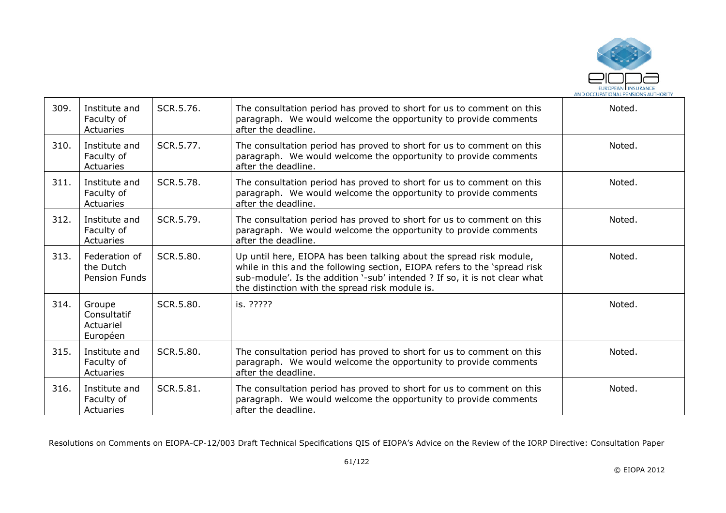

| 309. | Institute and<br>Faculty of<br>Actuaries           | SCR.5.76. | The consultation period has proved to short for us to comment on this<br>paragraph. We would welcome the opportunity to provide comments<br>after the deadline.                                                                                                                   | Noted. |
|------|----------------------------------------------------|-----------|-----------------------------------------------------------------------------------------------------------------------------------------------------------------------------------------------------------------------------------------------------------------------------------|--------|
| 310. | Institute and<br>Faculty of<br>Actuaries           | SCR.5.77. | The consultation period has proved to short for us to comment on this<br>paragraph. We would welcome the opportunity to provide comments<br>after the deadline.                                                                                                                   | Noted. |
| 311. | Institute and<br>Faculty of<br>Actuaries           | SCR.5.78. | The consultation period has proved to short for us to comment on this<br>paragraph. We would welcome the opportunity to provide comments<br>after the deadline.                                                                                                                   | Noted. |
| 312. | Institute and<br>Faculty of<br>Actuaries           | SCR.5.79. | The consultation period has proved to short for us to comment on this<br>paragraph. We would welcome the opportunity to provide comments<br>after the deadline.                                                                                                                   | Noted. |
| 313. | Federation of<br>the Dutch<br><b>Pension Funds</b> | SCR.5.80. | Up until here, EIOPA has been talking about the spread risk module,<br>while in this and the following section, EIOPA refers to the 'spread risk<br>sub-module'. Is the addition '-sub' intended ? If so, it is not clear what<br>the distinction with the spread risk module is. | Noted. |
| 314. | Groupe<br>Consultatif<br>Actuariel<br>Européen     | SCR.5.80. | is. ?????                                                                                                                                                                                                                                                                         | Noted. |
| 315. | Institute and<br>Faculty of<br>Actuaries           | SCR.5.80. | The consultation period has proved to short for us to comment on this<br>paragraph. We would welcome the opportunity to provide comments<br>after the deadline.                                                                                                                   | Noted. |
| 316. | Institute and<br>Faculty of<br>Actuaries           | SCR.5.81. | The consultation period has proved to short for us to comment on this<br>paragraph. We would welcome the opportunity to provide comments<br>after the deadline.                                                                                                                   | Noted. |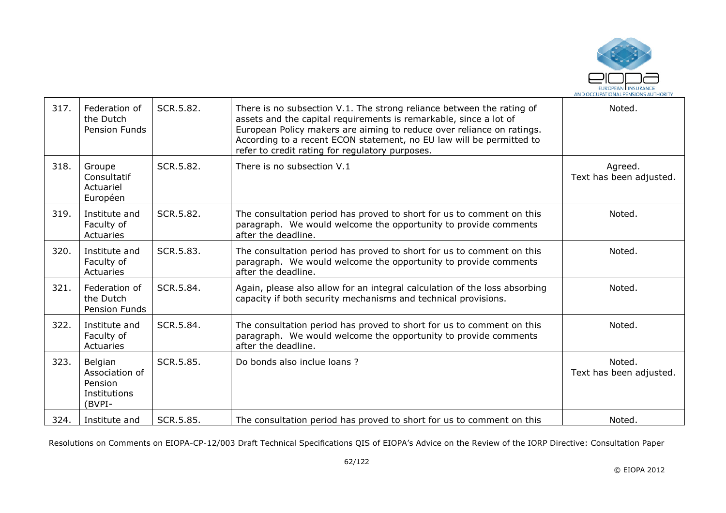

| 317. | Federation of<br>the Dutch<br>Pension Funds                    | SCR.5.82. | There is no subsection V.1. The strong reliance between the rating of<br>assets and the capital requirements is remarkable, since a lot of<br>European Policy makers are aiming to reduce over reliance on ratings.<br>According to a recent ECON statement, no EU law will be permitted to<br>refer to credit rating for regulatory purposes. | Noted.                             |
|------|----------------------------------------------------------------|-----------|------------------------------------------------------------------------------------------------------------------------------------------------------------------------------------------------------------------------------------------------------------------------------------------------------------------------------------------------|------------------------------------|
| 318. | Groupe<br>Consultatif<br>Actuariel<br>Européen                 | SCR.5.82. | There is no subsection V.1                                                                                                                                                                                                                                                                                                                     | Agreed.<br>Text has been adjusted. |
| 319. | Institute and<br>Faculty of<br>Actuaries                       | SCR.5.82. | The consultation period has proved to short for us to comment on this<br>paragraph. We would welcome the opportunity to provide comments<br>after the deadline.                                                                                                                                                                                | Noted.                             |
| 320. | Institute and<br>Faculty of<br>Actuaries                       | SCR.5.83. | The consultation period has proved to short for us to comment on this<br>paragraph. We would welcome the opportunity to provide comments<br>after the deadline.                                                                                                                                                                                | Noted.                             |
| 321. | Federation of<br>the Dutch<br>Pension Funds                    | SCR.5.84. | Again, please also allow for an integral calculation of the loss absorbing<br>capacity if both security mechanisms and technical provisions.                                                                                                                                                                                                   | Noted.                             |
| 322. | Institute and<br>Faculty of<br>Actuaries                       | SCR.5.84. | The consultation period has proved to short for us to comment on this<br>paragraph. We would welcome the opportunity to provide comments<br>after the deadline.                                                                                                                                                                                | Noted.                             |
| 323. | Belgian<br>Association of<br>Pension<br>Institutions<br>(BVPI- | SCR.5.85. | Do bonds also inclue loans?                                                                                                                                                                                                                                                                                                                    | Noted.<br>Text has been adjusted.  |
| 324. | Institute and                                                  | SCR.5.85. | The consultation period has proved to short for us to comment on this                                                                                                                                                                                                                                                                          | Noted.                             |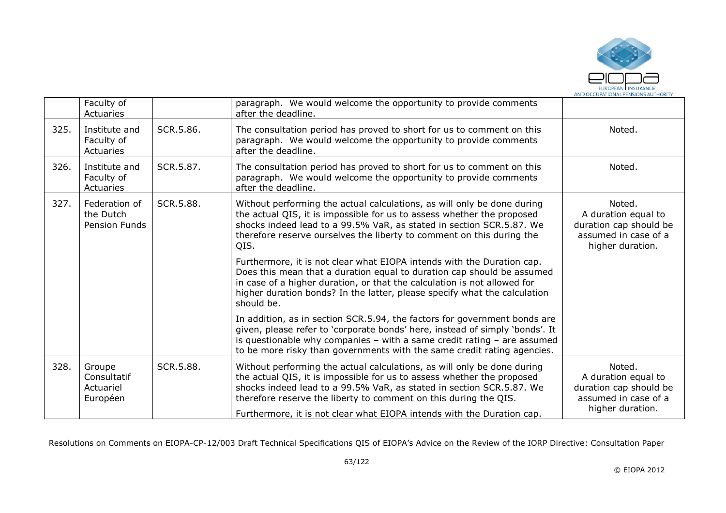

|      | Faculty of<br>Actuaries                        |           | paragraph. We would welcome the opportunity to provide comments<br>after the deadline.                                                                                                                                                                                                                                                                                  |                                                                                                     |
|------|------------------------------------------------|-----------|-------------------------------------------------------------------------------------------------------------------------------------------------------------------------------------------------------------------------------------------------------------------------------------------------------------------------------------------------------------------------|-----------------------------------------------------------------------------------------------------|
| 325. | Institute and<br>Faculty of<br>Actuaries       | SCR.5.86. | The consultation period has proved to short for us to comment on this<br>paragraph. We would welcome the opportunity to provide comments<br>after the deadline.                                                                                                                                                                                                         | Noted.                                                                                              |
| 326. | Institute and<br>Faculty of<br>Actuaries       | SCR.5.87. | The consultation period has proved to short for us to comment on this<br>paragraph. We would welcome the opportunity to provide comments<br>after the deadline.                                                                                                                                                                                                         | Noted.                                                                                              |
| 327. | Federation of<br>the Dutch<br>Pension Funds    | SCR.5.88. | Without performing the actual calculations, as will only be done during<br>the actual QIS, it is impossible for us to assess whether the proposed<br>shocks indeed lead to a 99.5% VaR, as stated in section SCR.5.87. We<br>therefore reserve ourselves the liberty to comment on this during the<br>QIS.                                                              | Noted.<br>A duration equal to<br>duration cap should be<br>assumed in case of a<br>higher duration. |
|      |                                                |           | Furthermore, it is not clear what EIOPA intends with the Duration cap.<br>Does this mean that a duration equal to duration cap should be assumed<br>in case of a higher duration, or that the calculation is not allowed for<br>higher duration bonds? In the latter, please specify what the calculation<br>should be.                                                 |                                                                                                     |
|      |                                                |           | In addition, as in section SCR.5.94, the factors for government bonds are<br>given, please refer to 'corporate bonds' here, instead of simply 'bonds'. It<br>is questionable why companies $-$ with a same credit rating $-$ are assumed<br>to be more risky than governments with the same credit rating agencies.                                                     |                                                                                                     |
| 328. | Groupe<br>Consultatif<br>Actuariel<br>Européen | SCR.5.88. | Without performing the actual calculations, as will only be done during<br>the actual QIS, it is impossible for us to assess whether the proposed<br>shocks indeed lead to a 99.5% VaR, as stated in section SCR.5.87. We<br>therefore reserve the liberty to comment on this during the QIS.<br>Furthermore, it is not clear what EIOPA intends with the Duration cap. | Noted.<br>A duration equal to<br>duration cap should be<br>assumed in case of a<br>higher duration. |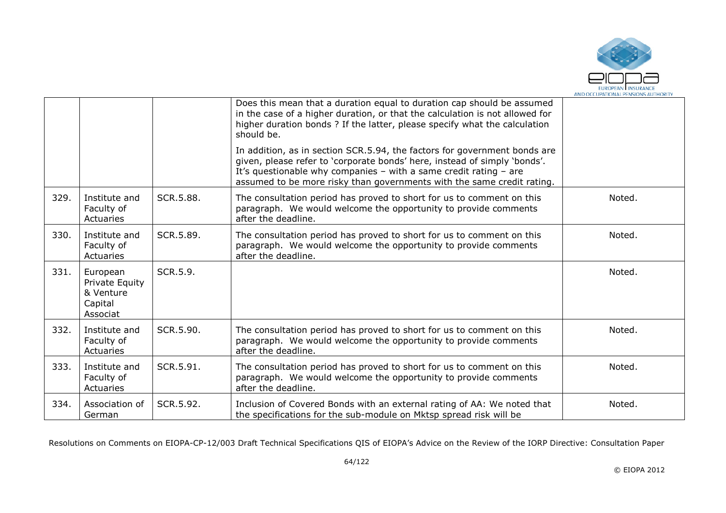

|      |                                                                |           | Does this mean that a duration equal to duration cap should be assumed<br>in the case of a higher duration, or that the calculation is not allowed for<br>higher duration bonds? If the latter, please specify what the calculation<br>should be.                                                     |        |
|------|----------------------------------------------------------------|-----------|-------------------------------------------------------------------------------------------------------------------------------------------------------------------------------------------------------------------------------------------------------------------------------------------------------|--------|
|      |                                                                |           | In addition, as in section SCR.5.94, the factors for government bonds are<br>given, please refer to 'corporate bonds' here, instead of simply 'bonds'.<br>It's questionable why companies - with a same credit rating - are<br>assumed to be more risky than governments with the same credit rating. |        |
| 329. | Institute and<br>Faculty of<br>Actuaries                       | SCR.5.88. | The consultation period has proved to short for us to comment on this<br>paragraph. We would welcome the opportunity to provide comments<br>after the deadline.                                                                                                                                       | Noted. |
| 330. | Institute and<br>Faculty of<br>Actuaries                       | SCR.5.89. | The consultation period has proved to short for us to comment on this<br>paragraph. We would welcome the opportunity to provide comments<br>after the deadline.                                                                                                                                       | Noted. |
| 331. | European<br>Private Equity<br>& Venture<br>Capital<br>Associat | SCR.5.9.  |                                                                                                                                                                                                                                                                                                       | Noted. |
| 332. | Institute and<br>Faculty of<br>Actuaries                       | SCR.5.90. | The consultation period has proved to short for us to comment on this<br>paragraph. We would welcome the opportunity to provide comments<br>after the deadline.                                                                                                                                       | Noted. |
| 333. | Institute and<br>Faculty of<br>Actuaries                       | SCR.5.91. | The consultation period has proved to short for us to comment on this<br>paragraph. We would welcome the opportunity to provide comments<br>after the deadline.                                                                                                                                       | Noted. |
| 334. | Association of<br>German                                       | SCR.5.92. | Inclusion of Covered Bonds with an external rating of AA: We noted that<br>the specifications for the sub-module on Mktsp spread risk will be                                                                                                                                                         | Noted. |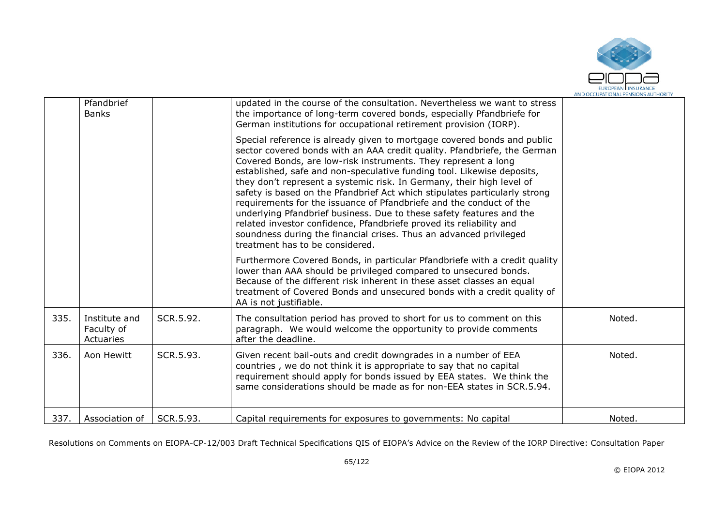

|      | Pfandbrief<br><b>Banks</b>               |           | updated in the course of the consultation. Nevertheless we want to stress<br>the importance of long-term covered bonds, especially Pfandbriefe for<br>German institutions for occupational retirement provision (IORP).                                                                                                                                                                                                                                                                                                                                                                                                                                                                                                                                                               |        |
|------|------------------------------------------|-----------|---------------------------------------------------------------------------------------------------------------------------------------------------------------------------------------------------------------------------------------------------------------------------------------------------------------------------------------------------------------------------------------------------------------------------------------------------------------------------------------------------------------------------------------------------------------------------------------------------------------------------------------------------------------------------------------------------------------------------------------------------------------------------------------|--------|
|      |                                          |           | Special reference is already given to mortgage covered bonds and public<br>sector covered bonds with an AAA credit quality. Pfandbriefe, the German<br>Covered Bonds, are low-risk instruments. They represent a long<br>established, safe and non-speculative funding tool. Likewise deposits,<br>they don't represent a systemic risk. In Germany, their high level of<br>safety is based on the Pfandbrief Act which stipulates particularly strong<br>requirements for the issuance of Pfandbriefe and the conduct of the<br>underlying Pfandbrief business. Due to these safety features and the<br>related investor confidence, Pfandbriefe proved its reliability and<br>soundness during the financial crises. Thus an advanced privileged<br>treatment has to be considered. |        |
|      |                                          |           | Furthermore Covered Bonds, in particular Pfandbriefe with a credit quality<br>lower than AAA should be privileged compared to unsecured bonds.<br>Because of the different risk inherent in these asset classes an equal<br>treatment of Covered Bonds and unsecured bonds with a credit quality of<br>AA is not justifiable.                                                                                                                                                                                                                                                                                                                                                                                                                                                         |        |
| 335. | Institute and<br>Faculty of<br>Actuaries | SCR.5.92. | The consultation period has proved to short for us to comment on this<br>paragraph. We would welcome the opportunity to provide comments<br>after the deadline.                                                                                                                                                                                                                                                                                                                                                                                                                                                                                                                                                                                                                       | Noted. |
| 336. | Aon Hewitt                               | SCR.5.93. | Given recent bail-outs and credit downgrades in a number of EEA<br>countries, we do not think it is appropriate to say that no capital<br>requirement should apply for bonds issued by EEA states. We think the<br>same considerations should be made as for non-EEA states in SCR.5.94.                                                                                                                                                                                                                                                                                                                                                                                                                                                                                              | Noted. |
| 337. | Association of                           | SCR.5.93. | Capital requirements for exposures to governments: No capital                                                                                                                                                                                                                                                                                                                                                                                                                                                                                                                                                                                                                                                                                                                         | Noted. |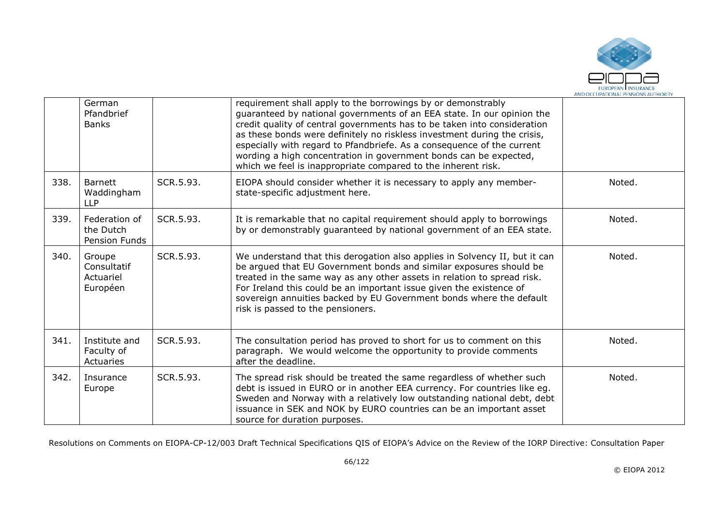

|      | German<br>Pfandbrief<br><b>Banks</b>           |           | requirement shall apply to the borrowings by or demonstrably<br>guaranteed by national governments of an EEA state. In our opinion the<br>credit quality of central governments has to be taken into consideration<br>as these bonds were definitely no riskless investment during the crisis,<br>especially with regard to Pfandbriefe. As a consequence of the current<br>wording a high concentration in government bonds can be expected,<br>which we feel is inappropriate compared to the inherent risk. |        |
|------|------------------------------------------------|-----------|----------------------------------------------------------------------------------------------------------------------------------------------------------------------------------------------------------------------------------------------------------------------------------------------------------------------------------------------------------------------------------------------------------------------------------------------------------------------------------------------------------------|--------|
| 338. | <b>Barnett</b><br>Waddingham<br><b>LLP</b>     | SCR.5.93. | EIOPA should consider whether it is necessary to apply any member-<br>state-specific adjustment here.                                                                                                                                                                                                                                                                                                                                                                                                          | Noted. |
| 339. | Federation of<br>the Dutch<br>Pension Funds    | SCR.5.93. | It is remarkable that no capital requirement should apply to borrowings<br>by or demonstrably guaranteed by national government of an EEA state.                                                                                                                                                                                                                                                                                                                                                               | Noted. |
| 340. | Groupe<br>Consultatif<br>Actuariel<br>Européen | SCR.5.93. | We understand that this derogation also applies in Solvency II, but it can<br>be argued that EU Government bonds and similar exposures should be<br>treated in the same way as any other assets in relation to spread risk.<br>For Ireland this could be an important issue given the existence of<br>sovereign annuities backed by EU Government bonds where the default<br>risk is passed to the pensioners.                                                                                                 | Noted. |
| 341. | Institute and<br>Faculty of<br>Actuaries       | SCR.5.93. | The consultation period has proved to short for us to comment on this<br>paragraph. We would welcome the opportunity to provide comments<br>after the deadline.                                                                                                                                                                                                                                                                                                                                                | Noted. |
| 342. | Insurance<br>Europe                            | SCR.5.93. | The spread risk should be treated the same regardless of whether such<br>debt is issued in EURO or in another EEA currency. For countries like eg.<br>Sweden and Norway with a relatively low outstanding national debt, debt<br>issuance in SEK and NOK by EURO countries can be an important asset<br>source for duration purposes.                                                                                                                                                                          | Noted. |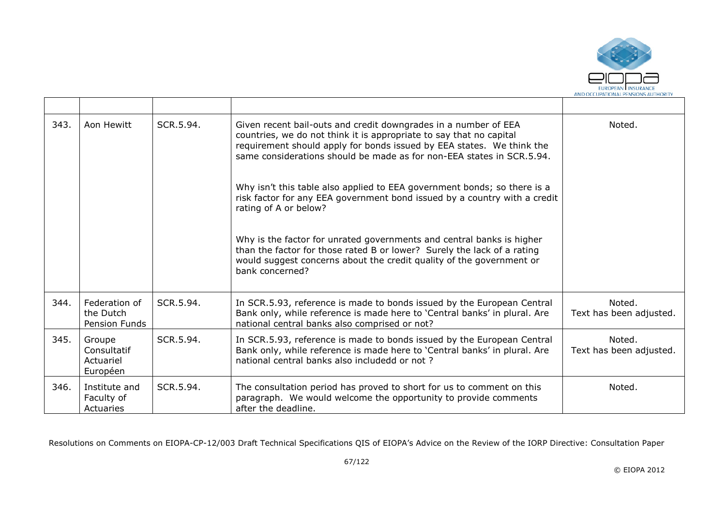

| 343. | Aon Hewitt                                     | SCR.5.94. | Given recent bail-outs and credit downgrades in a number of EEA<br>countries, we do not think it is appropriate to say that no capital<br>requirement should apply for bonds issued by EEA states. We think the<br>same considerations should be made as for non-EEA states in SCR.5.94. | Noted.                            |
|------|------------------------------------------------|-----------|------------------------------------------------------------------------------------------------------------------------------------------------------------------------------------------------------------------------------------------------------------------------------------------|-----------------------------------|
|      |                                                |           | Why isn't this table also applied to EEA government bonds; so there is a<br>risk factor for any EEA government bond issued by a country with a credit<br>rating of A or below?                                                                                                           |                                   |
|      |                                                |           | Why is the factor for unrated governments and central banks is higher<br>than the factor for those rated B or lower? Surely the lack of a rating<br>would suggest concerns about the credit quality of the government or<br>bank concerned?                                              |                                   |
| 344. | Federation of<br>the Dutch<br>Pension Funds    | SCR.5.94. | In SCR.5.93, reference is made to bonds issued by the European Central<br>Bank only, while reference is made here to 'Central banks' in plural. Are<br>national central banks also comprised or not?                                                                                     | Noted.<br>Text has been adjusted. |
| 345. | Groupe<br>Consultatif<br>Actuariel<br>Européen | SCR.5.94. | In SCR.5.93, reference is made to bonds issued by the European Central<br>Bank only, while reference is made here to 'Central banks' in plural. Are<br>national central banks also includedd or not?                                                                                     | Noted.<br>Text has been adjusted. |
| 346. | Institute and<br>Faculty of<br>Actuaries       | SCR.5.94. | The consultation period has proved to short for us to comment on this<br>paragraph. We would welcome the opportunity to provide comments<br>after the deadline.                                                                                                                          | Noted.                            |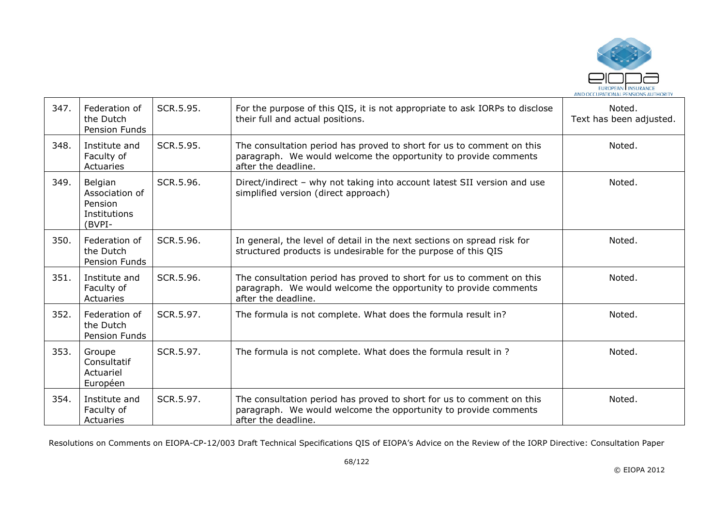

| 347. | Federation of<br>the Dutch<br>Pension Funds                    | SCR.5.95. | For the purpose of this QIS, it is not appropriate to ask IORPs to disclose<br>their full and actual positions.                                                 | Noted.<br>Text has been adjusted. |
|------|----------------------------------------------------------------|-----------|-----------------------------------------------------------------------------------------------------------------------------------------------------------------|-----------------------------------|
| 348. | Institute and<br>Faculty of<br>Actuaries                       | SCR.5.95. | The consultation period has proved to short for us to comment on this<br>paragraph. We would welcome the opportunity to provide comments<br>after the deadline. | Noted.                            |
| 349. | Belgian<br>Association of<br>Pension<br>Institutions<br>(BVPI- | SCR.5.96. | Direct/indirect - why not taking into account latest SII version and use<br>simplified version (direct approach)                                                | Noted.                            |
| 350. | Federation of<br>the Dutch<br>Pension Funds                    | SCR.5.96. | In general, the level of detail in the next sections on spread risk for<br>structured products is undesirable for the purpose of this QIS                       | Noted.                            |
| 351. | Institute and<br>Faculty of<br>Actuaries                       | SCR.5.96. | The consultation period has proved to short for us to comment on this<br>paragraph. We would welcome the opportunity to provide comments<br>after the deadline. | Noted.                            |
| 352. | Federation of<br>the Dutch<br>Pension Funds                    | SCR.5.97. | The formula is not complete. What does the formula result in?                                                                                                   | Noted.                            |
| 353. | Groupe<br>Consultatif<br>Actuariel<br>Européen                 | SCR.5.97. | The formula is not complete. What does the formula result in ?                                                                                                  | Noted.                            |
| 354. | Institute and<br>Faculty of<br>Actuaries                       | SCR.5.97. | The consultation period has proved to short for us to comment on this<br>paragraph. We would welcome the opportunity to provide comments<br>after the deadline. | Noted.                            |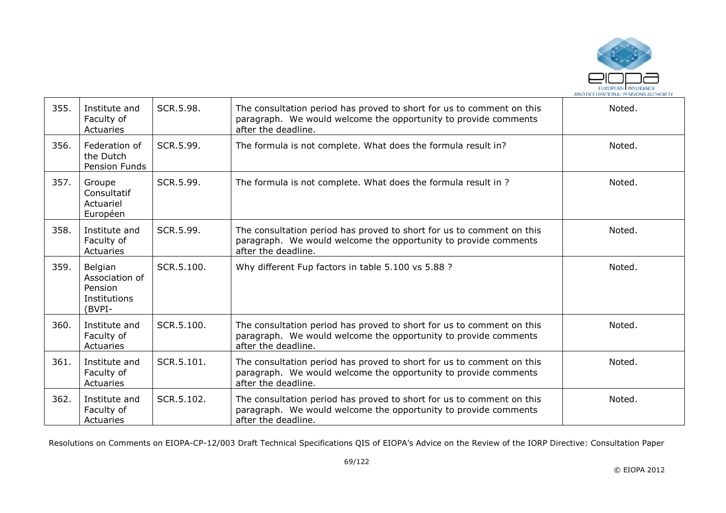

| 355. | Institute and<br>Faculty of<br>Actuaries                       | SCR.5.98.  | The consultation period has proved to short for us to comment on this<br>paragraph. We would welcome the opportunity to provide comments<br>after the deadline. | Noted. |
|------|----------------------------------------------------------------|------------|-----------------------------------------------------------------------------------------------------------------------------------------------------------------|--------|
| 356. | Federation of<br>the Dutch<br>Pension Funds                    | SCR.5.99.  | The formula is not complete. What does the formula result in?                                                                                                   | Noted. |
| 357. | Groupe<br>Consultatif<br>Actuariel<br>Européen                 | SCR.5.99.  | The formula is not complete. What does the formula result in ?                                                                                                  | Noted. |
| 358. | Institute and<br>Faculty of<br>Actuaries                       | SCR.5.99.  | The consultation period has proved to short for us to comment on this<br>paragraph. We would welcome the opportunity to provide comments<br>after the deadline. | Noted. |
| 359. | Belgian<br>Association of<br>Pension<br>Institutions<br>(BVPI- | SCR.5.100. | Why different Fup factors in table 5.100 vs 5.88 ?                                                                                                              | Noted. |
| 360. | Institute and<br>Faculty of<br>Actuaries                       | SCR.5.100. | The consultation period has proved to short for us to comment on this<br>paragraph. We would welcome the opportunity to provide comments<br>after the deadline. | Noted. |
| 361. | Institute and<br>Faculty of<br>Actuaries                       | SCR.5.101. | The consultation period has proved to short for us to comment on this<br>paragraph. We would welcome the opportunity to provide comments<br>after the deadline. | Noted. |
| 362. | Institute and<br>Faculty of<br>Actuaries                       | SCR.5.102. | The consultation period has proved to short for us to comment on this<br>paragraph. We would welcome the opportunity to provide comments<br>after the deadline. | Noted. |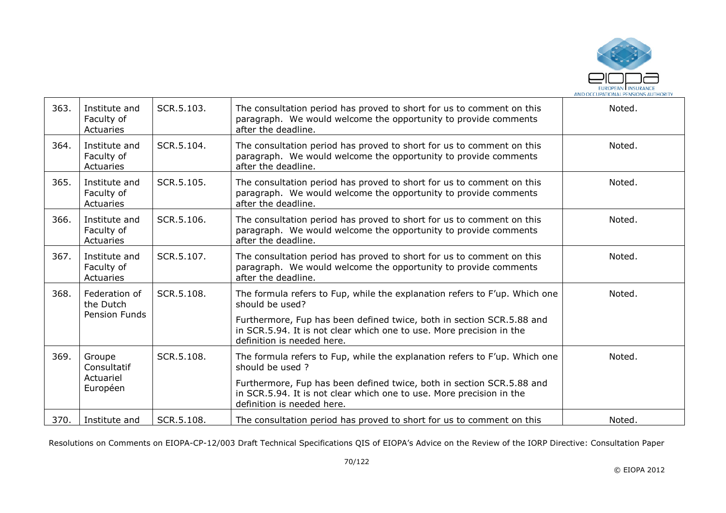

| 363. | Institute and<br>Faculty of<br>Actuaries           | SCR.5.103. | The consultation period has proved to short for us to comment on this<br>paragraph. We would welcome the opportunity to provide comments<br>after the deadline.                                                                                                              | Noted. |
|------|----------------------------------------------------|------------|------------------------------------------------------------------------------------------------------------------------------------------------------------------------------------------------------------------------------------------------------------------------------|--------|
| 364. | Institute and<br>Faculty of<br>Actuaries           | SCR.5.104. | The consultation period has proved to short for us to comment on this<br>paragraph. We would welcome the opportunity to provide comments<br>after the deadline.                                                                                                              | Noted. |
| 365. | Institute and<br>Faculty of<br>Actuaries           | SCR.5.105. | The consultation period has proved to short for us to comment on this<br>paragraph. We would welcome the opportunity to provide comments<br>after the deadline.                                                                                                              | Noted. |
| 366. | Institute and<br>Faculty of<br>Actuaries           | SCR.5.106. | The consultation period has proved to short for us to comment on this<br>paragraph. We would welcome the opportunity to provide comments<br>after the deadline.                                                                                                              | Noted. |
| 367. | Institute and<br>Faculty of<br>Actuaries           | SCR.5.107. | The consultation period has proved to short for us to comment on this<br>paragraph. We would welcome the opportunity to provide comments<br>after the deadline.                                                                                                              | Noted. |
| 368. | Federation of<br>the Dutch<br><b>Pension Funds</b> | SCR.5.108. | The formula refers to Fup, while the explanation refers to F'up. Which one<br>should be used?<br>Furthermore, Fup has been defined twice, both in section SCR.5.88 and<br>in SCR.5.94. It is not clear which one to use. More precision in the<br>definition is needed here. | Noted. |
| 369. | Groupe<br>Consultatif<br>Actuariel<br>Européen     | SCR.5.108. | The formula refers to Fup, while the explanation refers to F'up. Which one<br>should be used?<br>Furthermore, Fup has been defined twice, both in section SCR.5.88 and<br>in SCR.5.94. It is not clear which one to use. More precision in the<br>definition is needed here. | Noted. |
| 370. | Institute and                                      | SCR.5.108. | The consultation period has proved to short for us to comment on this                                                                                                                                                                                                        | Noted. |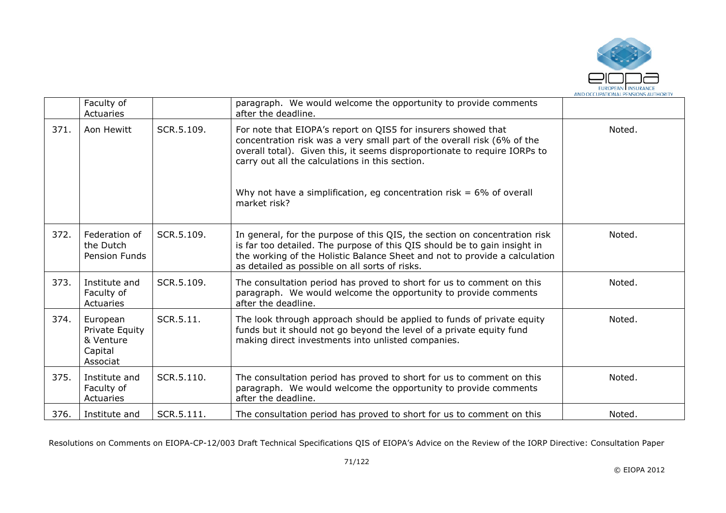

|      | Faculty of<br>Actuaries                                        |            | paragraph. We would welcome the opportunity to provide comments<br>after the deadline.                                                                                                                                                                                                                                                                              |        |
|------|----------------------------------------------------------------|------------|---------------------------------------------------------------------------------------------------------------------------------------------------------------------------------------------------------------------------------------------------------------------------------------------------------------------------------------------------------------------|--------|
| 371. | Aon Hewitt                                                     | SCR.5.109. | For note that EIOPA's report on QIS5 for insurers showed that<br>concentration risk was a very small part of the overall risk (6% of the<br>overall total). Given this, it seems disproportionate to require IORPs to<br>carry out all the calculations in this section.<br>Why not have a simplification, eg concentration risk = $6\%$ of overall<br>market risk? | Noted. |
| 372. | Federation of<br>the Dutch<br>Pension Funds                    | SCR.5.109. | In general, for the purpose of this QIS, the section on concentration risk<br>is far too detailed. The purpose of this QIS should be to gain insight in<br>the working of the Holistic Balance Sheet and not to provide a calculation<br>as detailed as possible on all sorts of risks.                                                                             | Noted. |
| 373. | Institute and<br>Faculty of<br>Actuaries                       | SCR.5.109. | The consultation period has proved to short for us to comment on this<br>paragraph. We would welcome the opportunity to provide comments<br>after the deadline.                                                                                                                                                                                                     | Noted. |
| 374. | European<br>Private Equity<br>& Venture<br>Capital<br>Associat | SCR.5.11.  | The look through approach should be applied to funds of private equity<br>funds but it should not go beyond the level of a private equity fund<br>making direct investments into unlisted companies.                                                                                                                                                                | Noted. |
| 375. | Institute and<br>Faculty of<br>Actuaries                       | SCR.5.110. | The consultation period has proved to short for us to comment on this<br>paragraph. We would welcome the opportunity to provide comments<br>after the deadline.                                                                                                                                                                                                     | Noted. |
| 376. | Institute and                                                  | SCR.5.111. | The consultation period has proved to short for us to comment on this                                                                                                                                                                                                                                                                                               | Noted. |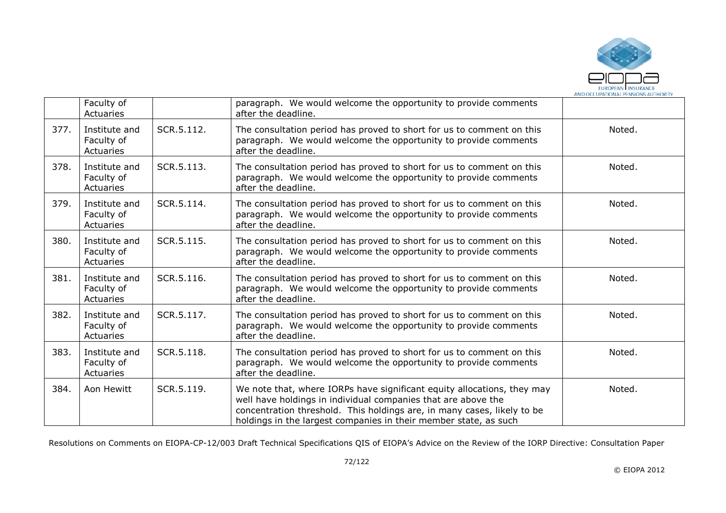

|      | Faculty of<br>Actuaries                  |            | paragraph. We would welcome the opportunity to provide comments<br>after the deadline.                                                                                                                                                                                                  |        |
|------|------------------------------------------|------------|-----------------------------------------------------------------------------------------------------------------------------------------------------------------------------------------------------------------------------------------------------------------------------------------|--------|
| 377. | Institute and<br>Faculty of<br>Actuaries | SCR.5.112. | The consultation period has proved to short for us to comment on this<br>paragraph. We would welcome the opportunity to provide comments<br>after the deadline.                                                                                                                         | Noted. |
| 378. | Institute and<br>Faculty of<br>Actuaries | SCR.5.113. | The consultation period has proved to short for us to comment on this<br>paragraph. We would welcome the opportunity to provide comments<br>after the deadline.                                                                                                                         | Noted. |
| 379. | Institute and<br>Faculty of<br>Actuaries | SCR.5.114. | The consultation period has proved to short for us to comment on this<br>paragraph. We would welcome the opportunity to provide comments<br>after the deadline.                                                                                                                         | Noted. |
| 380. | Institute and<br>Faculty of<br>Actuaries | SCR.5.115. | The consultation period has proved to short for us to comment on this<br>paragraph. We would welcome the opportunity to provide comments<br>after the deadline.                                                                                                                         | Noted. |
| 381. | Institute and<br>Faculty of<br>Actuaries | SCR.5.116. | The consultation period has proved to short for us to comment on this<br>paragraph. We would welcome the opportunity to provide comments<br>after the deadline.                                                                                                                         | Noted. |
| 382. | Institute and<br>Faculty of<br>Actuaries | SCR.5.117. | The consultation period has proved to short for us to comment on this<br>paragraph. We would welcome the opportunity to provide comments<br>after the deadline.                                                                                                                         | Noted. |
| 383. | Institute and<br>Faculty of<br>Actuaries | SCR.5.118. | The consultation period has proved to short for us to comment on this<br>paragraph. We would welcome the opportunity to provide comments<br>after the deadline.                                                                                                                         | Noted. |
| 384. | Aon Hewitt                               | SCR.5.119. | We note that, where IORPs have significant equity allocations, they may<br>well have holdings in individual companies that are above the<br>concentration threshold. This holdings are, in many cases, likely to be<br>holdings in the largest companies in their member state, as such | Noted. |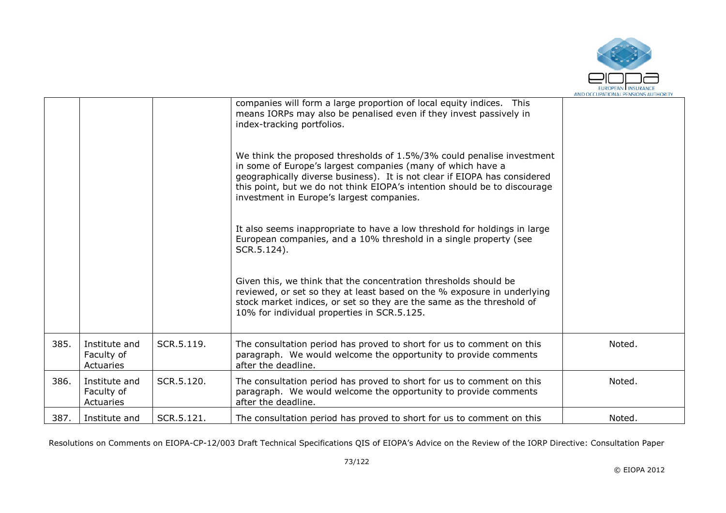

|      |                                          |            | companies will form a large proportion of local equity indices. This<br>means IORPs may also be penalised even if they invest passively in<br>index-tracking portfolios.<br>We think the proposed thresholds of 1.5%/3% could penalise investment<br>in some of Europe's largest companies (many of which have a<br>geographically diverse business). It is not clear if EIOPA has considered<br>this point, but we do not think EIOPA's intention should be to discourage<br>investment in Europe's largest companies.<br>It also seems inappropriate to have a low threshold for holdings in large<br>European companies, and a 10% threshold in a single property (see<br>SCR.5.124).<br>Given this, we think that the concentration thresholds should be<br>reviewed, or set so they at least based on the % exposure in underlying<br>stock market indices, or set so they are the same as the threshold of<br>10% for individual properties in SCR.5.125. |        |
|------|------------------------------------------|------------|-----------------------------------------------------------------------------------------------------------------------------------------------------------------------------------------------------------------------------------------------------------------------------------------------------------------------------------------------------------------------------------------------------------------------------------------------------------------------------------------------------------------------------------------------------------------------------------------------------------------------------------------------------------------------------------------------------------------------------------------------------------------------------------------------------------------------------------------------------------------------------------------------------------------------------------------------------------------|--------|
| 385. | Institute and<br>Faculty of<br>Actuaries | SCR.5.119. | The consultation period has proved to short for us to comment on this<br>paragraph. We would welcome the opportunity to provide comments<br>after the deadline.                                                                                                                                                                                                                                                                                                                                                                                                                                                                                                                                                                                                                                                                                                                                                                                                 | Noted. |
| 386. | Institute and<br>Faculty of<br>Actuaries | SCR.5.120. | The consultation period has proved to short for us to comment on this<br>paragraph. We would welcome the opportunity to provide comments<br>after the deadline.                                                                                                                                                                                                                                                                                                                                                                                                                                                                                                                                                                                                                                                                                                                                                                                                 | Noted. |
| 387. | Institute and                            | SCR.5.121. | The consultation period has proved to short for us to comment on this                                                                                                                                                                                                                                                                                                                                                                                                                                                                                                                                                                                                                                                                                                                                                                                                                                                                                           | Noted. |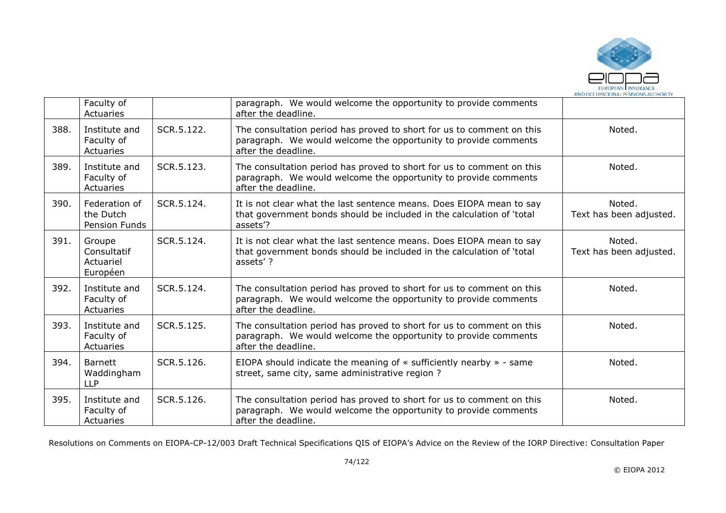

|      | Faculty of<br>Actuaries                        |            | paragraph. We would welcome the opportunity to provide comments<br>after the deadline.                                                                          |                                   |
|------|------------------------------------------------|------------|-----------------------------------------------------------------------------------------------------------------------------------------------------------------|-----------------------------------|
| 388. | Institute and<br>Faculty of<br>Actuaries       | SCR.5.122. | The consultation period has proved to short for us to comment on this<br>paragraph. We would welcome the opportunity to provide comments<br>after the deadline. | Noted.                            |
| 389. | Institute and<br>Faculty of<br>Actuaries       | SCR.5.123. | The consultation period has proved to short for us to comment on this<br>paragraph. We would welcome the opportunity to provide comments<br>after the deadline. | Noted.                            |
| 390. | Federation of<br>the Dutch<br>Pension Funds    | SCR.5.124. | It is not clear what the last sentence means. Does EIOPA mean to say<br>that government bonds should be included in the calculation of 'total<br>assets'?       | Noted.<br>Text has been adjusted. |
| 391. | Groupe<br>Consultatif<br>Actuariel<br>Européen | SCR.5.124. | It is not clear what the last sentence means. Does EIOPA mean to say<br>that government bonds should be included in the calculation of 'total<br>assets'?       | Noted.<br>Text has been adjusted. |
| 392. | Institute and<br>Faculty of<br>Actuaries       | SCR.5.124. | The consultation period has proved to short for us to comment on this<br>paragraph. We would welcome the opportunity to provide comments<br>after the deadline. | Noted.                            |
| 393. | Institute and<br>Faculty of<br>Actuaries       | SCR.5.125. | The consultation period has proved to short for us to comment on this<br>paragraph. We would welcome the opportunity to provide comments<br>after the deadline. | Noted.                            |
| 394. | <b>Barnett</b><br>Waddingham<br><b>LLP</b>     | SCR.5.126. | EIOPA should indicate the meaning of $\ast$ sufficiently nearby $\ast$ - same<br>street, same city, same administrative region?                                 | Noted.                            |
| 395. | Institute and<br>Faculty of<br>Actuaries       | SCR.5.126. | The consultation period has proved to short for us to comment on this<br>paragraph. We would welcome the opportunity to provide comments<br>after the deadline. | Noted.                            |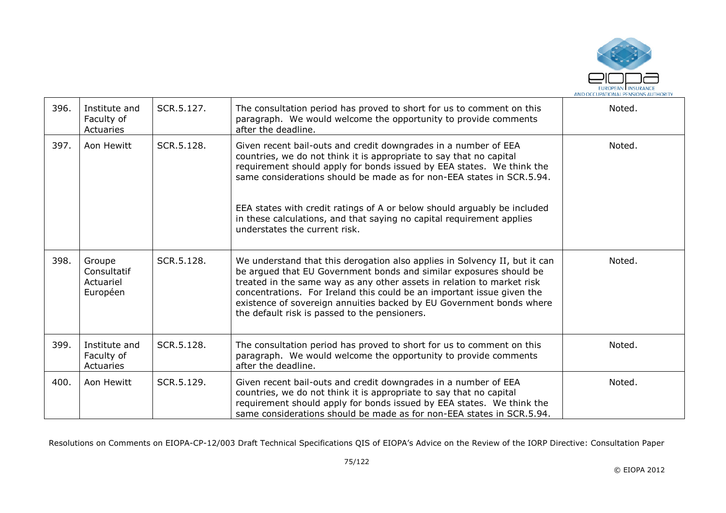

| 396. | Institute and<br>Faculty of<br>Actuaries       | SCR.5.127. | The consultation period has proved to short for us to comment on this<br>paragraph. We would welcome the opportunity to provide comments<br>after the deadline.                                                                                                                                                                                                                                                                                                                | Noted. |
|------|------------------------------------------------|------------|--------------------------------------------------------------------------------------------------------------------------------------------------------------------------------------------------------------------------------------------------------------------------------------------------------------------------------------------------------------------------------------------------------------------------------------------------------------------------------|--------|
| 397. | Aon Hewitt                                     | SCR.5.128. | Given recent bail-outs and credit downgrades in a number of EEA<br>countries, we do not think it is appropriate to say that no capital<br>requirement should apply for bonds issued by EEA states. We think the<br>same considerations should be made as for non-EEA states in SCR.5.94.<br>EEA states with credit ratings of A or below should arguably be included<br>in these calculations, and that saying no capital requirement applies<br>understates the current risk. | Noted. |
| 398. | Groupe<br>Consultatif<br>Actuariel<br>Européen | SCR.5.128. | We understand that this derogation also applies in Solvency II, but it can<br>be argued that EU Government bonds and similar exposures should be<br>treated in the same way as any other assets in relation to market risk<br>concentrations. For Ireland this could be an important issue given the<br>existence of sovereign annuities backed by EU Government bonds where<br>the default risk is passed to the pensioners.                                                  | Noted. |
| 399. | Institute and<br>Faculty of<br>Actuaries       | SCR.5.128. | The consultation period has proved to short for us to comment on this<br>paragraph. We would welcome the opportunity to provide comments<br>after the deadline.                                                                                                                                                                                                                                                                                                                | Noted. |
| 400. | Aon Hewitt                                     | SCR.5.129. | Given recent bail-outs and credit downgrades in a number of EEA<br>countries, we do not think it is appropriate to say that no capital<br>requirement should apply for bonds issued by EEA states. We think the<br>same considerations should be made as for non-EEA states in SCR.5.94.                                                                                                                                                                                       | Noted. |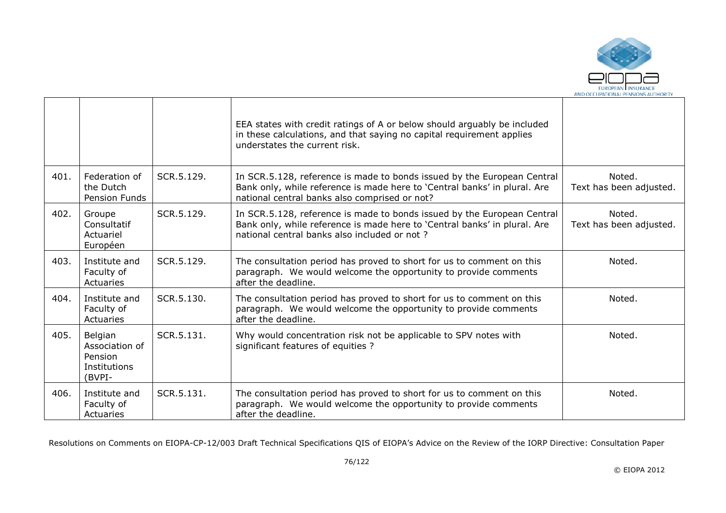

|      |                                                                |            | EEA states with credit ratings of A or below should arguably be included<br>in these calculations, and that saying no capital requirement applies<br>understates the current risk.                    |                                   |
|------|----------------------------------------------------------------|------------|-------------------------------------------------------------------------------------------------------------------------------------------------------------------------------------------------------|-----------------------------------|
| 401. | Federation of<br>the Dutch<br>Pension Funds                    | SCR.5.129. | In SCR.5.128, reference is made to bonds issued by the European Central<br>Bank only, while reference is made here to 'Central banks' in plural. Are<br>national central banks also comprised or not? | Noted.<br>Text has been adjusted. |
| 402. | Groupe<br>Consultatif<br>Actuariel<br>Européen                 | SCR.5.129. | In SCR.5.128, reference is made to bonds issued by the European Central<br>Bank only, while reference is made here to 'Central banks' in plural. Are<br>national central banks also included or not?  | Noted.<br>Text has been adjusted. |
| 403. | Institute and<br>Faculty of<br>Actuaries                       | SCR.5.129. | The consultation period has proved to short for us to comment on this<br>paragraph. We would welcome the opportunity to provide comments<br>after the deadline.                                       | Noted.                            |
| 404. | Institute and<br>Faculty of<br>Actuaries                       | SCR.5.130. | The consultation period has proved to short for us to comment on this<br>paragraph. We would welcome the opportunity to provide comments<br>after the deadline.                                       | Noted.                            |
| 405. | Belgian<br>Association of<br>Pension<br>Institutions<br>(BVPI- | SCR.5.131. | Why would concentration risk not be applicable to SPV notes with<br>significant features of equities ?                                                                                                | Noted.                            |
| 406. | Institute and<br>Faculty of<br>Actuaries                       | SCR.5.131. | The consultation period has proved to short for us to comment on this<br>paragraph. We would welcome the opportunity to provide comments<br>after the deadline.                                       | Noted.                            |

 $\blacksquare$ 

┱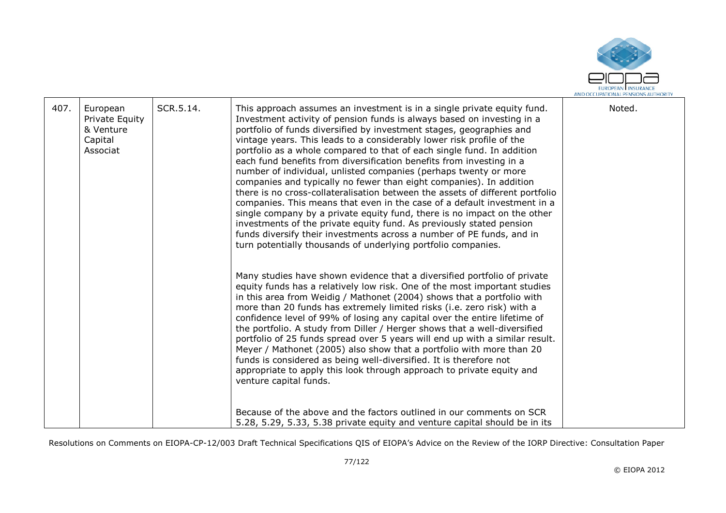

| 407. | European<br>Private Equity<br>& Venture<br>Capital<br>Associat | SCR.5.14. | This approach assumes an investment is in a single private equity fund.<br>Investment activity of pension funds is always based on investing in a<br>portfolio of funds diversified by investment stages, geographies and<br>vintage years. This leads to a considerably lower risk profile of the<br>portfolio as a whole compared to that of each single fund. In addition<br>each fund benefits from diversification benefits from investing in a<br>number of individual, unlisted companies (perhaps twenty or more<br>companies and typically no fewer than eight companies). In addition<br>there is no cross-collateralisation between the assets of different portfolio<br>companies. This means that even in the case of a default investment in a<br>single company by a private equity fund, there is no impact on the other<br>investments of the private equity fund. As previously stated pension<br>funds diversify their investments across a number of PE funds, and in<br>turn potentially thousands of underlying portfolio companies. | Noted. |
|------|----------------------------------------------------------------|-----------|------------------------------------------------------------------------------------------------------------------------------------------------------------------------------------------------------------------------------------------------------------------------------------------------------------------------------------------------------------------------------------------------------------------------------------------------------------------------------------------------------------------------------------------------------------------------------------------------------------------------------------------------------------------------------------------------------------------------------------------------------------------------------------------------------------------------------------------------------------------------------------------------------------------------------------------------------------------------------------------------------------------------------------------------------------|--------|
|      |                                                                |           | Many studies have shown evidence that a diversified portfolio of private<br>equity funds has a relatively low risk. One of the most important studies<br>in this area from Weidig / Mathonet (2004) shows that a portfolio with<br>more than 20 funds has extremely limited risks (i.e. zero risk) with a<br>confidence level of 99% of losing any capital over the entire lifetime of<br>the portfolio. A study from Diller / Herger shows that a well-diversified<br>portfolio of 25 funds spread over 5 years will end up with a similar result.<br>Meyer / Mathonet (2005) also show that a portfolio with more than 20<br>funds is considered as being well-diversified. It is therefore not<br>appropriate to apply this look through approach to private equity and<br>venture capital funds.<br>Because of the above and the factors outlined in our comments on SCR<br>5.28, 5.29, 5.33, 5.38 private equity and venture capital should be in its                                                                                                 |        |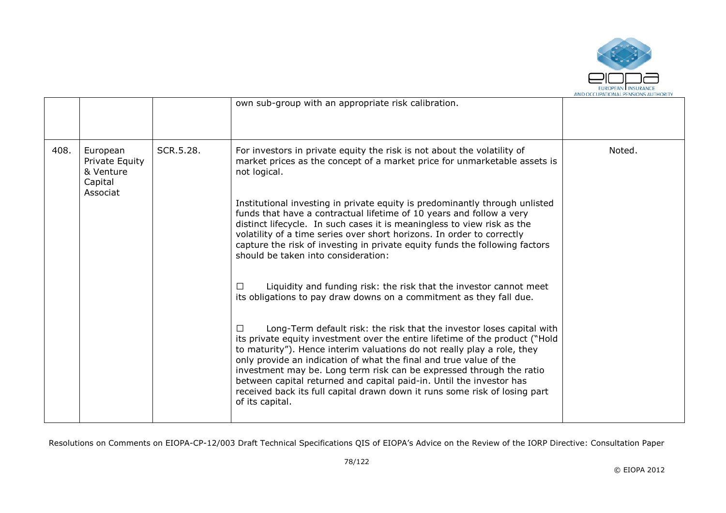

|      |                                                                |           | own sub-group with an appropriate risk calibration.                                                                                                                                                                                                                                                                                                                                                                                                                                                                                                     |        |
|------|----------------------------------------------------------------|-----------|---------------------------------------------------------------------------------------------------------------------------------------------------------------------------------------------------------------------------------------------------------------------------------------------------------------------------------------------------------------------------------------------------------------------------------------------------------------------------------------------------------------------------------------------------------|--------|
| 408. | European<br>Private Equity<br>& Venture<br>Capital<br>Associat | SCR.5.28. | For investors in private equity the risk is not about the volatility of<br>market prices as the concept of a market price for unmarketable assets is<br>not logical.                                                                                                                                                                                                                                                                                                                                                                                    | Noted. |
|      |                                                                |           | Institutional investing in private equity is predominantly through unlisted<br>funds that have a contractual lifetime of 10 years and follow a very<br>distinct lifecycle. In such cases it is meaningless to view risk as the<br>volatility of a time series over short horizons. In order to correctly<br>capture the risk of investing in private equity funds the following factors<br>should be taken into consideration:                                                                                                                          |        |
|      |                                                                |           | Liquidity and funding risk: the risk that the investor cannot meet<br>$\perp$<br>its obligations to pay draw downs on a commitment as they fall due.                                                                                                                                                                                                                                                                                                                                                                                                    |        |
|      |                                                                |           | Long-Term default risk: the risk that the investor loses capital with<br>its private equity investment over the entire lifetime of the product ("Hold<br>to maturity"). Hence interim valuations do not really play a role, they<br>only provide an indication of what the final and true value of the<br>investment may be. Long term risk can be expressed through the ratio<br>between capital returned and capital paid-in. Until the investor has<br>received back its full capital drawn down it runs some risk of losing part<br>of its capital. |        |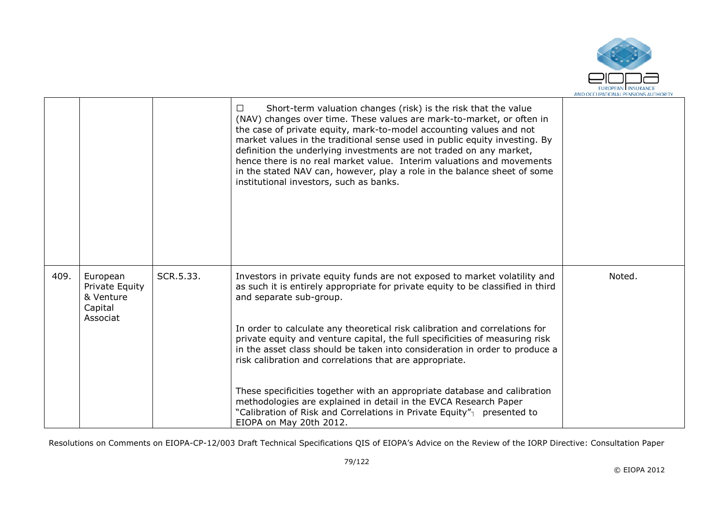

|      |                                                                |           | Short-term valuation changes (risk) is the risk that the value<br>(NAV) changes over time. These values are mark-to-market, or often in<br>the case of private equity, mark-to-model accounting values and not<br>market values in the traditional sense used in public equity investing. By<br>definition the underlying investments are not traded on any market,<br>hence there is no real market value. Interim valuations and movements<br>in the stated NAV can, however, play a role in the balance sheet of some<br>institutional investors, such as banks. |        |
|------|----------------------------------------------------------------|-----------|---------------------------------------------------------------------------------------------------------------------------------------------------------------------------------------------------------------------------------------------------------------------------------------------------------------------------------------------------------------------------------------------------------------------------------------------------------------------------------------------------------------------------------------------------------------------|--------|
| 409. | European<br>Private Equity<br>& Venture<br>Capital<br>Associat | SCR.5.33. | Investors in private equity funds are not exposed to market volatility and<br>as such it is entirely appropriate for private equity to be classified in third<br>and separate sub-group.                                                                                                                                                                                                                                                                                                                                                                            | Noted. |
|      |                                                                |           | In order to calculate any theoretical risk calibration and correlations for<br>private equity and venture capital, the full specificities of measuring risk<br>in the asset class should be taken into consideration in order to produce a<br>risk calibration and correlations that are appropriate.                                                                                                                                                                                                                                                               |        |
|      |                                                                |           | These specificities together with an appropriate database and calibration<br>methodologies are explained in detail in the EVCA Research Paper<br>"Calibration of Risk and Correlations in Private Equity" <sub>1</sub> presented to<br>EIOPA on May 20th 2012.                                                                                                                                                                                                                                                                                                      |        |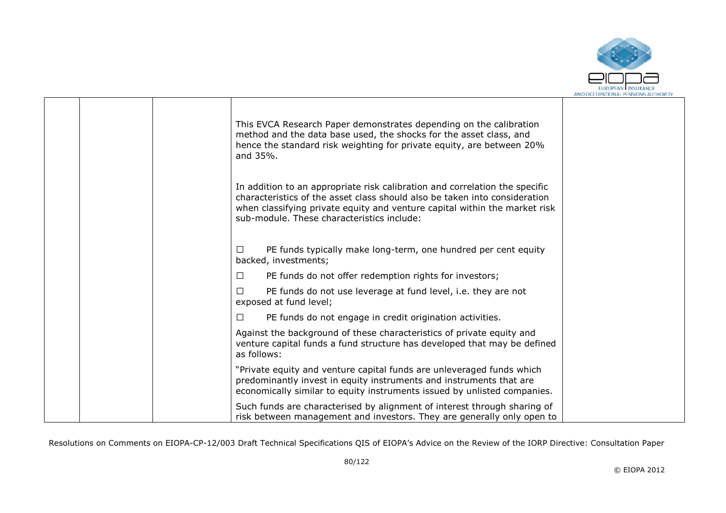

|  | This EVCA Research Paper demonstrates depending on the calibration<br>method and the data base used, the shocks for the asset class, and<br>hence the standard risk weighting for private equity, are between 20%<br>and 35%.                                                         |  |
|--|---------------------------------------------------------------------------------------------------------------------------------------------------------------------------------------------------------------------------------------------------------------------------------------|--|
|  | In addition to an appropriate risk calibration and correlation the specific<br>characteristics of the asset class should also be taken into consideration<br>when classifying private equity and venture capital within the market risk<br>sub-module. These characteristics include: |  |
|  | PE funds typically make long-term, one hundred per cent equity<br>⊔<br>backed, investments;                                                                                                                                                                                           |  |
|  | PE funds do not offer redemption rights for investors;<br>$\Box$                                                                                                                                                                                                                      |  |
|  | PE funds do not use leverage at fund level, i.e. they are not<br>П<br>exposed at fund level;                                                                                                                                                                                          |  |
|  | PE funds do not engage in credit origination activities.<br>$\Box$                                                                                                                                                                                                                    |  |
|  | Against the background of these characteristics of private equity and<br>venture capital funds a fund structure has developed that may be defined<br>as follows:                                                                                                                      |  |
|  | "Private equity and venture capital funds are unleveraged funds which<br>predominantly invest in equity instruments and instruments that are<br>economically similar to equity instruments issued by unlisted companies.                                                              |  |
|  | Such funds are characterised by alignment of interest through sharing of<br>risk between management and investors. They are generally only open to                                                                                                                                    |  |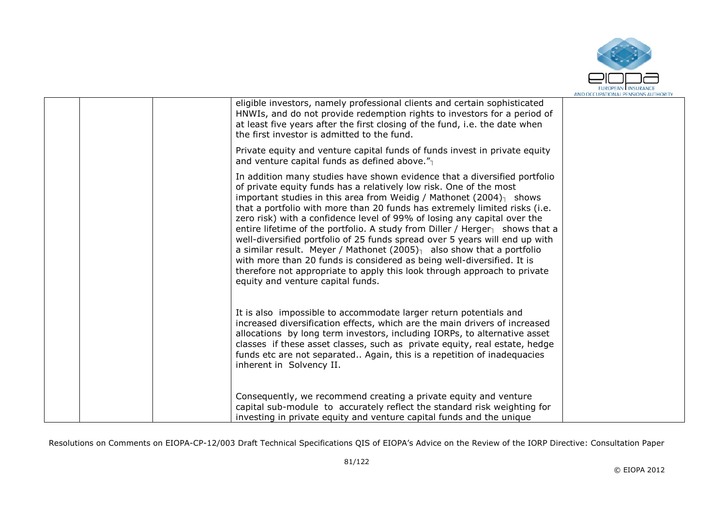

| eligible investors, namely professional clients and certain sophisticated<br>HNWIs, and do not provide redemption rights to investors for a period of<br>at least five years after the first closing of the fund, i.e. the date when<br>the first investor is admitted to the fund.                                                                                                                                                                                                                                                                                                                                                                                                                                                                                                                                                                          |  |
|--------------------------------------------------------------------------------------------------------------------------------------------------------------------------------------------------------------------------------------------------------------------------------------------------------------------------------------------------------------------------------------------------------------------------------------------------------------------------------------------------------------------------------------------------------------------------------------------------------------------------------------------------------------------------------------------------------------------------------------------------------------------------------------------------------------------------------------------------------------|--|
| Private equity and venture capital funds of funds invest in private equity<br>and venture capital funds as defined above." $_1$                                                                                                                                                                                                                                                                                                                                                                                                                                                                                                                                                                                                                                                                                                                              |  |
| In addition many studies have shown evidence that a diversified portfolio<br>of private equity funds has a relatively low risk. One of the most<br>important studies in this area from Weidig / Mathonet $(2004)$ <sub>1</sub> shows<br>that a portfolio with more than 20 funds has extremely limited risks (i.e.<br>zero risk) with a confidence level of 99% of losing any capital over the<br>entire lifetime of the portfolio. A study from Diller / Herger $\frac{1}{1}$ shows that a<br>well-diversified portfolio of 25 funds spread over 5 years will end up with<br>a similar result. Meyer / Mathonet $(2005)$ <sup>1</sup> also show that a portfolio<br>with more than 20 funds is considered as being well-diversified. It is<br>therefore not appropriate to apply this look through approach to private<br>equity and venture capital funds. |  |
| It is also impossible to accommodate larger return potentials and<br>increased diversification effects, which are the main drivers of increased<br>allocations by long term investors, including IORPs, to alternative asset<br>classes if these asset classes, such as private equity, real estate, hedge<br>funds etc are not separated Again, this is a repetition of inadequacies<br>inherent in Solvency II.                                                                                                                                                                                                                                                                                                                                                                                                                                            |  |
| Consequently, we recommend creating a private equity and venture<br>capital sub-module to accurately reflect the standard risk weighting for<br>investing in private equity and venture capital funds and the unique                                                                                                                                                                                                                                                                                                                                                                                                                                                                                                                                                                                                                                         |  |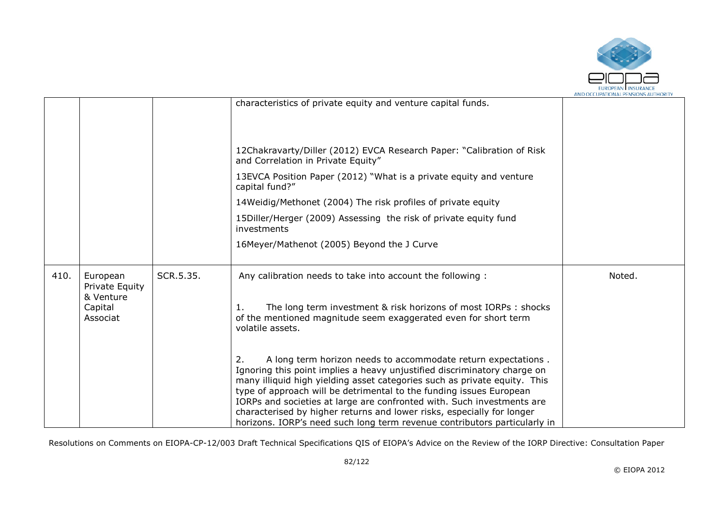

|      |                                         |           |                                                                                                                                                                                                                                                                                                                                                                                                                                                                                                                                      | AND OCCUPATIONAL PENSIONS AUTHORIT |
|------|-----------------------------------------|-----------|--------------------------------------------------------------------------------------------------------------------------------------------------------------------------------------------------------------------------------------------------------------------------------------------------------------------------------------------------------------------------------------------------------------------------------------------------------------------------------------------------------------------------------------|------------------------------------|
|      |                                         |           | characteristics of private equity and venture capital funds.                                                                                                                                                                                                                                                                                                                                                                                                                                                                         |                                    |
|      |                                         |           | 12Chakravarty/Diller (2012) EVCA Research Paper: "Calibration of Risk<br>and Correlation in Private Equity"                                                                                                                                                                                                                                                                                                                                                                                                                          |                                    |
|      |                                         |           | 13EVCA Position Paper (2012) "What is a private equity and venture<br>capital fund?"                                                                                                                                                                                                                                                                                                                                                                                                                                                 |                                    |
|      |                                         |           | 14Weidig/Methonet (2004) The risk profiles of private equity                                                                                                                                                                                                                                                                                                                                                                                                                                                                         |                                    |
|      |                                         |           | 15Diller/Herger (2009) Assessing the risk of private equity fund<br>investments                                                                                                                                                                                                                                                                                                                                                                                                                                                      |                                    |
|      |                                         |           | 16Meyer/Mathenot (2005) Beyond the J Curve                                                                                                                                                                                                                                                                                                                                                                                                                                                                                           |                                    |
| 410. | European<br>Private Equity<br>& Venture | SCR.5.35. | Any calibration needs to take into account the following :                                                                                                                                                                                                                                                                                                                                                                                                                                                                           | Noted.                             |
|      | Capital<br>Associat                     |           | The long term investment & risk horizons of most IORPs : shocks<br>of the mentioned magnitude seem exaggerated even for short term<br>volatile assets.                                                                                                                                                                                                                                                                                                                                                                               |                                    |
|      |                                         |           | A long term horizon needs to accommodate return expectations.<br>2.<br>Ignoring this point implies a heavy unjustified discriminatory charge on<br>many illiquid high yielding asset categories such as private equity. This<br>type of approach will be detrimental to the funding issues European<br>IORPs and societies at large are confronted with. Such investments are<br>characterised by higher returns and lower risks, especially for longer<br>horizons. IORP's need such long term revenue contributors particularly in |                                    |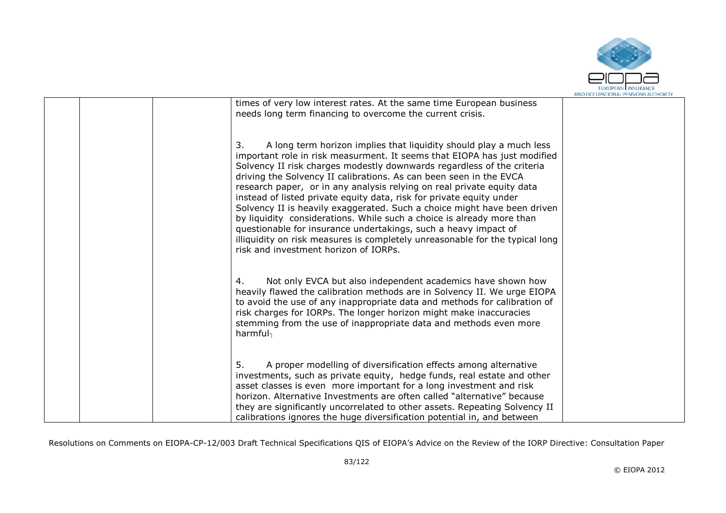

|  |                                                                                                                                                                                                                                                                                                                                                                                                                                                                                                                                                                                                                                                                                                                                                                                                         | AND OCCUPATIONAL PENSIONS AUTHORIT |
|--|---------------------------------------------------------------------------------------------------------------------------------------------------------------------------------------------------------------------------------------------------------------------------------------------------------------------------------------------------------------------------------------------------------------------------------------------------------------------------------------------------------------------------------------------------------------------------------------------------------------------------------------------------------------------------------------------------------------------------------------------------------------------------------------------------------|------------------------------------|
|  | times of very low interest rates. At the same time European business<br>needs long term financing to overcome the current crisis.                                                                                                                                                                                                                                                                                                                                                                                                                                                                                                                                                                                                                                                                       |                                    |
|  | A long term horizon implies that liquidity should play a much less<br>3.<br>important role in risk measurment. It seems that EIOPA has just modified<br>Solvency II risk charges modestly downwards regardless of the criteria<br>driving the Solvency II calibrations. As can been seen in the EVCA<br>research paper, or in any analysis relying on real private equity data<br>instead of listed private equity data, risk for private equity under<br>Solvency II is heavily exaggerated. Such a choice might have been driven<br>by liquidity considerations. While such a choice is already more than<br>questionable for insurance undertakings, such a heavy impact of<br>illiquidity on risk measures is completely unreasonable for the typical long<br>risk and investment horizon of IORPs. |                                    |
|  | Not only EVCA but also independent academics have shown how<br>4.<br>heavily flawed the calibration methods are in Solvency II. We urge EIOPA<br>to avoid the use of any inappropriate data and methods for calibration of<br>risk charges for IORPs. The longer horizon might make inaccuracies<br>stemming from the use of inappropriate data and methods even more<br>harmful                                                                                                                                                                                                                                                                                                                                                                                                                        |                                    |
|  | A proper modelling of diversification effects among alternative<br>5.<br>investments, such as private equity, hedge funds, real estate and other<br>asset classes is even more important for a long investment and risk<br>horizon. Alternative Investments are often called "alternative" because<br>they are significantly uncorrelated to other assets. Repeating Solvency II<br>calibrations ignores the huge diversification potential in, and between                                                                                                                                                                                                                                                                                                                                             |                                    |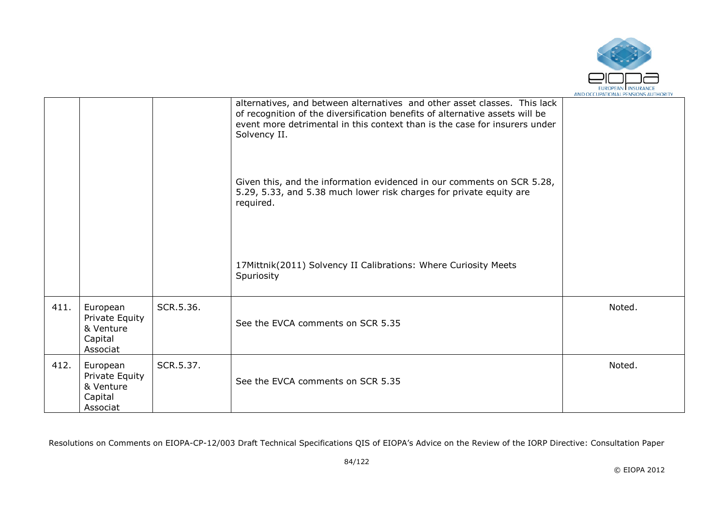

|      |                                                                |           |                                                                                                                                                                                                                                                         | AND OCCUPATIONAL FENSIONS AUTHONT |
|------|----------------------------------------------------------------|-----------|---------------------------------------------------------------------------------------------------------------------------------------------------------------------------------------------------------------------------------------------------------|-----------------------------------|
|      |                                                                |           | alternatives, and between alternatives and other asset classes. This lack<br>of recognition of the diversification benefits of alternative assets will be<br>event more detrimental in this context than is the case for insurers under<br>Solvency II. |                                   |
|      |                                                                |           | Given this, and the information evidenced in our comments on SCR 5.28,<br>5.29, 5.33, and 5.38 much lower risk charges for private equity are<br>required.                                                                                              |                                   |
|      |                                                                |           | 17Mittnik(2011) Solvency II Calibrations: Where Curiosity Meets<br>Spuriosity                                                                                                                                                                           |                                   |
| 411. | European<br>Private Equity<br>& Venture<br>Capital<br>Associat | SCR.5.36. | See the EVCA comments on SCR 5.35                                                                                                                                                                                                                       | Noted.                            |
| 412. | European<br>Private Equity<br>& Venture<br>Capital<br>Associat | SCR.5.37. | See the EVCA comments on SCR 5.35                                                                                                                                                                                                                       | Noted.                            |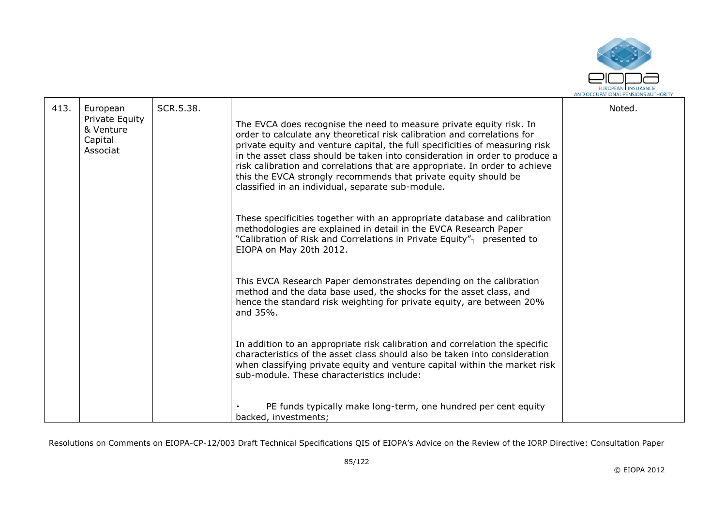

| 413. | European                                           | SCR.5.38. |                                                                                                                                                                                                                                                                                                                                                                                                                                                                                                                       | Noted. |
|------|----------------------------------------------------|-----------|-----------------------------------------------------------------------------------------------------------------------------------------------------------------------------------------------------------------------------------------------------------------------------------------------------------------------------------------------------------------------------------------------------------------------------------------------------------------------------------------------------------------------|--------|
|      | Private Equity<br>& Venture<br>Capital<br>Associat |           | The EVCA does recognise the need to measure private equity risk. In<br>order to calculate any theoretical risk calibration and correlations for<br>private equity and venture capital, the full specificities of measuring risk<br>in the asset class should be taken into consideration in order to produce a<br>risk calibration and correlations that are appropriate. In order to achieve<br>this the EVCA strongly recommends that private equity should be<br>classified in an individual, separate sub-module. |        |
|      |                                                    |           | These specificities together with an appropriate database and calibration<br>methodologies are explained in detail in the EVCA Research Paper<br>"Calibration of Risk and Correlations in Private Equity" <sub>1</sub> presented to<br>EIOPA on May 20th 2012.                                                                                                                                                                                                                                                        |        |
|      |                                                    |           | This EVCA Research Paper demonstrates depending on the calibration<br>method and the data base used, the shocks for the asset class, and<br>hence the standard risk weighting for private equity, are between 20%<br>and 35%.                                                                                                                                                                                                                                                                                         |        |
|      |                                                    |           | In addition to an appropriate risk calibration and correlation the specific<br>characteristics of the asset class should also be taken into consideration<br>when classifying private equity and venture capital within the market risk<br>sub-module. These characteristics include:                                                                                                                                                                                                                                 |        |
|      |                                                    |           | PE funds typically make long-term, one hundred per cent equity<br>backed, investments;                                                                                                                                                                                                                                                                                                                                                                                                                                |        |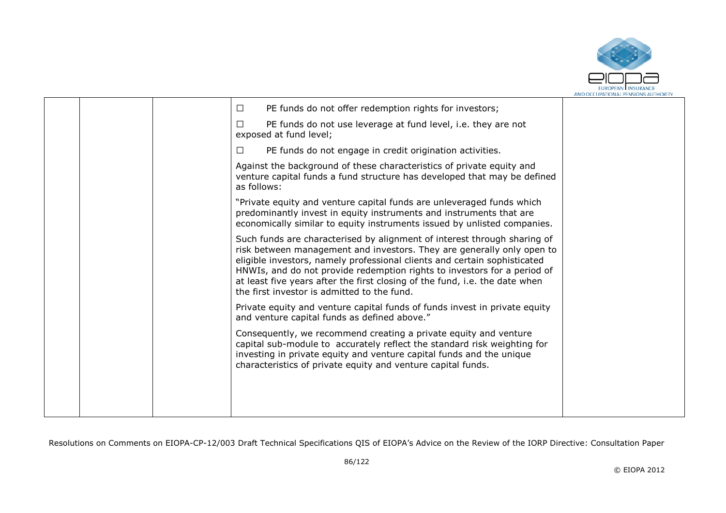

| PE funds do not offer redemption rights for investors;<br>$\Box$                                                                                                                                                                                                                                                                                                                                                                          |  |
|-------------------------------------------------------------------------------------------------------------------------------------------------------------------------------------------------------------------------------------------------------------------------------------------------------------------------------------------------------------------------------------------------------------------------------------------|--|
| PE funds do not use leverage at fund level, i.e. they are not<br>$\Box$<br>exposed at fund level;                                                                                                                                                                                                                                                                                                                                         |  |
| PE funds do not engage in credit origination activities.<br>$\Box$                                                                                                                                                                                                                                                                                                                                                                        |  |
| Against the background of these characteristics of private equity and<br>venture capital funds a fund structure has developed that may be defined<br>as follows:                                                                                                                                                                                                                                                                          |  |
| "Private equity and venture capital funds are unleveraged funds which<br>predominantly invest in equity instruments and instruments that are<br>economically similar to equity instruments issued by unlisted companies.                                                                                                                                                                                                                  |  |
| Such funds are characterised by alignment of interest through sharing of<br>risk between management and investors. They are generally only open to<br>eligible investors, namely professional clients and certain sophisticated<br>HNWIs, and do not provide redemption rights to investors for a period of<br>at least five years after the first closing of the fund, i.e. the date when<br>the first investor is admitted to the fund. |  |
| Private equity and venture capital funds of funds invest in private equity<br>and venture capital funds as defined above."                                                                                                                                                                                                                                                                                                                |  |
| Consequently, we recommend creating a private equity and venture<br>capital sub-module to accurately reflect the standard risk weighting for<br>investing in private equity and venture capital funds and the unique<br>characteristics of private equity and venture capital funds.                                                                                                                                                      |  |
|                                                                                                                                                                                                                                                                                                                                                                                                                                           |  |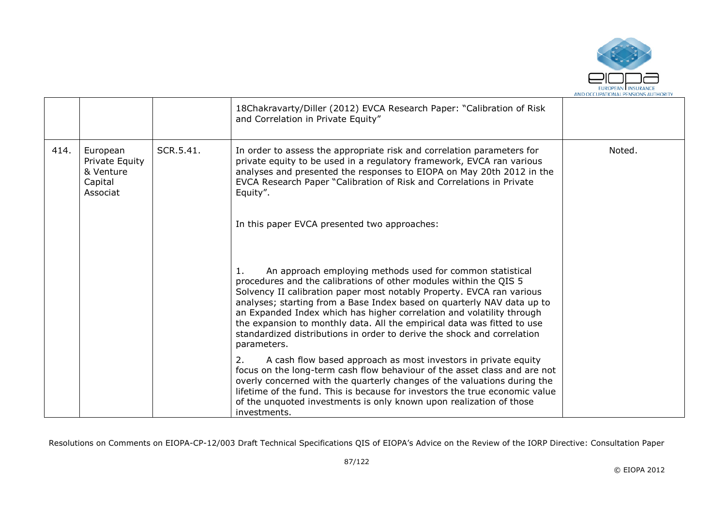

|      |                                                                |           | 18Chakravarty/Diller (2012) EVCA Research Paper: "Calibration of Risk<br>and Correlation in Private Equity"                                                                                                                                                                                                                                                                                                                                                                                                                           |        |
|------|----------------------------------------------------------------|-----------|---------------------------------------------------------------------------------------------------------------------------------------------------------------------------------------------------------------------------------------------------------------------------------------------------------------------------------------------------------------------------------------------------------------------------------------------------------------------------------------------------------------------------------------|--------|
| 414. | European<br>Private Equity<br>& Venture<br>Capital<br>Associat | SCR.5.41. | In order to assess the appropriate risk and correlation parameters for<br>private equity to be used in a regulatory framework, EVCA ran various<br>analyses and presented the responses to EIOPA on May 20th 2012 in the<br>EVCA Research Paper "Calibration of Risk and Correlations in Private<br>Equity".                                                                                                                                                                                                                          | Noted. |
|      |                                                                |           | In this paper EVCA presented two approaches:                                                                                                                                                                                                                                                                                                                                                                                                                                                                                          |        |
|      |                                                                |           | An approach employing methods used for common statistical<br>1.<br>procedures and the calibrations of other modules within the QIS 5<br>Solvency II calibration paper most notably Property. EVCA ran various<br>analyses; starting from a Base Index based on quarterly NAV data up to<br>an Expanded Index which has higher correlation and volatility through<br>the expansion to monthly data. All the empirical data was fitted to use<br>standardized distributions in order to derive the shock and correlation<br>parameters. |        |
|      |                                                                |           | A cash flow based approach as most investors in private equity<br>2.<br>focus on the long-term cash flow behaviour of the asset class and are not<br>overly concerned with the quarterly changes of the valuations during the<br>lifetime of the fund. This is because for investors the true economic value<br>of the unquoted investments is only known upon realization of those<br>investments.                                                                                                                                   |        |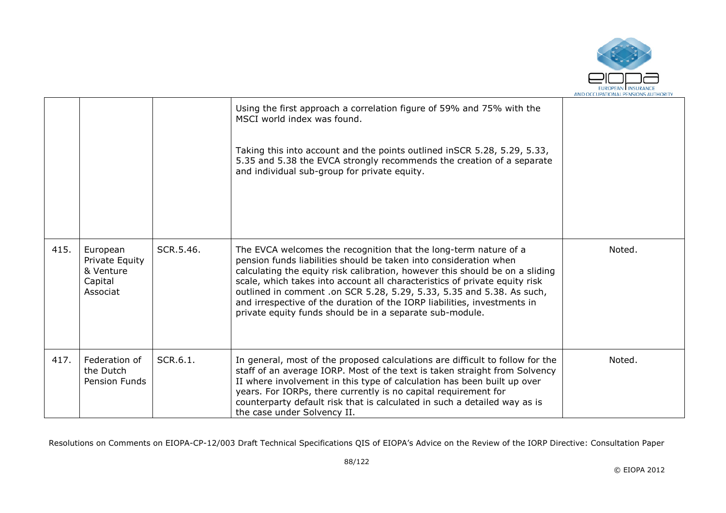

|      |                                                                |           | Using the first approach a correlation figure of 59% and 75% with the<br>MSCI world index was found.<br>Taking this into account and the points outlined inSCR 5.28, 5.29, 5.33,<br>5.35 and 5.38 the EVCA strongly recommends the creation of a separate<br>and individual sub-group for private equity.                                                                                                                                                                                                            |        |
|------|----------------------------------------------------------------|-----------|----------------------------------------------------------------------------------------------------------------------------------------------------------------------------------------------------------------------------------------------------------------------------------------------------------------------------------------------------------------------------------------------------------------------------------------------------------------------------------------------------------------------|--------|
| 415. | European<br>Private Equity<br>& Venture<br>Capital<br>Associat | SCR.5.46. | The EVCA welcomes the recognition that the long-term nature of a<br>pension funds liabilities should be taken into consideration when<br>calculating the equity risk calibration, however this should be on a sliding<br>scale, which takes into account all characteristics of private equity risk<br>outlined in comment .on SCR 5.28, 5.29, 5.33, 5.35 and 5.38. As such,<br>and irrespective of the duration of the IORP liabilities, investments in<br>private equity funds should be in a separate sub-module. | Noted. |
| 417. | Federation of<br>the Dutch<br><b>Pension Funds</b>             | SCR.6.1.  | In general, most of the proposed calculations are difficult to follow for the<br>staff of an average IORP. Most of the text is taken straight from Solvency<br>II where involvement in this type of calculation has been built up over<br>years. For IORPs, there currently is no capital requirement for<br>counterparty default risk that is calculated in such a detailed way as is<br>the case under Solvency II.                                                                                                | Noted. |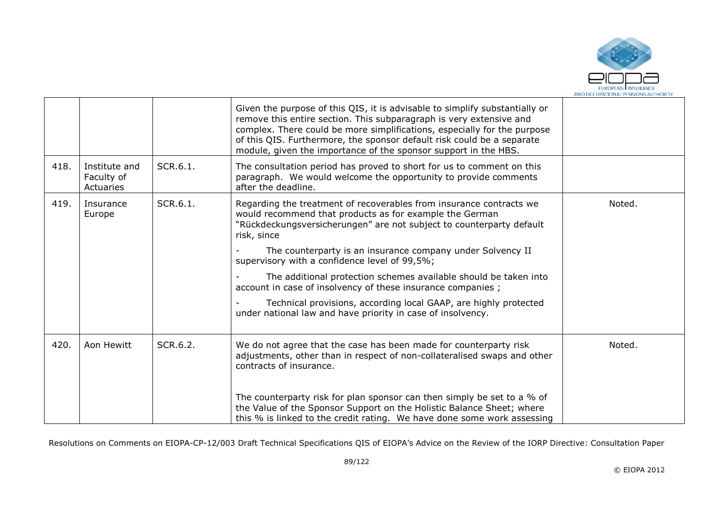

|      |                                          |          | Given the purpose of this QIS, it is advisable to simplify substantially or<br>remove this entire section. This subparagraph is very extensive and<br>complex. There could be more simplifications, especially for the purpose<br>of this QIS. Furthermore, the sponsor default risk could be a separate<br>module, given the importance of the sponsor support in the HBS. |        |
|------|------------------------------------------|----------|-----------------------------------------------------------------------------------------------------------------------------------------------------------------------------------------------------------------------------------------------------------------------------------------------------------------------------------------------------------------------------|--------|
| 418. | Institute and<br>Faculty of<br>Actuaries | SCR.6.1. | The consultation period has proved to short for us to comment on this<br>paragraph. We would welcome the opportunity to provide comments<br>after the deadline.                                                                                                                                                                                                             |        |
| 419. | Insurance<br>Europe                      | SCR.6.1. | Regarding the treatment of recoverables from insurance contracts we<br>would recommend that products as for example the German<br>"Rückdeckungsversicherungen" are not subject to counterparty default<br>risk, since                                                                                                                                                       | Noted. |
|      |                                          |          | The counterparty is an insurance company under Solvency II<br>supervisory with a confidence level of 99,5%;                                                                                                                                                                                                                                                                 |        |
|      |                                          |          | The additional protection schemes available should be taken into<br>account in case of insolvency of these insurance companies;                                                                                                                                                                                                                                             |        |
|      |                                          |          | Technical provisions, according local GAAP, are highly protected<br>under national law and have priority in case of insolvency.                                                                                                                                                                                                                                             |        |
| 420. | Aon Hewitt                               | SCR.6.2. | We do not agree that the case has been made for counterparty risk<br>adjustments, other than in respect of non-collateralised swaps and other<br>contracts of insurance.                                                                                                                                                                                                    | Noted. |
|      |                                          |          | The counterparty risk for plan sponsor can then simply be set to a % of<br>the Value of the Sponsor Support on the Holistic Balance Sheet; where<br>this % is linked to the credit rating. We have done some work assessing                                                                                                                                                 |        |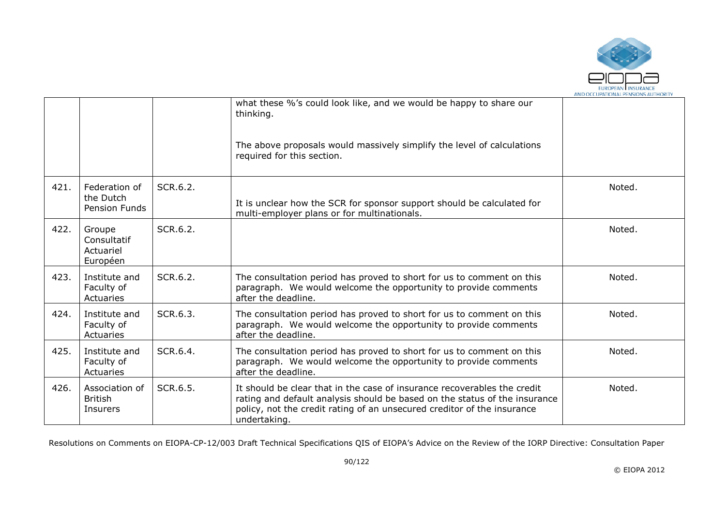

|      |                                                |          | what these %'s could look like, and we would be happy to share our<br>thinking.<br>The above proposals would massively simplify the level of calculations<br>required for this section.                                                           |        |
|------|------------------------------------------------|----------|---------------------------------------------------------------------------------------------------------------------------------------------------------------------------------------------------------------------------------------------------|--------|
| 421. | Federation of<br>the Dutch<br>Pension Funds    | SCR.6.2. | It is unclear how the SCR for sponsor support should be calculated for<br>multi-employer plans or for multinationals.                                                                                                                             | Noted. |
| 422. | Groupe<br>Consultatif<br>Actuariel<br>Européen | SCR.6.2. |                                                                                                                                                                                                                                                   | Noted. |
| 423. | Institute and<br>Faculty of<br>Actuaries       | SCR.6.2. | The consultation period has proved to short for us to comment on this<br>paragraph. We would welcome the opportunity to provide comments<br>after the deadline.                                                                                   | Noted. |
| 424. | Institute and<br>Faculty of<br>Actuaries       | SCR.6.3. | The consultation period has proved to short for us to comment on this<br>paragraph. We would welcome the opportunity to provide comments<br>after the deadline.                                                                                   | Noted. |
| 425. | Institute and<br>Faculty of<br>Actuaries       | SCR.6.4. | The consultation period has proved to short for us to comment on this<br>paragraph. We would welcome the opportunity to provide comments<br>after the deadline.                                                                                   | Noted. |
| 426. | Association of<br><b>British</b><br>Insurers   | SCR.6.5. | It should be clear that in the case of insurance recoverables the credit<br>rating and default analysis should be based on the status of the insurance<br>policy, not the credit rating of an unsecured creditor of the insurance<br>undertaking. | Noted. |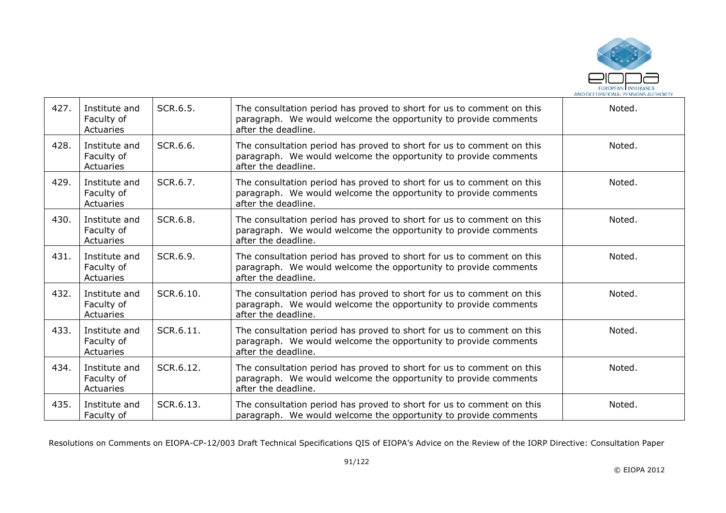

| 427. | Institute and<br>Faculty of<br>Actuaries | SCR.6.5.  | The consultation period has proved to short for us to comment on this<br>paragraph. We would welcome the opportunity to provide comments<br>after the deadline. | Noted. |
|------|------------------------------------------|-----------|-----------------------------------------------------------------------------------------------------------------------------------------------------------------|--------|
| 428. | Institute and<br>Faculty of<br>Actuaries | SCR.6.6.  | The consultation period has proved to short for us to comment on this<br>paragraph. We would welcome the opportunity to provide comments<br>after the deadline. | Noted. |
| 429. | Institute and<br>Faculty of<br>Actuaries | SCR.6.7.  | The consultation period has proved to short for us to comment on this<br>paragraph. We would welcome the opportunity to provide comments<br>after the deadline. | Noted. |
| 430. | Institute and<br>Faculty of<br>Actuaries | SCR.6.8.  | The consultation period has proved to short for us to comment on this<br>paragraph. We would welcome the opportunity to provide comments<br>after the deadline. | Noted. |
| 431. | Institute and<br>Faculty of<br>Actuaries | SCR.6.9.  | The consultation period has proved to short for us to comment on this<br>paragraph. We would welcome the opportunity to provide comments<br>after the deadline. | Noted. |
| 432. | Institute and<br>Faculty of<br>Actuaries | SCR.6.10. | The consultation period has proved to short for us to comment on this<br>paragraph. We would welcome the opportunity to provide comments<br>after the deadline. | Noted. |
| 433. | Institute and<br>Faculty of<br>Actuaries | SCR.6.11. | The consultation period has proved to short for us to comment on this<br>paragraph. We would welcome the opportunity to provide comments<br>after the deadline. | Noted. |
| 434. | Institute and<br>Faculty of<br>Actuaries | SCR.6.12. | The consultation period has proved to short for us to comment on this<br>paragraph. We would welcome the opportunity to provide comments<br>after the deadline. | Noted. |
| 435. | Institute and<br>Faculty of              | SCR.6.13. | The consultation period has proved to short for us to comment on this<br>paragraph. We would welcome the opportunity to provide comments                        | Noted. |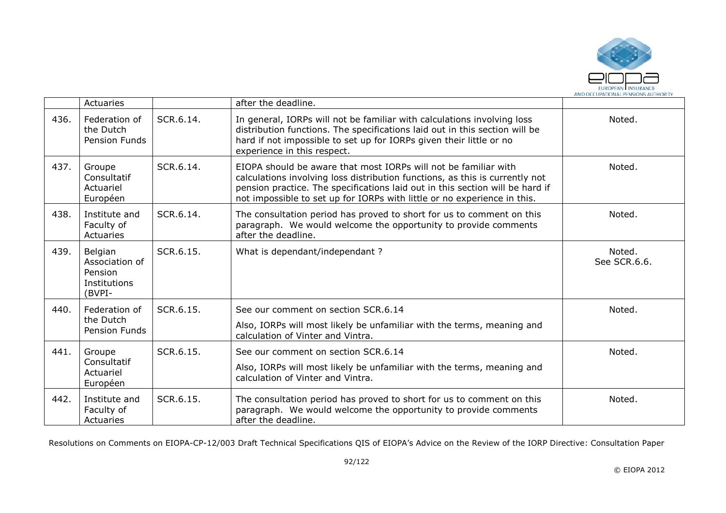

|      | Actuaries                                                      |           | after the deadline.                                                                                                                                                                                                                                                                                          |                        |
|------|----------------------------------------------------------------|-----------|--------------------------------------------------------------------------------------------------------------------------------------------------------------------------------------------------------------------------------------------------------------------------------------------------------------|------------------------|
| 436. | Federation of<br>the Dutch<br>Pension Funds                    | SCR.6.14. | In general, IORPs will not be familiar with calculations involving loss<br>distribution functions. The specifications laid out in this section will be<br>hard if not impossible to set up for IORPs given their little or no<br>experience in this respect.                                                 | Noted.                 |
| 437. | Groupe<br>Consultatif<br>Actuariel<br>Européen                 | SCR.6.14. | EIOPA should be aware that most IORPs will not be familiar with<br>calculations involving loss distribution functions, as this is currently not<br>pension practice. The specifications laid out in this section will be hard if<br>not impossible to set up for IORPs with little or no experience in this. | Noted.                 |
| 438. | Institute and<br>Faculty of<br>Actuaries                       | SCR.6.14. | The consultation period has proved to short for us to comment on this<br>paragraph. We would welcome the opportunity to provide comments<br>after the deadline.                                                                                                                                              | Noted.                 |
| 439. | Belgian<br>Association of<br>Pension<br>Institutions<br>(BVPI- | SCR.6.15. | What is dependant/independant?                                                                                                                                                                                                                                                                               | Noted.<br>See SCR.6.6. |
| 440. | Federation of<br>the Dutch<br>Pension Funds                    | SCR.6.15. | See our comment on section SCR.6.14<br>Also, IORPs will most likely be unfamiliar with the terms, meaning and<br>calculation of Vinter and Vintra.                                                                                                                                                           | Noted.                 |
| 441. | Groupe<br>Consultatif<br>Actuariel<br>Européen                 | SCR.6.15. | See our comment on section SCR.6.14<br>Also, IORPs will most likely be unfamiliar with the terms, meaning and<br>calculation of Vinter and Vintra.                                                                                                                                                           | Noted.                 |
| 442. | Institute and<br>Faculty of<br>Actuaries                       | SCR.6.15. | The consultation period has proved to short for us to comment on this<br>paragraph. We would welcome the opportunity to provide comments<br>after the deadline.                                                                                                                                              | Noted.                 |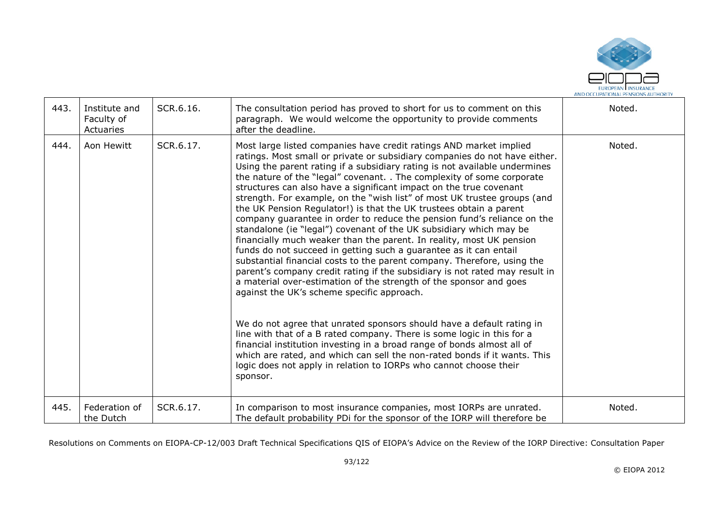

| 443. | Institute and<br>Faculty of<br>Actuaries | SCR.6.16. | The consultation period has proved to short for us to comment on this<br>paragraph. We would welcome the opportunity to provide comments<br>after the deadline.                                                                                                                                                                                                                                                                                                                                                                                                                                                                                                                                                                                                                                                                                                                                                                                                                                                                                                                                                                                                                                                                                                                                                                                                                                                                                                                                          | Noted. |
|------|------------------------------------------|-----------|----------------------------------------------------------------------------------------------------------------------------------------------------------------------------------------------------------------------------------------------------------------------------------------------------------------------------------------------------------------------------------------------------------------------------------------------------------------------------------------------------------------------------------------------------------------------------------------------------------------------------------------------------------------------------------------------------------------------------------------------------------------------------------------------------------------------------------------------------------------------------------------------------------------------------------------------------------------------------------------------------------------------------------------------------------------------------------------------------------------------------------------------------------------------------------------------------------------------------------------------------------------------------------------------------------------------------------------------------------------------------------------------------------------------------------------------------------------------------------------------------------|--------|
| 444. | Aon Hewitt                               | SCR.6.17. | Most large listed companies have credit ratings AND market implied<br>ratings. Most small or private or subsidiary companies do not have either.<br>Using the parent rating if a subsidiary rating is not available undermines<br>the nature of the "legal" covenant. . The complexity of some corporate<br>structures can also have a significant impact on the true covenant<br>strength. For example, on the "wish list" of most UK trustee groups (and<br>the UK Pension Regulator!) is that the UK trustees obtain a parent<br>company guarantee in order to reduce the pension fund's reliance on the<br>standalone (ie "legal") covenant of the UK subsidiary which may be<br>financially much weaker than the parent. In reality, most UK pension<br>funds do not succeed in getting such a guarantee as it can entail<br>substantial financial costs to the parent company. Therefore, using the<br>parent's company credit rating if the subsidiary is not rated may result in<br>a material over-estimation of the strength of the sponsor and goes<br>against the UK's scheme specific approach.<br>We do not agree that unrated sponsors should have a default rating in<br>line with that of a B rated company. There is some logic in this for a<br>financial institution investing in a broad range of bonds almost all of<br>which are rated, and which can sell the non-rated bonds if it wants. This<br>logic does not apply in relation to IORPs who cannot choose their<br>sponsor. | Noted. |
| 445. | Federation of<br>the Dutch               | SCR.6.17. | In comparison to most insurance companies, most IORPs are unrated.<br>The default probability PDi for the sponsor of the IORP will therefore be                                                                                                                                                                                                                                                                                                                                                                                                                                                                                                                                                                                                                                                                                                                                                                                                                                                                                                                                                                                                                                                                                                                                                                                                                                                                                                                                                          | Noted. |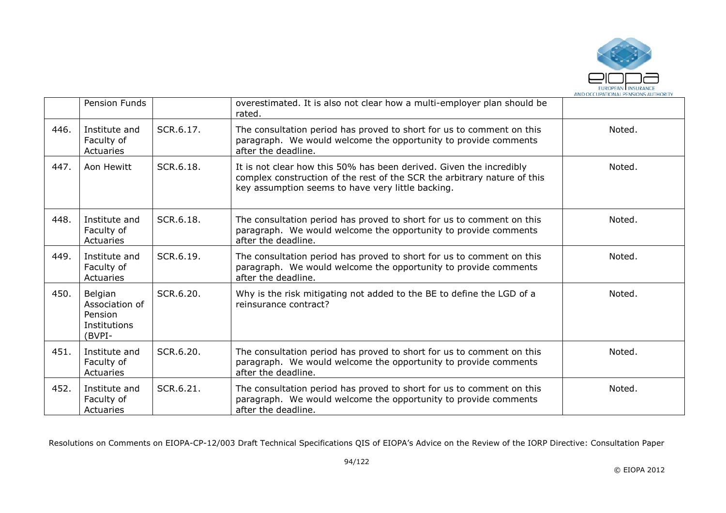

|      | Pension Funds                                                         |           | overestimated. It is also not clear how a multi-employer plan should be<br>rated.                                                                                                                    |        |
|------|-----------------------------------------------------------------------|-----------|------------------------------------------------------------------------------------------------------------------------------------------------------------------------------------------------------|--------|
| 446. | Institute and<br>Faculty of<br>Actuaries                              | SCR.6.17. | The consultation period has proved to short for us to comment on this<br>paragraph. We would welcome the opportunity to provide comments<br>after the deadline.                                      | Noted. |
| 447. | Aon Hewitt                                                            | SCR.6.18. | It is not clear how this 50% has been derived. Given the incredibly<br>complex construction of the rest of the SCR the arbitrary nature of this<br>key assumption seems to have very little backing. | Noted. |
| 448. | Institute and<br>Faculty of<br>Actuaries                              | SCR.6.18. | The consultation period has proved to short for us to comment on this<br>paragraph. We would welcome the opportunity to provide comments<br>after the deadline.                                      | Noted. |
| 449. | Institute and<br>Faculty of<br>Actuaries                              | SCR.6.19. | The consultation period has proved to short for us to comment on this<br>paragraph. We would welcome the opportunity to provide comments<br>after the deadline.                                      | Noted. |
| 450. | Belgian<br>Association of<br><b>Pension</b><br>Institutions<br>(BVPI- | SCR.6.20. | Why is the risk mitigating not added to the BE to define the LGD of a<br>reinsurance contract?                                                                                                       | Noted. |
| 451. | Institute and<br>Faculty of<br>Actuaries                              | SCR.6.20. | The consultation period has proved to short for us to comment on this<br>paragraph. We would welcome the opportunity to provide comments<br>after the deadline.                                      | Noted. |
| 452. | Institute and<br>Faculty of<br>Actuaries                              | SCR.6.21. | The consultation period has proved to short for us to comment on this<br>paragraph. We would welcome the opportunity to provide comments<br>after the deadline.                                      | Noted. |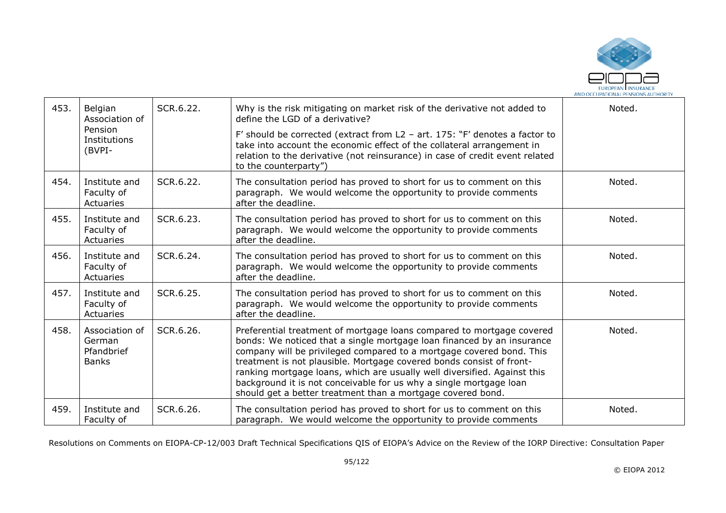

| 453. | Belgian<br>Association of<br>Pension<br>Institutions<br>(BVPI- | SCR.6.22. | Why is the risk mitigating on market risk of the derivative not added to<br>define the LGD of a derivative?<br>F' should be corrected (extract from $L2 - art. 175$ : "F' denotes a factor to<br>take into account the economic effect of the collateral arrangement in<br>relation to the derivative (not reinsurance) in case of credit event related<br>to the counterparty")                                                                                                                                 | Noted. |
|------|----------------------------------------------------------------|-----------|------------------------------------------------------------------------------------------------------------------------------------------------------------------------------------------------------------------------------------------------------------------------------------------------------------------------------------------------------------------------------------------------------------------------------------------------------------------------------------------------------------------|--------|
| 454. | Institute and<br>Faculty of<br>Actuaries                       | SCR.6.22. | The consultation period has proved to short for us to comment on this<br>paragraph. We would welcome the opportunity to provide comments<br>after the deadline.                                                                                                                                                                                                                                                                                                                                                  | Noted. |
| 455. | Institute and<br>Faculty of<br>Actuaries                       | SCR.6.23. | The consultation period has proved to short for us to comment on this<br>paragraph. We would welcome the opportunity to provide comments<br>after the deadline.                                                                                                                                                                                                                                                                                                                                                  | Noted. |
| 456. | Institute and<br>Faculty of<br>Actuaries                       | SCR.6.24. | The consultation period has proved to short for us to comment on this<br>paragraph. We would welcome the opportunity to provide comments<br>after the deadline.                                                                                                                                                                                                                                                                                                                                                  | Noted. |
| 457. | Institute and<br>Faculty of<br>Actuaries                       | SCR.6.25. | The consultation period has proved to short for us to comment on this<br>paragraph. We would welcome the opportunity to provide comments<br>after the deadline.                                                                                                                                                                                                                                                                                                                                                  | Noted. |
| 458. | Association of<br>German<br>Pfandbrief<br><b>Banks</b>         | SCR.6.26. | Preferential treatment of mortgage loans compared to mortgage covered<br>bonds: We noticed that a single mortgage loan financed by an insurance<br>company will be privileged compared to a mortgage covered bond. This<br>treatment is not plausible. Mortgage covered bonds consist of front-<br>ranking mortgage loans, which are usually well diversified. Against this<br>background it is not conceivable for us why a single mortgage loan<br>should get a better treatment than a mortgage covered bond. | Noted. |
| 459. | Institute and<br>Faculty of                                    | SCR.6.26. | The consultation period has proved to short for us to comment on this<br>paragraph. We would welcome the opportunity to provide comments                                                                                                                                                                                                                                                                                                                                                                         | Noted. |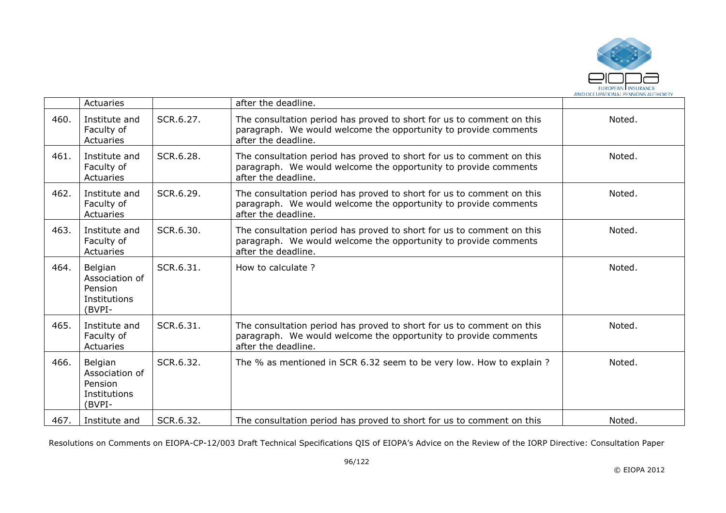

|      | <b>Actuaries</b>                                               |           | after the deadline.                                                                                                                                             |        |
|------|----------------------------------------------------------------|-----------|-----------------------------------------------------------------------------------------------------------------------------------------------------------------|--------|
| 460. | Institute and<br>Faculty of<br>Actuaries                       | SCR.6.27. | The consultation period has proved to short for us to comment on this<br>paragraph. We would welcome the opportunity to provide comments<br>after the deadline. | Noted. |
| 461. | Institute and<br>Faculty of<br>Actuaries                       | SCR.6.28. | The consultation period has proved to short for us to comment on this<br>paragraph. We would welcome the opportunity to provide comments<br>after the deadline. | Noted. |
| 462. | Institute and<br>Faculty of<br>Actuaries                       | SCR.6.29. | The consultation period has proved to short for us to comment on this<br>paragraph. We would welcome the opportunity to provide comments<br>after the deadline. | Noted. |
| 463. | Institute and<br>Faculty of<br>Actuaries                       | SCR.6.30. | The consultation period has proved to short for us to comment on this<br>paragraph. We would welcome the opportunity to provide comments<br>after the deadline. | Noted. |
| 464. | Belgian<br>Association of<br>Pension<br>Institutions<br>(BVPI- | SCR.6.31. | How to calculate?                                                                                                                                               | Noted. |
| 465. | Institute and<br>Faculty of<br>Actuaries                       | SCR.6.31. | The consultation period has proved to short for us to comment on this<br>paragraph. We would welcome the opportunity to provide comments<br>after the deadline. | Noted. |
| 466. | Belgian<br>Association of<br>Pension<br>Institutions<br>(BVPI- | SCR.6.32. | The % as mentioned in SCR 6.32 seem to be very low. How to explain ?                                                                                            | Noted. |
| 467. | Institute and                                                  | SCR.6.32. | The consultation period has proved to short for us to comment on this                                                                                           | Noted. |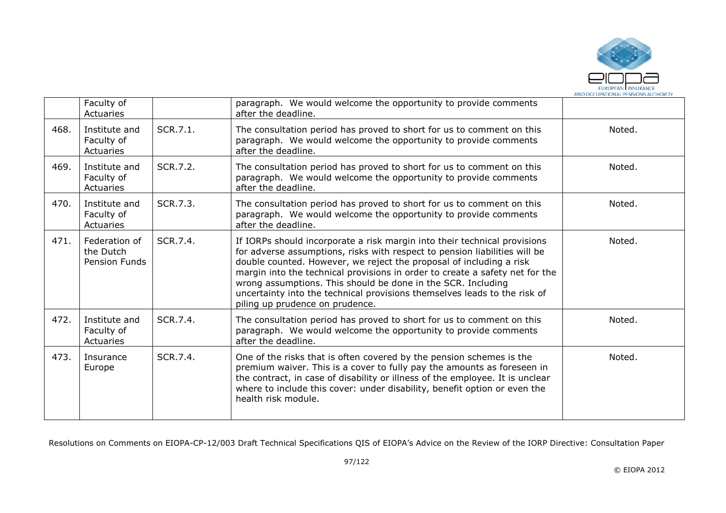

|      | Faculty of<br>Actuaries                     |          | paragraph. We would welcome the opportunity to provide comments<br>after the deadline.                                                                                                                                                                                                                                                                                                                                                                                                         |        |
|------|---------------------------------------------|----------|------------------------------------------------------------------------------------------------------------------------------------------------------------------------------------------------------------------------------------------------------------------------------------------------------------------------------------------------------------------------------------------------------------------------------------------------------------------------------------------------|--------|
| 468. | Institute and<br>Faculty of<br>Actuaries    | SCR.7.1. | The consultation period has proved to short for us to comment on this<br>paragraph. We would welcome the opportunity to provide comments<br>after the deadline.                                                                                                                                                                                                                                                                                                                                | Noted. |
| 469. | Institute and<br>Faculty of<br>Actuaries    | SCR.7.2. | The consultation period has proved to short for us to comment on this<br>paragraph. We would welcome the opportunity to provide comments<br>after the deadline.                                                                                                                                                                                                                                                                                                                                | Noted. |
| 470. | Institute and<br>Faculty of<br>Actuaries    | SCR.7.3. | The consultation period has proved to short for us to comment on this<br>paragraph. We would welcome the opportunity to provide comments<br>after the deadline.                                                                                                                                                                                                                                                                                                                                | Noted. |
| 471. | Federation of<br>the Dutch<br>Pension Funds | SCR.7.4. | If IORPs should incorporate a risk margin into their technical provisions<br>for adverse assumptions, risks with respect to pension liabilities will be<br>double counted. However, we reject the proposal of including a risk<br>margin into the technical provisions in order to create a safety net for the<br>wrong assumptions. This should be done in the SCR. Including<br>uncertainty into the technical provisions themselves leads to the risk of<br>piling up prudence on prudence. | Noted. |
| 472. | Institute and<br>Faculty of<br>Actuaries    | SCR.7.4. | The consultation period has proved to short for us to comment on this<br>paragraph. We would welcome the opportunity to provide comments<br>after the deadline.                                                                                                                                                                                                                                                                                                                                | Noted. |
| 473. | Insurance<br>Europe                         | SCR.7.4. | One of the risks that is often covered by the pension schemes is the<br>premium waiver. This is a cover to fully pay the amounts as foreseen in<br>the contract, in case of disability or illness of the employee. It is unclear<br>where to include this cover: under disability, benefit option or even the<br>health risk module.                                                                                                                                                           | Noted. |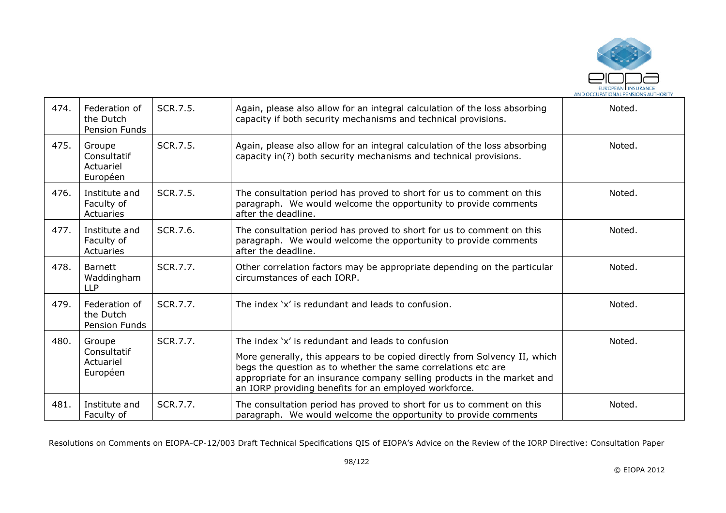

| 474. | Federation of<br>the Dutch<br>Pension Funds    | SCR.7.5. | Again, please also allow for an integral calculation of the loss absorbing<br>capacity if both security mechanisms and technical provisions.                                                                                                                                                                                         | Noted. |
|------|------------------------------------------------|----------|--------------------------------------------------------------------------------------------------------------------------------------------------------------------------------------------------------------------------------------------------------------------------------------------------------------------------------------|--------|
| 475. | Groupe<br>Consultatif<br>Actuariel<br>Européen | SCR.7.5. | Again, please also allow for an integral calculation of the loss absorbing<br>capacity in(?) both security mechanisms and technical provisions.                                                                                                                                                                                      | Noted. |
| 476. | Institute and<br>Faculty of<br>Actuaries       | SCR.7.5. | The consultation period has proved to short for us to comment on this<br>paragraph. We would welcome the opportunity to provide comments<br>after the deadline.                                                                                                                                                                      | Noted. |
| 477. | Institute and<br>Faculty of<br>Actuaries       | SCR.7.6. | The consultation period has proved to short for us to comment on this<br>paragraph. We would welcome the opportunity to provide comments<br>after the deadline.                                                                                                                                                                      | Noted. |
| 478. | <b>Barnett</b><br>Waddingham<br><b>LLP</b>     | SCR.7.7. | Other correlation factors may be appropriate depending on the particular<br>circumstances of each IORP.                                                                                                                                                                                                                              | Noted. |
| 479. | Federation of<br>the Dutch<br>Pension Funds    | SCR.7.7. | The index 'x' is redundant and leads to confusion.                                                                                                                                                                                                                                                                                   | Noted. |
| 480. | Groupe<br>Consultatif<br>Actuariel<br>Européen | SCR.7.7. | The index 'x' is redundant and leads to confusion<br>More generally, this appears to be copied directly from Solvency II, which<br>begs the question as to whether the same correlations etc are<br>appropriate for an insurance company selling products in the market and<br>an IORP providing benefits for an employed workforce. | Noted. |
| 481. | Institute and<br>Faculty of                    | SCR.7.7. | The consultation period has proved to short for us to comment on this<br>paragraph. We would welcome the opportunity to provide comments                                                                                                                                                                                             | Noted. |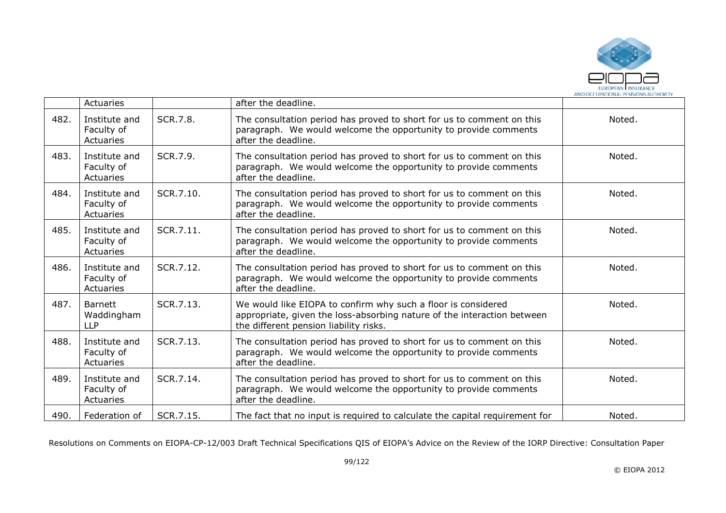

|      | <b>Actuaries</b>                           |           | after the deadline.                                                                                                                                                                |        |
|------|--------------------------------------------|-----------|------------------------------------------------------------------------------------------------------------------------------------------------------------------------------------|--------|
| 482. | Institute and<br>Faculty of<br>Actuaries   | SCR.7.8.  | The consultation period has proved to short for us to comment on this<br>paragraph. We would welcome the opportunity to provide comments<br>after the deadline.                    | Noted. |
| 483. | Institute and<br>Faculty of<br>Actuaries   | SCR.7.9.  | The consultation period has proved to short for us to comment on this<br>paragraph. We would welcome the opportunity to provide comments<br>after the deadline.                    | Noted. |
| 484. | Institute and<br>Faculty of<br>Actuaries   | SCR.7.10. | The consultation period has proved to short for us to comment on this<br>paragraph. We would welcome the opportunity to provide comments<br>after the deadline.                    | Noted. |
| 485. | Institute and<br>Faculty of<br>Actuaries   | SCR.7.11. | The consultation period has proved to short for us to comment on this<br>paragraph. We would welcome the opportunity to provide comments<br>after the deadline.                    | Noted. |
| 486. | Institute and<br>Faculty of<br>Actuaries   | SCR.7.12. | The consultation period has proved to short for us to comment on this<br>paragraph. We would welcome the opportunity to provide comments<br>after the deadline.                    | Noted. |
| 487. | <b>Barnett</b><br>Waddingham<br><b>LLP</b> | SCR.7.13. | We would like EIOPA to confirm why such a floor is considered<br>appropriate, given the loss-absorbing nature of the interaction between<br>the different pension liability risks. | Noted. |
| 488. | Institute and<br>Faculty of<br>Actuaries   | SCR.7.13. | The consultation period has proved to short for us to comment on this<br>paragraph. We would welcome the opportunity to provide comments<br>after the deadline.                    | Noted. |
| 489. | Institute and<br>Faculty of<br>Actuaries   | SCR.7.14. | The consultation period has proved to short for us to comment on this<br>paragraph. We would welcome the opportunity to provide comments<br>after the deadline.                    | Noted. |
| 490. | Federation of                              | SCR.7.15. | The fact that no input is required to calculate the capital requirement for                                                                                                        | Noted. |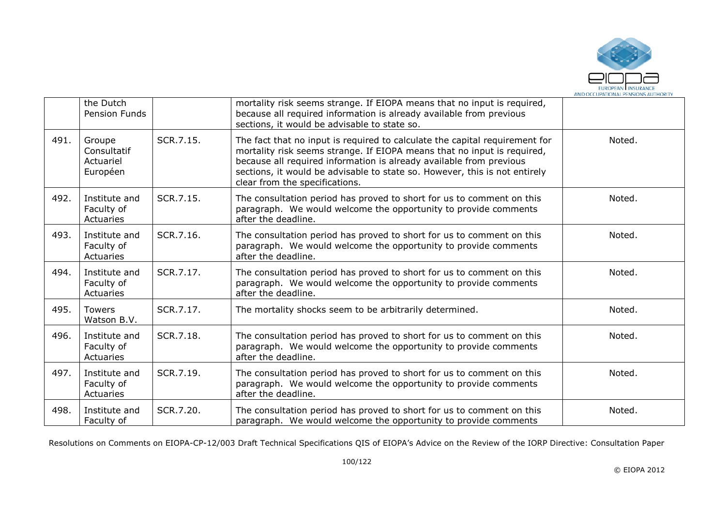

|      | the Dutch<br>Pension Funds                     |           | mortality risk seems strange. If EIOPA means that no input is required,<br>because all required information is already available from previous<br>sections, it would be advisable to state so.                                                                                                                                                |        |
|------|------------------------------------------------|-----------|-----------------------------------------------------------------------------------------------------------------------------------------------------------------------------------------------------------------------------------------------------------------------------------------------------------------------------------------------|--------|
| 491. | Groupe<br>Consultatif<br>Actuariel<br>Européen | SCR.7.15. | The fact that no input is required to calculate the capital requirement for<br>mortality risk seems strange. If EIOPA means that no input is required,<br>because all required information is already available from previous<br>sections, it would be advisable to state so. However, this is not entirely<br>clear from the specifications. | Noted. |
| 492. | Institute and<br>Faculty of<br>Actuaries       | SCR.7.15. | The consultation period has proved to short for us to comment on this<br>paragraph. We would welcome the opportunity to provide comments<br>after the deadline.                                                                                                                                                                               | Noted. |
| 493. | Institute and<br>Faculty of<br>Actuaries       | SCR.7.16. | The consultation period has proved to short for us to comment on this<br>paragraph. We would welcome the opportunity to provide comments<br>after the deadline.                                                                                                                                                                               | Noted. |
| 494. | Institute and<br>Faculty of<br>Actuaries       | SCR.7.17. | The consultation period has proved to short for us to comment on this<br>paragraph. We would welcome the opportunity to provide comments<br>after the deadline.                                                                                                                                                                               | Noted. |
| 495. | <b>Towers</b><br>Watson B.V.                   | SCR.7.17. | The mortality shocks seem to be arbitrarily determined.                                                                                                                                                                                                                                                                                       | Noted. |
| 496. | Institute and<br>Faculty of<br>Actuaries       | SCR.7.18. | The consultation period has proved to short for us to comment on this<br>paragraph. We would welcome the opportunity to provide comments<br>after the deadline.                                                                                                                                                                               | Noted. |
| 497. | Institute and<br>Faculty of<br>Actuaries       | SCR.7.19. | The consultation period has proved to short for us to comment on this<br>paragraph. We would welcome the opportunity to provide comments<br>after the deadline.                                                                                                                                                                               | Noted. |
| 498. | Institute and<br>Faculty of                    | SCR.7.20. | The consultation period has proved to short for us to comment on this<br>paragraph. We would welcome the opportunity to provide comments                                                                                                                                                                                                      | Noted. |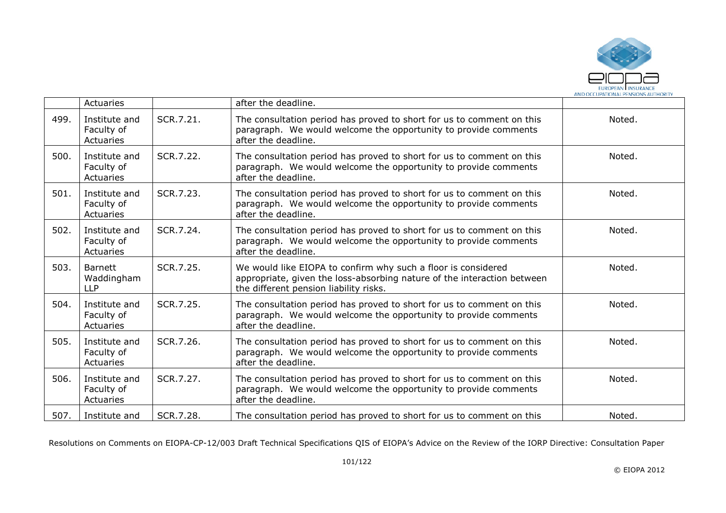

|      | Actuaries                                  |           | after the deadline.                                                                                                                                                                |        |
|------|--------------------------------------------|-----------|------------------------------------------------------------------------------------------------------------------------------------------------------------------------------------|--------|
| 499. | Institute and<br>Faculty of<br>Actuaries   | SCR.7.21. | The consultation period has proved to short for us to comment on this<br>paragraph. We would welcome the opportunity to provide comments<br>after the deadline.                    | Noted. |
| 500. | Institute and<br>Faculty of<br>Actuaries   | SCR.7.22. | The consultation period has proved to short for us to comment on this<br>paragraph. We would welcome the opportunity to provide comments<br>after the deadline.                    | Noted. |
| 501. | Institute and<br>Faculty of<br>Actuaries   | SCR.7.23. | The consultation period has proved to short for us to comment on this<br>paragraph. We would welcome the opportunity to provide comments<br>after the deadline.                    | Noted. |
| 502. | Institute and<br>Faculty of<br>Actuaries   | SCR.7.24. | The consultation period has proved to short for us to comment on this<br>paragraph. We would welcome the opportunity to provide comments<br>after the deadline.                    | Noted. |
| 503. | <b>Barnett</b><br>Waddingham<br><b>LLP</b> | SCR.7.25. | We would like EIOPA to confirm why such a floor is considered<br>appropriate, given the loss-absorbing nature of the interaction between<br>the different pension liability risks. | Noted. |
| 504. | Institute and<br>Faculty of<br>Actuaries   | SCR.7.25. | The consultation period has proved to short for us to comment on this<br>paragraph. We would welcome the opportunity to provide comments<br>after the deadline.                    | Noted. |
| 505. | Institute and<br>Faculty of<br>Actuaries   | SCR.7.26. | The consultation period has proved to short for us to comment on this<br>paragraph. We would welcome the opportunity to provide comments<br>after the deadline.                    | Noted. |
| 506. | Institute and<br>Faculty of<br>Actuaries   | SCR.7.27. | The consultation period has proved to short for us to comment on this<br>paragraph. We would welcome the opportunity to provide comments<br>after the deadline.                    | Noted. |
| 507. | Institute and                              | SCR.7.28. | The consultation period has proved to short for us to comment on this                                                                                                              | Noted. |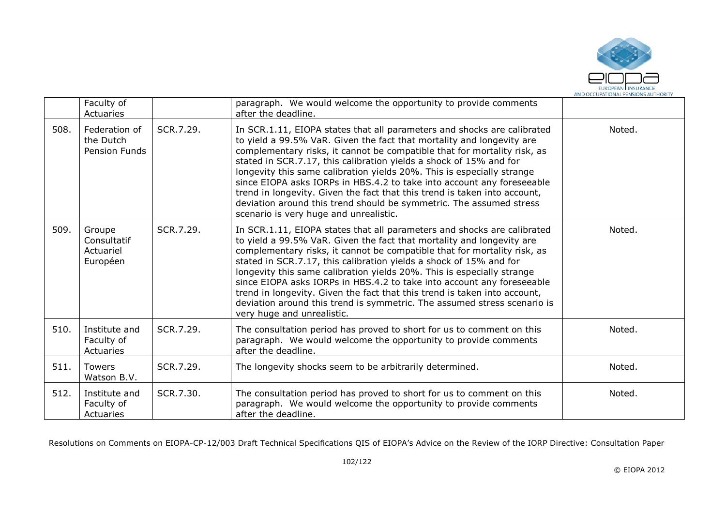

|      | Faculty of<br>Actuaries                            |           | paragraph. We would welcome the opportunity to provide comments<br>after the deadline.                                                                                                                                                                                                                                                                                                                                                                                                                                                                                                                                                               |        |
|------|----------------------------------------------------|-----------|------------------------------------------------------------------------------------------------------------------------------------------------------------------------------------------------------------------------------------------------------------------------------------------------------------------------------------------------------------------------------------------------------------------------------------------------------------------------------------------------------------------------------------------------------------------------------------------------------------------------------------------------------|--------|
| 508. | Federation of<br>the Dutch<br><b>Pension Funds</b> | SCR.7.29. | In SCR.1.11, EIOPA states that all parameters and shocks are calibrated<br>to yield a 99.5% VaR. Given the fact that mortality and longevity are<br>complementary risks, it cannot be compatible that for mortality risk, as<br>stated in SCR.7.17, this calibration yields a shock of 15% and for<br>longevity this same calibration yields 20%. This is especially strange<br>since EIOPA asks IORPs in HBS.4.2 to take into account any foreseeable<br>trend in longevity. Given the fact that this trend is taken into account,<br>deviation around this trend should be symmetric. The assumed stress<br>scenario is very huge and unrealistic. | Noted. |
| 509. | Groupe<br>Consultatif<br>Actuariel<br>Européen     | SCR.7.29. | In SCR.1.11, EIOPA states that all parameters and shocks are calibrated<br>to yield a 99.5% VaR. Given the fact that mortality and longevity are<br>complementary risks, it cannot be compatible that for mortality risk, as<br>stated in SCR.7.17, this calibration yields a shock of 15% and for<br>longevity this same calibration yields 20%. This is especially strange<br>since EIOPA asks IORPs in HBS.4.2 to take into account any foreseeable<br>trend in longevity. Given the fact that this trend is taken into account,<br>deviation around this trend is symmetric. The assumed stress scenario is<br>very huge and unrealistic.        | Noted. |
| 510. | Institute and<br>Faculty of<br>Actuaries           | SCR.7.29. | The consultation period has proved to short for us to comment on this<br>paragraph. We would welcome the opportunity to provide comments<br>after the deadline.                                                                                                                                                                                                                                                                                                                                                                                                                                                                                      | Noted. |
| 511. | <b>Towers</b><br>Watson B.V.                       | SCR.7.29. | The longevity shocks seem to be arbitrarily determined.                                                                                                                                                                                                                                                                                                                                                                                                                                                                                                                                                                                              | Noted. |
| 512. | Institute and<br>Faculty of<br>Actuaries           | SCR.7.30. | The consultation period has proved to short for us to comment on this<br>paragraph. We would welcome the opportunity to provide comments<br>after the deadline.                                                                                                                                                                                                                                                                                                                                                                                                                                                                                      | Noted. |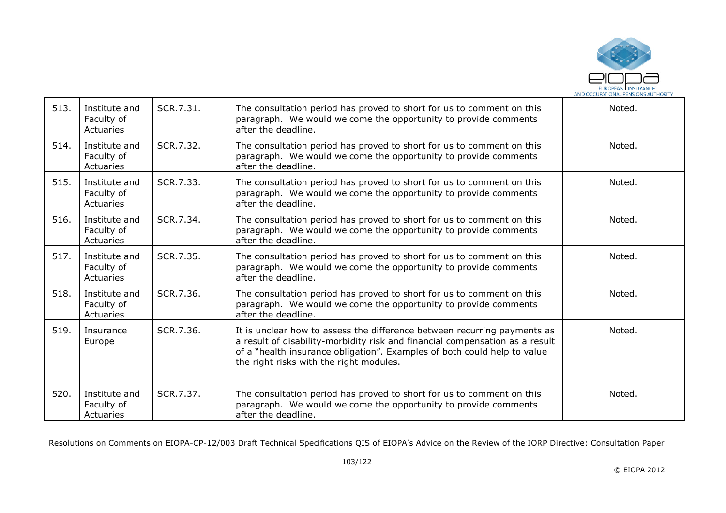

| 513. | Institute and<br>Faculty of<br>Actuaries | SCR.7.31. | The consultation period has proved to short for us to comment on this<br>paragraph. We would welcome the opportunity to provide comments<br>after the deadline.                                                                                                                 | Noted. |
|------|------------------------------------------|-----------|---------------------------------------------------------------------------------------------------------------------------------------------------------------------------------------------------------------------------------------------------------------------------------|--------|
| 514. | Institute and<br>Faculty of<br>Actuaries | SCR.7.32. | The consultation period has proved to short for us to comment on this<br>paragraph. We would welcome the opportunity to provide comments<br>after the deadline.                                                                                                                 | Noted. |
| 515. | Institute and<br>Faculty of<br>Actuaries | SCR.7.33. | The consultation period has proved to short for us to comment on this<br>paragraph. We would welcome the opportunity to provide comments<br>after the deadline.                                                                                                                 | Noted. |
| 516. | Institute and<br>Faculty of<br>Actuaries | SCR.7.34. | The consultation period has proved to short for us to comment on this<br>paragraph. We would welcome the opportunity to provide comments<br>after the deadline.                                                                                                                 | Noted. |
| 517. | Institute and<br>Faculty of<br>Actuaries | SCR.7.35. | The consultation period has proved to short for us to comment on this<br>paragraph. We would welcome the opportunity to provide comments<br>after the deadline.                                                                                                                 | Noted. |
| 518. | Institute and<br>Faculty of<br>Actuaries | SCR.7.36. | The consultation period has proved to short for us to comment on this<br>paragraph. We would welcome the opportunity to provide comments<br>after the deadline.                                                                                                                 | Noted. |
| 519. | Insurance<br>Europe                      | SCR.7.36. | It is unclear how to assess the difference between recurring payments as<br>a result of disability-morbidity risk and financial compensation as a result<br>of a "health insurance obligation". Examples of both could help to value<br>the right risks with the right modules. | Noted. |
| 520. | Institute and<br>Faculty of<br>Actuaries | SCR.7.37. | The consultation period has proved to short for us to comment on this<br>paragraph. We would welcome the opportunity to provide comments<br>after the deadline.                                                                                                                 | Noted. |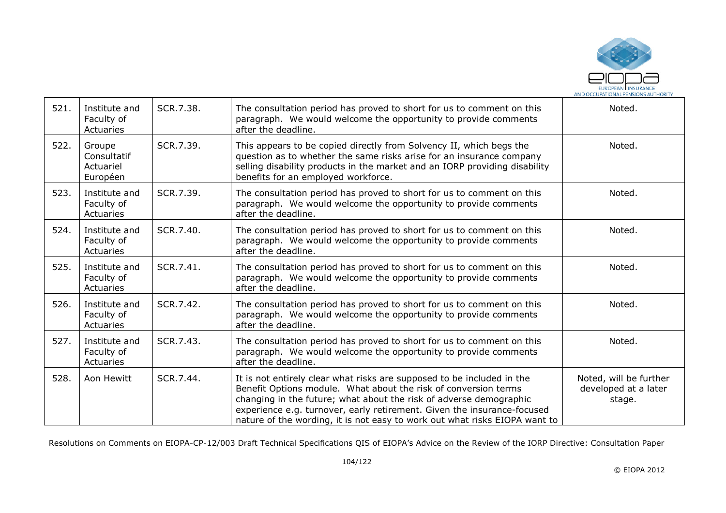

| 521. | Institute and<br>Faculty of<br>Actuaries       | SCR.7.38. | The consultation period has proved to short for us to comment on this<br>paragraph. We would welcome the opportunity to provide comments<br>after the deadline.                                                                                                                                                                                                          | Noted.                                                   |
|------|------------------------------------------------|-----------|--------------------------------------------------------------------------------------------------------------------------------------------------------------------------------------------------------------------------------------------------------------------------------------------------------------------------------------------------------------------------|----------------------------------------------------------|
| 522. | Groupe<br>Consultatif<br>Actuariel<br>Européen | SCR.7.39. | This appears to be copied directly from Solvency II, which begs the<br>question as to whether the same risks arise for an insurance company<br>selling disability products in the market and an IORP providing disability<br>benefits for an employed workforce.                                                                                                         | Noted.                                                   |
| 523. | Institute and<br>Faculty of<br>Actuaries       | SCR.7.39. | The consultation period has proved to short for us to comment on this<br>paragraph. We would welcome the opportunity to provide comments<br>after the deadline.                                                                                                                                                                                                          | Noted.                                                   |
| 524. | Institute and<br>Faculty of<br>Actuaries       | SCR.7.40. | The consultation period has proved to short for us to comment on this<br>paragraph. We would welcome the opportunity to provide comments<br>after the deadline.                                                                                                                                                                                                          | Noted.                                                   |
| 525. | Institute and<br>Faculty of<br>Actuaries       | SCR.7.41. | The consultation period has proved to short for us to comment on this<br>paragraph. We would welcome the opportunity to provide comments<br>after the deadline.                                                                                                                                                                                                          | Noted.                                                   |
| 526. | Institute and<br>Faculty of<br>Actuaries       | SCR.7.42. | The consultation period has proved to short for us to comment on this<br>paragraph. We would welcome the opportunity to provide comments<br>after the deadline.                                                                                                                                                                                                          | Noted.                                                   |
| 527. | Institute and<br>Faculty of<br>Actuaries       | SCR.7.43. | The consultation period has proved to short for us to comment on this<br>paragraph. We would welcome the opportunity to provide comments<br>after the deadline.                                                                                                                                                                                                          | Noted.                                                   |
| 528. | Aon Hewitt                                     | SCR.7.44. | It is not entirely clear what risks are supposed to be included in the<br>Benefit Options module. What about the risk of conversion terms<br>changing in the future; what about the risk of adverse demographic<br>experience e.g. turnover, early retirement. Given the insurance-focused<br>nature of the wording, it is not easy to work out what risks EIOPA want to | Noted, will be further<br>developed at a later<br>stage. |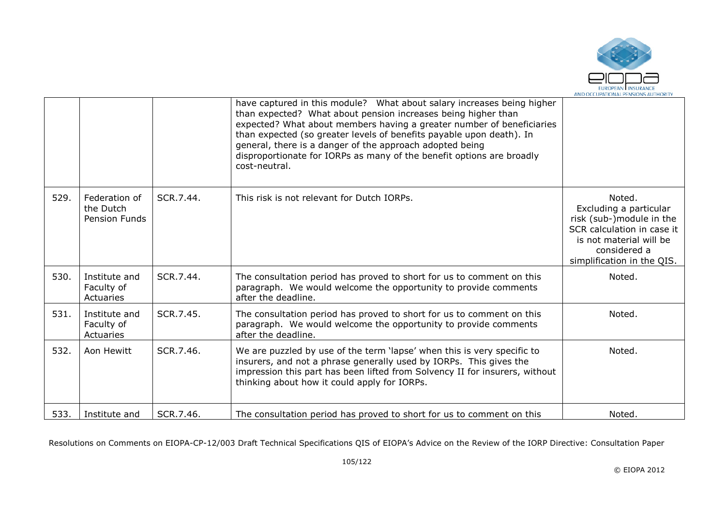

|      |                                             |           | have captured in this module? What about salary increases being higher<br>than expected? What about pension increases being higher than<br>expected? What about members having a greater number of beneficiaries<br>than expected (so greater levels of benefits payable upon death). In<br>general, there is a danger of the approach adopted being<br>disproportionate for IORPs as many of the benefit options are broadly<br>cost-neutral. |                                                                                                                                                                     |
|------|---------------------------------------------|-----------|------------------------------------------------------------------------------------------------------------------------------------------------------------------------------------------------------------------------------------------------------------------------------------------------------------------------------------------------------------------------------------------------------------------------------------------------|---------------------------------------------------------------------------------------------------------------------------------------------------------------------|
| 529. | Federation of<br>the Dutch<br>Pension Funds | SCR.7.44. | This risk is not relevant for Dutch IORPs.                                                                                                                                                                                                                                                                                                                                                                                                     | Noted.<br>Excluding a particular<br>risk (sub-)module in the<br>SCR calculation in case it<br>is not material will be<br>considered a<br>simplification in the QIS. |
| 530. | Institute and<br>Faculty of<br>Actuaries    | SCR.7.44. | The consultation period has proved to short for us to comment on this<br>paragraph. We would welcome the opportunity to provide comments<br>after the deadline.                                                                                                                                                                                                                                                                                | Noted.                                                                                                                                                              |
| 531. | Institute and<br>Faculty of<br>Actuaries    | SCR.7.45. | The consultation period has proved to short for us to comment on this<br>paragraph. We would welcome the opportunity to provide comments<br>after the deadline.                                                                                                                                                                                                                                                                                | Noted.                                                                                                                                                              |
| 532. | Aon Hewitt                                  | SCR.7.46. | We are puzzled by use of the term 'lapse' when this is very specific to<br>insurers, and not a phrase generally used by IORPs. This gives the<br>impression this part has been lifted from Solvency II for insurers, without<br>thinking about how it could apply for IORPs.                                                                                                                                                                   | Noted.                                                                                                                                                              |
| 533. | Institute and                               | SCR.7.46. | The consultation period has proved to short for us to comment on this                                                                                                                                                                                                                                                                                                                                                                          | Noted.                                                                                                                                                              |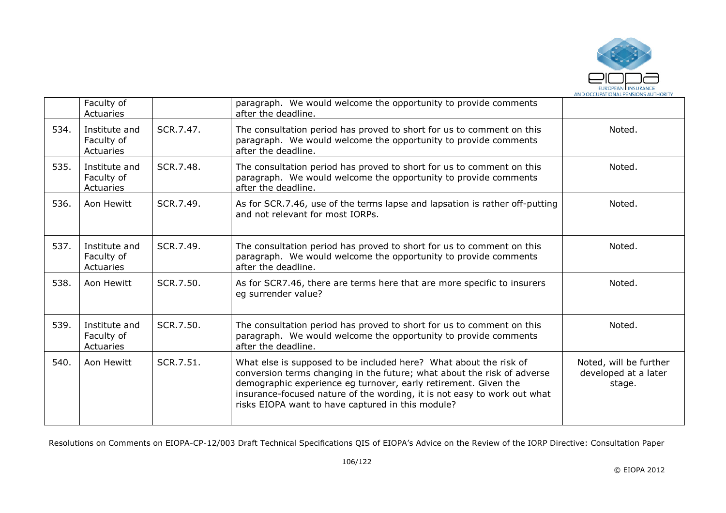

|      | Faculty of<br>Actuaries                  |           | paragraph. We would welcome the opportunity to provide comments<br>after the deadline.                                                                                                                                                                                                                                                           |                                                          |
|------|------------------------------------------|-----------|--------------------------------------------------------------------------------------------------------------------------------------------------------------------------------------------------------------------------------------------------------------------------------------------------------------------------------------------------|----------------------------------------------------------|
| 534. | Institute and<br>Faculty of<br>Actuaries | SCR.7.47. | The consultation period has proved to short for us to comment on this<br>paragraph. We would welcome the opportunity to provide comments<br>after the deadline.                                                                                                                                                                                  | Noted.                                                   |
| 535. | Institute and<br>Faculty of<br>Actuaries | SCR.7.48. | The consultation period has proved to short for us to comment on this<br>paragraph. We would welcome the opportunity to provide comments<br>after the deadline.                                                                                                                                                                                  | Noted.                                                   |
| 536. | Aon Hewitt                               | SCR.7.49. | As for SCR.7.46, use of the terms lapse and lapsation is rather off-putting<br>and not relevant for most IORPs.                                                                                                                                                                                                                                  | Noted.                                                   |
| 537. | Institute and<br>Faculty of<br>Actuaries | SCR.7.49. | The consultation period has proved to short for us to comment on this<br>paragraph. We would welcome the opportunity to provide comments<br>after the deadline.                                                                                                                                                                                  | Noted.                                                   |
| 538. | Aon Hewitt                               | SCR.7.50. | As for SCR7.46, there are terms here that are more specific to insurers<br>eg surrender value?                                                                                                                                                                                                                                                   | Noted.                                                   |
| 539. | Institute and<br>Faculty of<br>Actuaries | SCR.7.50. | The consultation period has proved to short for us to comment on this<br>paragraph. We would welcome the opportunity to provide comments<br>after the deadline.                                                                                                                                                                                  | Noted.                                                   |
| 540. | Aon Hewitt                               | SCR.7.51. | What else is supposed to be included here? What about the risk of<br>conversion terms changing in the future; what about the risk of adverse<br>demographic experience eg turnover, early retirement. Given the<br>insurance-focused nature of the wording, it is not easy to work out what<br>risks EIOPA want to have captured in this module? | Noted, will be further<br>developed at a later<br>stage. |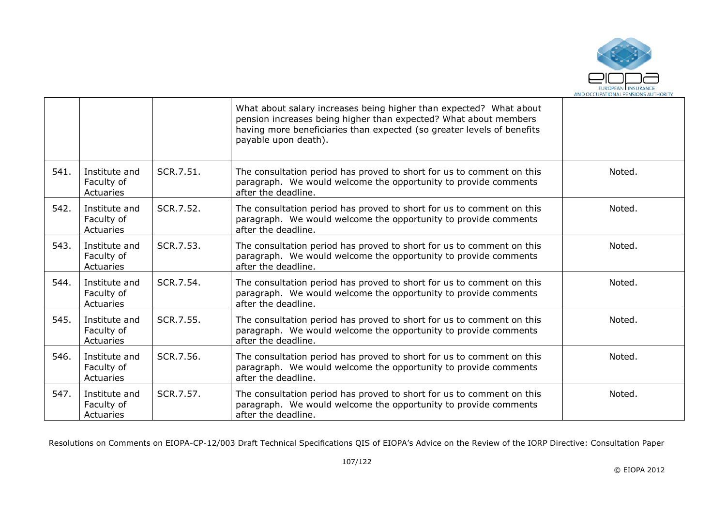

|      |                                          |           | What about salary increases being higher than expected? What about<br>pension increases being higher than expected? What about members<br>having more beneficiaries than expected (so greater levels of benefits<br>payable upon death). |        |
|------|------------------------------------------|-----------|------------------------------------------------------------------------------------------------------------------------------------------------------------------------------------------------------------------------------------------|--------|
| 541. | Institute and<br>Faculty of<br>Actuaries | SCR.7.51. | The consultation period has proved to short for us to comment on this<br>paragraph. We would welcome the opportunity to provide comments<br>after the deadline.                                                                          | Noted. |
| 542. | Institute and<br>Faculty of<br>Actuaries | SCR.7.52. | The consultation period has proved to short for us to comment on this<br>paragraph. We would welcome the opportunity to provide comments<br>after the deadline.                                                                          | Noted. |
| 543. | Institute and<br>Faculty of<br>Actuaries | SCR.7.53. | The consultation period has proved to short for us to comment on this<br>paragraph. We would welcome the opportunity to provide comments<br>after the deadline.                                                                          | Noted. |
| 544. | Institute and<br>Faculty of<br>Actuaries | SCR.7.54. | The consultation period has proved to short for us to comment on this<br>paragraph. We would welcome the opportunity to provide comments<br>after the deadline.                                                                          | Noted. |
| 545. | Institute and<br>Faculty of<br>Actuaries | SCR.7.55. | The consultation period has proved to short for us to comment on this<br>paragraph. We would welcome the opportunity to provide comments<br>after the deadline.                                                                          | Noted. |
| 546. | Institute and<br>Faculty of<br>Actuaries | SCR.7.56. | The consultation period has proved to short for us to comment on this<br>paragraph. We would welcome the opportunity to provide comments<br>after the deadline.                                                                          | Noted. |
| 547. | Institute and<br>Faculty of<br>Actuaries | SCR.7.57. | The consultation period has proved to short for us to comment on this<br>paragraph. We would welcome the opportunity to provide comments<br>after the deadline.                                                                          | Noted. |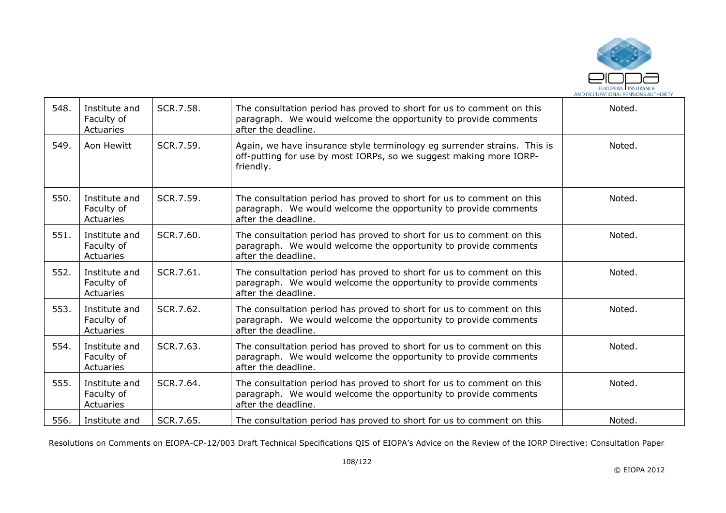

| 548. | Institute and<br>Faculty of<br>Actuaries | SCR.7.58. | The consultation period has proved to short for us to comment on this<br>paragraph. We would welcome the opportunity to provide comments<br>after the deadline. | Noted. |
|------|------------------------------------------|-----------|-----------------------------------------------------------------------------------------------------------------------------------------------------------------|--------|
| 549. | Aon Hewitt                               | SCR.7.59. | Again, we have insurance style terminology eg surrender strains. This is<br>off-putting for use by most IORPs, so we suggest making more IORP-<br>friendly.     | Noted. |
| 550. | Institute and<br>Faculty of<br>Actuaries | SCR.7.59. | The consultation period has proved to short for us to comment on this<br>paragraph. We would welcome the opportunity to provide comments<br>after the deadline. | Noted. |
| 551. | Institute and<br>Faculty of<br>Actuaries | SCR.7.60. | The consultation period has proved to short for us to comment on this<br>paragraph. We would welcome the opportunity to provide comments<br>after the deadline. | Noted. |
| 552. | Institute and<br>Faculty of<br>Actuaries | SCR.7.61. | The consultation period has proved to short for us to comment on this<br>paragraph. We would welcome the opportunity to provide comments<br>after the deadline. | Noted. |
| 553. | Institute and<br>Faculty of<br>Actuaries | SCR.7.62. | The consultation period has proved to short for us to comment on this<br>paragraph. We would welcome the opportunity to provide comments<br>after the deadline. | Noted. |
| 554. | Institute and<br>Faculty of<br>Actuaries | SCR.7.63. | The consultation period has proved to short for us to comment on this<br>paragraph. We would welcome the opportunity to provide comments<br>after the deadline. | Noted. |
| 555. | Institute and<br>Faculty of<br>Actuaries | SCR.7.64. | The consultation period has proved to short for us to comment on this<br>paragraph. We would welcome the opportunity to provide comments<br>after the deadline. | Noted. |
| 556. | Institute and                            | SCR.7.65. | The consultation period has proved to short for us to comment on this                                                                                           | Noted. |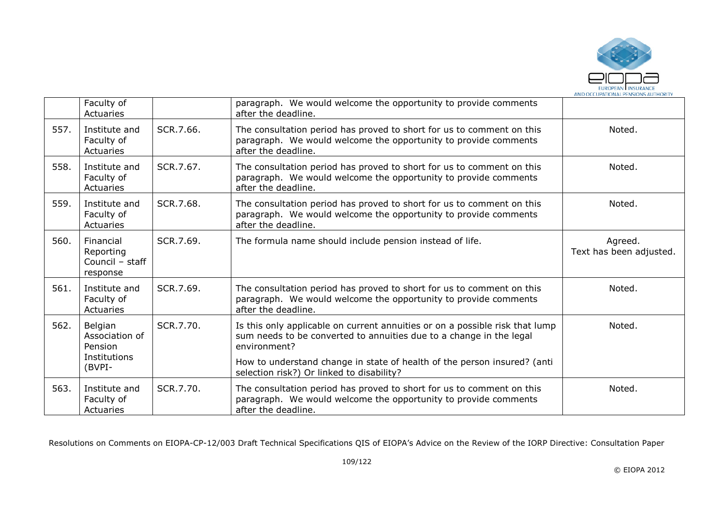

|      | Faculty of<br>Actuaries                                        |           | paragraph. We would welcome the opportunity to provide comments<br>after the deadline.                                                                                                                                                                                                       |                                    |
|------|----------------------------------------------------------------|-----------|----------------------------------------------------------------------------------------------------------------------------------------------------------------------------------------------------------------------------------------------------------------------------------------------|------------------------------------|
| 557. | Institute and<br>Faculty of<br>Actuaries                       | SCR.7.66. | The consultation period has proved to short for us to comment on this<br>paragraph. We would welcome the opportunity to provide comments<br>after the deadline.                                                                                                                              | Noted.                             |
| 558. | Institute and<br>Faculty of<br>Actuaries                       | SCR.7.67. | The consultation period has proved to short for us to comment on this<br>paragraph. We would welcome the opportunity to provide comments<br>after the deadline.                                                                                                                              | Noted.                             |
| 559. | Institute and<br>Faculty of<br>Actuaries                       | SCR.7.68. | The consultation period has proved to short for us to comment on this<br>paragraph. We would welcome the opportunity to provide comments<br>after the deadline.                                                                                                                              | Noted.                             |
| 560. | Financial<br>Reporting<br>Council - staff<br>response          | SCR.7.69. | The formula name should include pension instead of life.                                                                                                                                                                                                                                     | Agreed.<br>Text has been adjusted. |
| 561. | Institute and<br>Faculty of<br>Actuaries                       | SCR.7.69. | The consultation period has proved to short for us to comment on this<br>paragraph. We would welcome the opportunity to provide comments<br>after the deadline.                                                                                                                              | Noted.                             |
| 562. | Belgian<br>Association of<br>Pension<br>Institutions<br>(BVPI- | SCR.7.70. | Is this only applicable on current annuities or on a possible risk that lump<br>sum needs to be converted to annuities due to a change in the legal<br>environment?<br>How to understand change in state of health of the person insured? (anti<br>selection risk?) Or linked to disability? | Noted.                             |
| 563. | Institute and<br>Faculty of<br>Actuaries                       | SCR.7.70. | The consultation period has proved to short for us to comment on this<br>paragraph. We would welcome the opportunity to provide comments<br>after the deadline.                                                                                                                              | Noted.                             |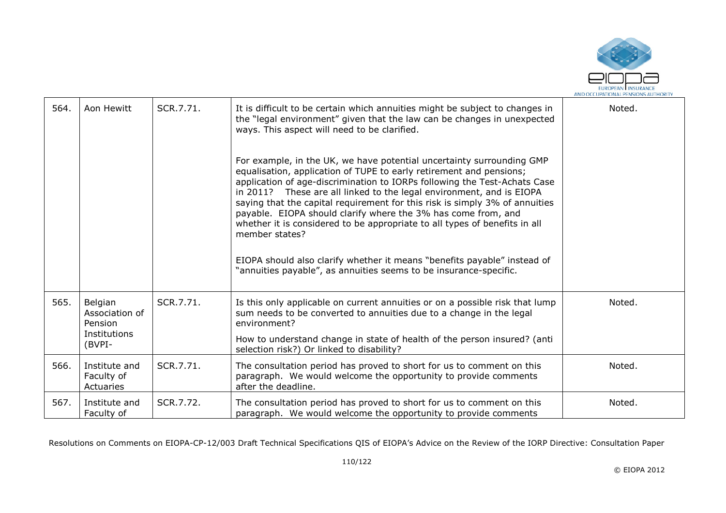

| 564. | Aon Hewitt                                                     | SCR.7.71. | It is difficult to be certain which annuities might be subject to changes in<br>the "legal environment" given that the law can be changes in unexpected<br>ways. This aspect will need to be clarified.<br>For example, in the UK, we have potential uncertainty surrounding GMP<br>equalisation, application of TUPE to early retirement and pensions;<br>application of age-discrimination to IORPs following the Test-Achats Case<br>in 2011? These are all linked to the legal environment, and is EIOPA<br>saying that the capital requirement for this risk is simply 3% of annuities<br>payable. EIOPA should clarify where the 3% has come from, and<br>whether it is considered to be appropriate to all types of benefits in all<br>member states?<br>EIOPA should also clarify whether it means "benefits payable" instead of<br>"annuities payable", as annuities seems to be insurance-specific. | Noted. |
|------|----------------------------------------------------------------|-----------|---------------------------------------------------------------------------------------------------------------------------------------------------------------------------------------------------------------------------------------------------------------------------------------------------------------------------------------------------------------------------------------------------------------------------------------------------------------------------------------------------------------------------------------------------------------------------------------------------------------------------------------------------------------------------------------------------------------------------------------------------------------------------------------------------------------------------------------------------------------------------------------------------------------|--------|
| 565. | Belgian<br>Association of<br>Pension<br>Institutions<br>(BVPI- | SCR.7.71. | Is this only applicable on current annuities or on a possible risk that lump<br>sum needs to be converted to annuities due to a change in the legal<br>environment?<br>How to understand change in state of health of the person insured? (anti<br>selection risk?) Or linked to disability?                                                                                                                                                                                                                                                                                                                                                                                                                                                                                                                                                                                                                  | Noted. |
| 566. | Institute and<br>Faculty of<br>Actuaries                       | SCR.7.71. | The consultation period has proved to short for us to comment on this<br>paragraph. We would welcome the opportunity to provide comments<br>after the deadline.                                                                                                                                                                                                                                                                                                                                                                                                                                                                                                                                                                                                                                                                                                                                               | Noted. |
| 567. | Institute and<br>Faculty of                                    | SCR.7.72. | The consultation period has proved to short for us to comment on this<br>paragraph. We would welcome the opportunity to provide comments                                                                                                                                                                                                                                                                                                                                                                                                                                                                                                                                                                                                                                                                                                                                                                      | Noted. |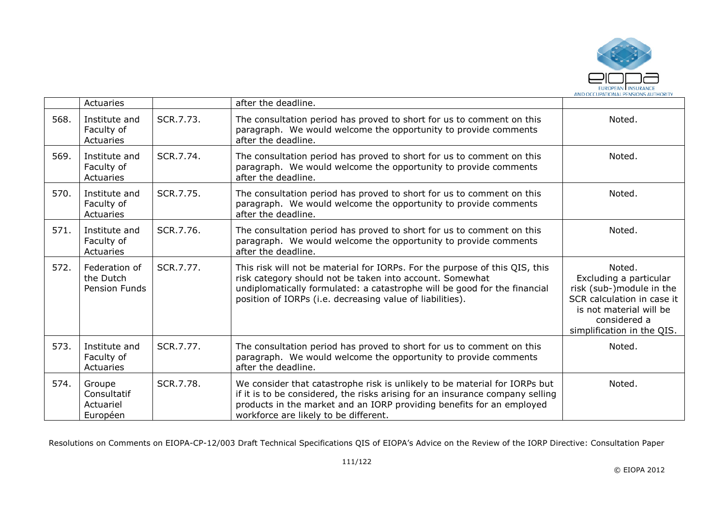

|      | <b>Actuaries</b>                                   |           | after the deadline.                                                                                                                                                                                                                                                               |                                                                                                                                                                     |
|------|----------------------------------------------------|-----------|-----------------------------------------------------------------------------------------------------------------------------------------------------------------------------------------------------------------------------------------------------------------------------------|---------------------------------------------------------------------------------------------------------------------------------------------------------------------|
| 568. | Institute and<br>Faculty of<br>Actuaries           | SCR.7.73. | The consultation period has proved to short for us to comment on this<br>paragraph. We would welcome the opportunity to provide comments<br>after the deadline.                                                                                                                   | Noted.                                                                                                                                                              |
| 569. | Institute and<br>Faculty of<br>Actuaries           | SCR.7.74. | The consultation period has proved to short for us to comment on this<br>paragraph. We would welcome the opportunity to provide comments<br>after the deadline.                                                                                                                   | Noted.                                                                                                                                                              |
| 570. | Institute and<br>Faculty of<br>Actuaries           | SCR.7.75. | The consultation period has proved to short for us to comment on this<br>paragraph. We would welcome the opportunity to provide comments<br>after the deadline.                                                                                                                   | Noted.                                                                                                                                                              |
| 571. | Institute and<br>Faculty of<br>Actuaries           | SCR.7.76. | The consultation period has proved to short for us to comment on this<br>paragraph. We would welcome the opportunity to provide comments<br>after the deadline.                                                                                                                   | Noted.                                                                                                                                                              |
| 572. | Federation of<br>the Dutch<br><b>Pension Funds</b> | SCR.7.77. | This risk will not be material for IORPs. For the purpose of this QIS, this<br>risk category should not be taken into account. Somewhat<br>undiplomatically formulated: a catastrophe will be good for the financial<br>position of IORPs (i.e. decreasing value of liabilities). | Noted.<br>Excluding a particular<br>risk (sub-)module in the<br>SCR calculation in case it<br>is not material will be<br>considered a<br>simplification in the QIS. |
| 573. | Institute and<br>Faculty of<br>Actuaries           | SCR.7.77. | The consultation period has proved to short for us to comment on this<br>paragraph. We would welcome the opportunity to provide comments<br>after the deadline.                                                                                                                   | Noted.                                                                                                                                                              |
| 574. | Groupe<br>Consultatif<br>Actuariel<br>Européen     | SCR.7.78. | We consider that catastrophe risk is unlikely to be material for IORPs but<br>if it is to be considered, the risks arising for an insurance company selling<br>products in the market and an IORP providing benefits for an employed<br>workforce are likely to be different.     | Noted.                                                                                                                                                              |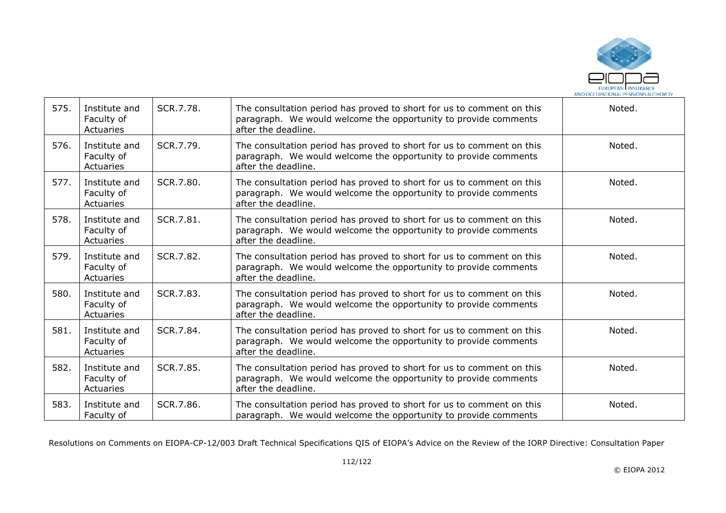

| 575. | Institute and<br>Faculty of<br>Actuaries | SCR.7.78. | The consultation period has proved to short for us to comment on this<br>paragraph. We would welcome the opportunity to provide comments<br>after the deadline. | Noted. |
|------|------------------------------------------|-----------|-----------------------------------------------------------------------------------------------------------------------------------------------------------------|--------|
| 576. | Institute and<br>Faculty of<br>Actuaries | SCR.7.79. | The consultation period has proved to short for us to comment on this<br>paragraph. We would welcome the opportunity to provide comments<br>after the deadline. | Noted. |
| 577. | Institute and<br>Faculty of<br>Actuaries | SCR.7.80. | The consultation period has proved to short for us to comment on this<br>paragraph. We would welcome the opportunity to provide comments<br>after the deadline. | Noted. |
| 578. | Institute and<br>Faculty of<br>Actuaries | SCR.7.81. | The consultation period has proved to short for us to comment on this<br>paragraph. We would welcome the opportunity to provide comments<br>after the deadline. | Noted. |
| 579. | Institute and<br>Faculty of<br>Actuaries | SCR.7.82. | The consultation period has proved to short for us to comment on this<br>paragraph. We would welcome the opportunity to provide comments<br>after the deadline. | Noted. |
| 580. | Institute and<br>Faculty of<br>Actuaries | SCR.7.83. | The consultation period has proved to short for us to comment on this<br>paragraph. We would welcome the opportunity to provide comments<br>after the deadline. | Noted. |
| 581. | Institute and<br>Faculty of<br>Actuaries | SCR.7.84. | The consultation period has proved to short for us to comment on this<br>paragraph. We would welcome the opportunity to provide comments<br>after the deadline. | Noted. |
| 582. | Institute and<br>Faculty of<br>Actuaries | SCR.7.85. | The consultation period has proved to short for us to comment on this<br>paragraph. We would welcome the opportunity to provide comments<br>after the deadline. | Noted. |
| 583. | Institute and<br>Faculty of              | SCR.7.86. | The consultation period has proved to short for us to comment on this<br>paragraph. We would welcome the opportunity to provide comments                        | Noted. |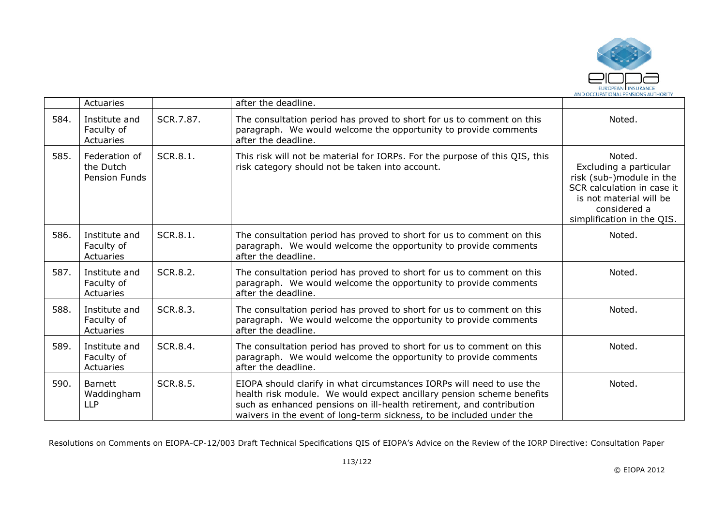

|      | Actuaries                                   |           | after the deadline.                                                                                                                                                                                                                                                                            |                                                                                                                                                                     |
|------|---------------------------------------------|-----------|------------------------------------------------------------------------------------------------------------------------------------------------------------------------------------------------------------------------------------------------------------------------------------------------|---------------------------------------------------------------------------------------------------------------------------------------------------------------------|
| 584. | Institute and<br>Faculty of<br>Actuaries    | SCR.7.87. | The consultation period has proved to short for us to comment on this<br>paragraph. We would welcome the opportunity to provide comments<br>after the deadline.                                                                                                                                | Noted.                                                                                                                                                              |
| 585. | Federation of<br>the Dutch<br>Pension Funds | SCR.8.1.  | This risk will not be material for IORPs. For the purpose of this QIS, this<br>risk category should not be taken into account.                                                                                                                                                                 | Noted.<br>Excluding a particular<br>risk (sub-)module in the<br>SCR calculation in case it<br>is not material will be<br>considered a<br>simplification in the QIS. |
| 586. | Institute and<br>Faculty of<br>Actuaries    | SCR.8.1.  | The consultation period has proved to short for us to comment on this<br>paragraph. We would welcome the opportunity to provide comments<br>after the deadline.                                                                                                                                | Noted.                                                                                                                                                              |
| 587. | Institute and<br>Faculty of<br>Actuaries    | SCR.8.2.  | The consultation period has proved to short for us to comment on this<br>paragraph. We would welcome the opportunity to provide comments<br>after the deadline.                                                                                                                                | Noted.                                                                                                                                                              |
| 588. | Institute and<br>Faculty of<br>Actuaries    | SCR.8.3.  | The consultation period has proved to short for us to comment on this<br>paragraph. We would welcome the opportunity to provide comments<br>after the deadline.                                                                                                                                | Noted.                                                                                                                                                              |
| 589. | Institute and<br>Faculty of<br>Actuaries    | SCR.8.4.  | The consultation period has proved to short for us to comment on this<br>paragraph. We would welcome the opportunity to provide comments<br>after the deadline.                                                                                                                                | Noted.                                                                                                                                                              |
| 590. | <b>Barnett</b><br>Waddingham<br><b>LLP</b>  | SCR.8.5.  | EIOPA should clarify in what circumstances IORPs will need to use the<br>health risk module. We would expect ancillary pension scheme benefits<br>such as enhanced pensions on ill-health retirement, and contribution<br>waivers in the event of long-term sickness, to be included under the | Noted.                                                                                                                                                              |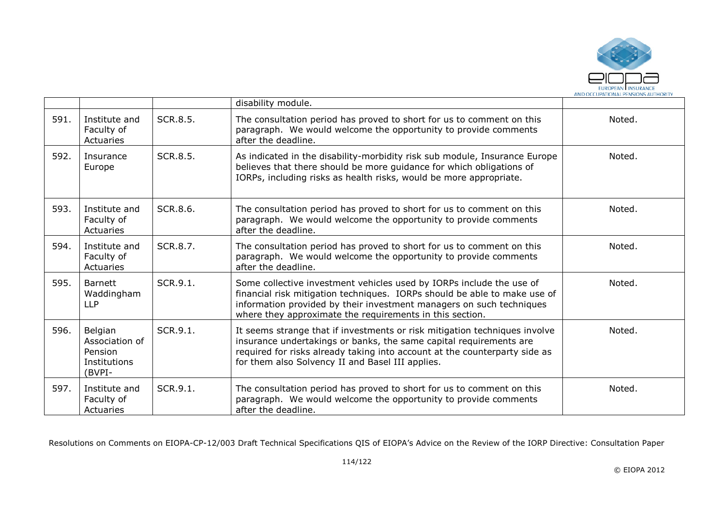

|      |                                                                |          | disability module.                                                                                                                                                                                                                                                                    |        |
|------|----------------------------------------------------------------|----------|---------------------------------------------------------------------------------------------------------------------------------------------------------------------------------------------------------------------------------------------------------------------------------------|--------|
| 591. | Institute and<br>Faculty of<br>Actuaries                       | SCR.8.5. | The consultation period has proved to short for us to comment on this<br>paragraph. We would welcome the opportunity to provide comments<br>after the deadline.                                                                                                                       | Noted. |
| 592. | Insurance<br>Europe                                            | SCR.8.5. | As indicated in the disability-morbidity risk sub module, Insurance Europe<br>believes that there should be more guidance for which obligations of<br>IORPs, including risks as health risks, would be more appropriate.                                                              | Noted. |
| 593. | Institute and<br>Faculty of<br>Actuaries                       | SCR.8.6. | The consultation period has proved to short for us to comment on this<br>paragraph. We would welcome the opportunity to provide comments<br>after the deadline.                                                                                                                       | Noted. |
| 594. | Institute and<br>Faculty of<br>Actuaries                       | SCR.8.7. | The consultation period has proved to short for us to comment on this<br>paragraph. We would welcome the opportunity to provide comments<br>after the deadline.                                                                                                                       | Noted. |
| 595. | <b>Barnett</b><br>Waddingham<br><b>LLP</b>                     | SCR.9.1. | Some collective investment vehicles used by IORPs include the use of<br>financial risk mitigation techniques. IORPs should be able to make use of<br>information provided by their investment managers on such techniques<br>where they approximate the requirements in this section. | Noted. |
| 596. | Belgian<br>Association of<br>Pension<br>Institutions<br>(BVPI- | SCR.9.1. | It seems strange that if investments or risk mitigation techniques involve<br>insurance undertakings or banks, the same capital requirements are<br>required for risks already taking into account at the counterparty side as<br>for them also Solvency II and Basel III applies.    | Noted. |
| 597. | Institute and<br>Faculty of<br>Actuaries                       | SCR.9.1. | The consultation period has proved to short for us to comment on this<br>paragraph. We would welcome the opportunity to provide comments<br>after the deadline.                                                                                                                       | Noted. |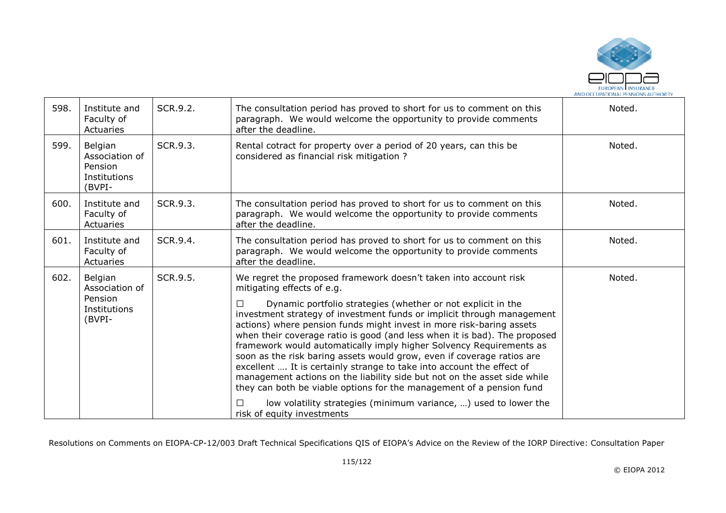

| 598. | Institute and<br>Faculty of<br>Actuaries                       | SCR.9.2. | The consultation period has proved to short for us to comment on this<br>paragraph. We would welcome the opportunity to provide comments<br>after the deadline.                                                                                                                                                                                                                                                                                                                                                                                                                                                                                                                                                                                                                                                                                                                         | Noted. |
|------|----------------------------------------------------------------|----------|-----------------------------------------------------------------------------------------------------------------------------------------------------------------------------------------------------------------------------------------------------------------------------------------------------------------------------------------------------------------------------------------------------------------------------------------------------------------------------------------------------------------------------------------------------------------------------------------------------------------------------------------------------------------------------------------------------------------------------------------------------------------------------------------------------------------------------------------------------------------------------------------|--------|
| 599. | Belgian<br>Association of<br>Pension<br>Institutions<br>(BVPI- | SCR.9.3. | Rental cotract for property over a period of 20 years, can this be<br>considered as financial risk mitigation ?                                                                                                                                                                                                                                                                                                                                                                                                                                                                                                                                                                                                                                                                                                                                                                         | Noted. |
| 600. | Institute and<br>Faculty of<br>Actuaries                       | SCR.9.3. | The consultation period has proved to short for us to comment on this<br>paragraph. We would welcome the opportunity to provide comments<br>after the deadline.                                                                                                                                                                                                                                                                                                                                                                                                                                                                                                                                                                                                                                                                                                                         | Noted. |
| 601. | Institute and<br>Faculty of<br>Actuaries                       | SCR.9.4. | The consultation period has proved to short for us to comment on this<br>paragraph. We would welcome the opportunity to provide comments<br>after the deadline.                                                                                                                                                                                                                                                                                                                                                                                                                                                                                                                                                                                                                                                                                                                         | Noted. |
| 602. | Belgian<br>Association of<br>Pension<br>Institutions<br>(BVPI- | SCR.9.5. | We regret the proposed framework doesn't taken into account risk<br>mitigating effects of e.g.<br>Dynamic portfolio strategies (whether or not explicit in the<br>П<br>investment strategy of investment funds or implicit through management<br>actions) where pension funds might invest in more risk-baring assets<br>when their coverage ratio is good (and less when it is bad). The proposed<br>framework would automatically imply higher Solvency Requirements as<br>soon as the risk baring assets would grow, even if coverage ratios are<br>excellent  It is certainly strange to take into account the effect of<br>management actions on the liability side but not on the asset side while<br>they can both be viable options for the management of a pension fund<br>low volatility strategies (minimum variance, ) used to lower the<br>П<br>risk of equity investments | Noted. |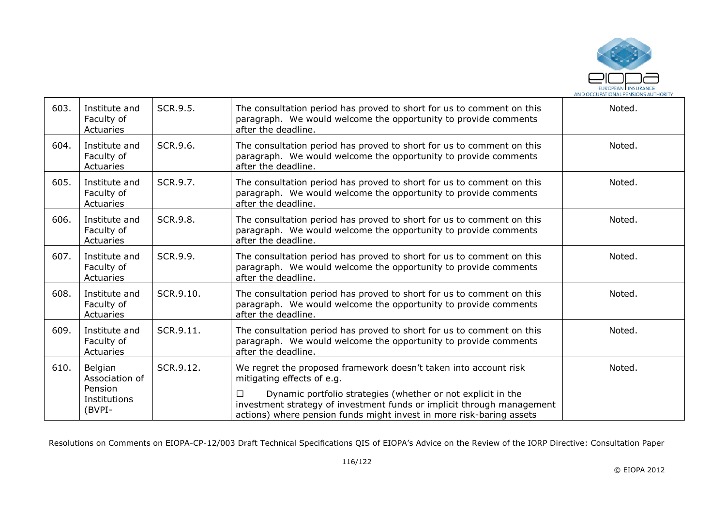

| 603. | Institute and<br>Faculty of<br>Actuaries                       | SCR.9.5.  | The consultation period has proved to short for us to comment on this<br>paragraph. We would welcome the opportunity to provide comments<br>after the deadline.                                                                                                                                                       | Noted. |
|------|----------------------------------------------------------------|-----------|-----------------------------------------------------------------------------------------------------------------------------------------------------------------------------------------------------------------------------------------------------------------------------------------------------------------------|--------|
| 604. | Institute and<br>Faculty of<br>Actuaries                       | SCR.9.6.  | The consultation period has proved to short for us to comment on this<br>paragraph. We would welcome the opportunity to provide comments<br>after the deadline.                                                                                                                                                       | Noted. |
| 605. | Institute and<br>Faculty of<br>Actuaries                       | SCR.9.7.  | The consultation period has proved to short for us to comment on this<br>paragraph. We would welcome the opportunity to provide comments<br>after the deadline.                                                                                                                                                       | Noted. |
| 606. | Institute and<br>Faculty of<br>Actuaries                       | SCR.9.8.  | The consultation period has proved to short for us to comment on this<br>paragraph. We would welcome the opportunity to provide comments<br>after the deadline.                                                                                                                                                       | Noted. |
| 607. | Institute and<br>Faculty of<br>Actuaries                       | SCR.9.9.  | The consultation period has proved to short for us to comment on this<br>paragraph. We would welcome the opportunity to provide comments<br>after the deadline.                                                                                                                                                       | Noted. |
| 608. | Institute and<br>Faculty of<br>Actuaries                       | SCR.9.10. | The consultation period has proved to short for us to comment on this<br>paragraph. We would welcome the opportunity to provide comments<br>after the deadline.                                                                                                                                                       | Noted. |
| 609. | Institute and<br>Faculty of<br>Actuaries                       | SCR.9.11. | The consultation period has proved to short for us to comment on this<br>paragraph. We would welcome the opportunity to provide comments<br>after the deadline.                                                                                                                                                       | Noted. |
| 610. | Belgian<br>Association of<br>Pension<br>Institutions<br>(BVPI- | SCR.9.12. | We regret the proposed framework doesn't taken into account risk<br>mitigating effects of e.g.<br>Dynamic portfolio strategies (whether or not explicit in the<br>П<br>investment strategy of investment funds or implicit through management<br>actions) where pension funds might invest in more risk-baring assets | Noted. |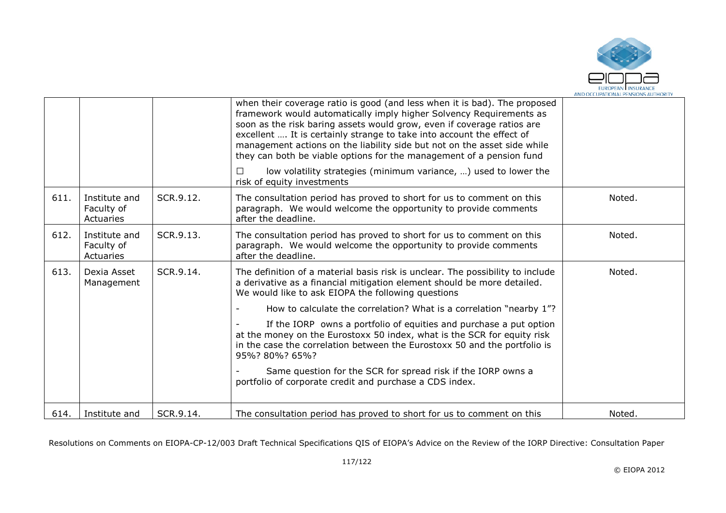

|      |                                          |           | when their coverage ratio is good (and less when it is bad). The proposed<br>framework would automatically imply higher Solvency Requirements as<br>soon as the risk baring assets would grow, even if coverage ratios are<br>excellent  It is certainly strange to take into account the effect of<br>management actions on the liability side but not on the asset side while<br>they can both be viable options for the management of a pension fund<br>low volatility strategies (minimum variance, ) used to lower the |        |
|------|------------------------------------------|-----------|-----------------------------------------------------------------------------------------------------------------------------------------------------------------------------------------------------------------------------------------------------------------------------------------------------------------------------------------------------------------------------------------------------------------------------------------------------------------------------------------------------------------------------|--------|
|      |                                          |           | risk of equity investments                                                                                                                                                                                                                                                                                                                                                                                                                                                                                                  |        |
| 611. | Institute and<br>Faculty of<br>Actuaries | SCR.9.12. | The consultation period has proved to short for us to comment on this<br>paragraph. We would welcome the opportunity to provide comments<br>after the deadline.                                                                                                                                                                                                                                                                                                                                                             | Noted. |
| 612. | Institute and<br>Faculty of<br>Actuaries | SCR.9.13. | The consultation period has proved to short for us to comment on this<br>paragraph. We would welcome the opportunity to provide comments<br>after the deadline.                                                                                                                                                                                                                                                                                                                                                             | Noted. |
| 613. | Dexia Asset<br>Management                | SCR.9.14. | The definition of a material basis risk is unclear. The possibility to include<br>a derivative as a financial mitigation element should be more detailed.<br>We would like to ask EIOPA the following questions                                                                                                                                                                                                                                                                                                             | Noted. |
|      |                                          |           | How to calculate the correlation? What is a correlation "nearby 1"?                                                                                                                                                                                                                                                                                                                                                                                                                                                         |        |
|      |                                          |           | If the IORP owns a portfolio of equities and purchase a put option<br>at the money on the Eurostoxx 50 index, what is the SCR for equity risk<br>in the case the correlation between the Eurostoxx 50 and the portfolio is<br>95%? 80%? 65%?                                                                                                                                                                                                                                                                                |        |
|      |                                          |           | Same question for the SCR for spread risk if the IORP owns a<br>portfolio of corporate credit and purchase a CDS index.                                                                                                                                                                                                                                                                                                                                                                                                     |        |
| 614. | Institute and                            | SCR.9.14. | The consultation period has proved to short for us to comment on this                                                                                                                                                                                                                                                                                                                                                                                                                                                       | Noted. |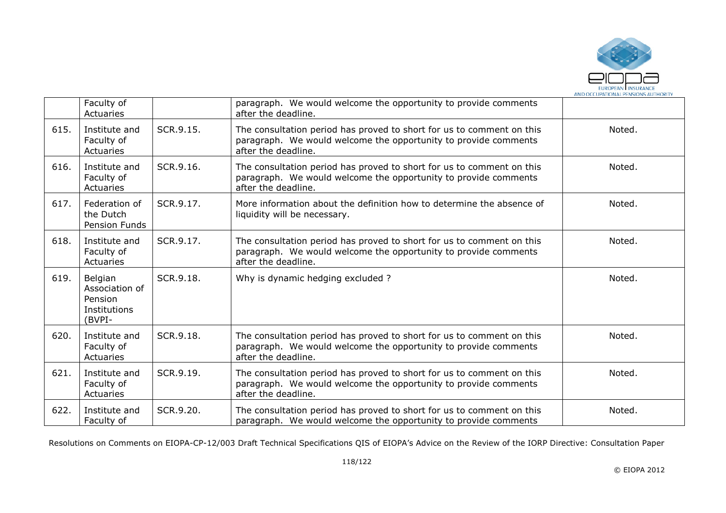

|      | Faculty of<br>Actuaries                                        |           | paragraph. We would welcome the opportunity to provide comments<br>after the deadline.                                                                          |        |
|------|----------------------------------------------------------------|-----------|-----------------------------------------------------------------------------------------------------------------------------------------------------------------|--------|
| 615. | Institute and<br>Faculty of<br>Actuaries                       | SCR.9.15. | The consultation period has proved to short for us to comment on this<br>paragraph. We would welcome the opportunity to provide comments<br>after the deadline. | Noted. |
| 616. | Institute and<br>Faculty of<br>Actuaries                       | SCR.9.16. | The consultation period has proved to short for us to comment on this<br>paragraph. We would welcome the opportunity to provide comments<br>after the deadline. | Noted. |
| 617. | Federation of<br>the Dutch<br>Pension Funds                    | SCR.9.17. | More information about the definition how to determine the absence of<br>liquidity will be necessary.                                                           | Noted. |
| 618. | Institute and<br>Faculty of<br>Actuaries                       | SCR.9.17. | The consultation period has proved to short for us to comment on this<br>paragraph. We would welcome the opportunity to provide comments<br>after the deadline. | Noted. |
| 619. | Belgian<br>Association of<br>Pension<br>Institutions<br>(BVPI- | SCR.9.18. | Why is dynamic hedging excluded?                                                                                                                                | Noted. |
| 620. | Institute and<br>Faculty of<br>Actuaries                       | SCR.9.18. | The consultation period has proved to short for us to comment on this<br>paragraph. We would welcome the opportunity to provide comments<br>after the deadline. | Noted. |
| 621. | Institute and<br>Faculty of<br>Actuaries                       | SCR.9.19. | The consultation period has proved to short for us to comment on this<br>paragraph. We would welcome the opportunity to provide comments<br>after the deadline. | Noted. |
| 622. | Institute and<br>Faculty of                                    | SCR.9.20. | The consultation period has proved to short for us to comment on this<br>paragraph. We would welcome the opportunity to provide comments                        | Noted. |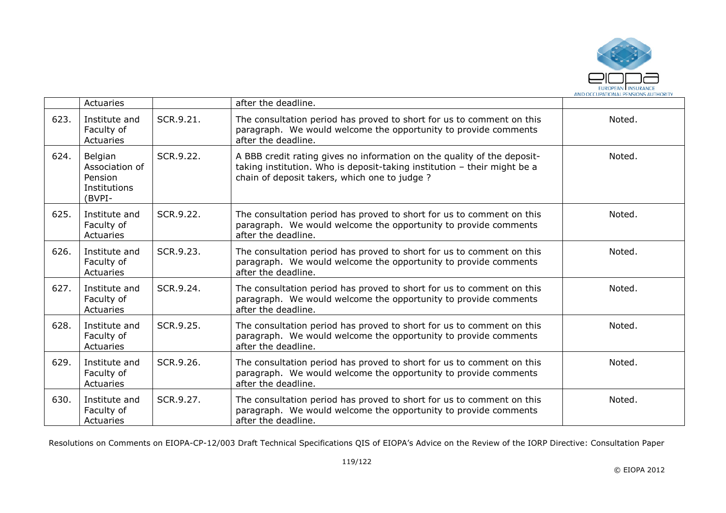

|      | Actuaries                                                      |           | after the deadline.                                                                                                                                                                                 |        |
|------|----------------------------------------------------------------|-----------|-----------------------------------------------------------------------------------------------------------------------------------------------------------------------------------------------------|--------|
| 623. | Institute and<br>Faculty of<br>Actuaries                       | SCR.9.21. | The consultation period has proved to short for us to comment on this<br>paragraph. We would welcome the opportunity to provide comments<br>after the deadline.                                     | Noted. |
| 624. | Belgian<br>Association of<br>Pension<br>Institutions<br>(BVPI- | SCR.9.22. | A BBB credit rating gives no information on the quality of the deposit-<br>taking institution. Who is deposit-taking institution - their might be a<br>chain of deposit takers, which one to judge? | Noted. |
| 625. | Institute and<br>Faculty of<br>Actuaries                       | SCR.9.22. | The consultation period has proved to short for us to comment on this<br>paragraph. We would welcome the opportunity to provide comments<br>after the deadline.                                     | Noted. |
| 626. | Institute and<br>Faculty of<br>Actuaries                       | SCR.9.23. | The consultation period has proved to short for us to comment on this<br>paragraph. We would welcome the opportunity to provide comments<br>after the deadline.                                     | Noted. |
| 627. | Institute and<br>Faculty of<br>Actuaries                       | SCR.9.24. | The consultation period has proved to short for us to comment on this<br>paragraph. We would welcome the opportunity to provide comments<br>after the deadline.                                     | Noted. |
| 628. | Institute and<br>Faculty of<br>Actuaries                       | SCR.9.25. | The consultation period has proved to short for us to comment on this<br>paragraph. We would welcome the opportunity to provide comments<br>after the deadline.                                     | Noted. |
| 629. | Institute and<br>Faculty of<br>Actuaries                       | SCR.9.26. | The consultation period has proved to short for us to comment on this<br>paragraph. We would welcome the opportunity to provide comments<br>after the deadline.                                     | Noted. |
| 630. | Institute and<br>Faculty of<br>Actuaries                       | SCR.9.27. | The consultation period has proved to short for us to comment on this<br>paragraph. We would welcome the opportunity to provide comments<br>after the deadline.                                     | Noted. |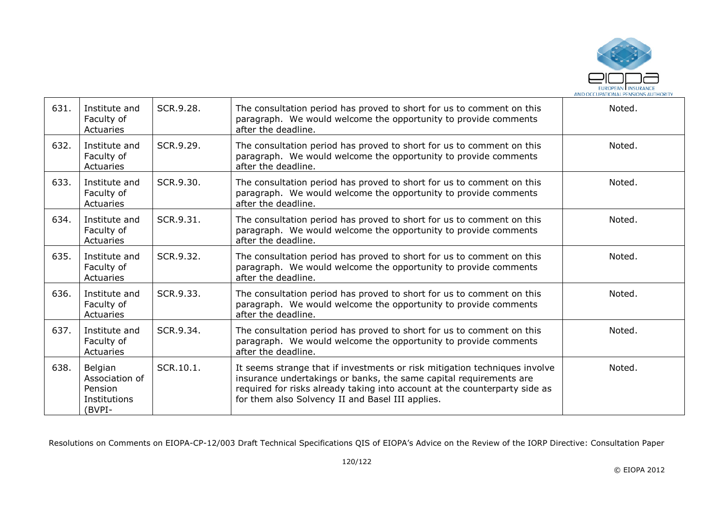

| 631. | Institute and<br>Faculty of<br>Actuaries                       | SCR.9.28. | The consultation period has proved to short for us to comment on this<br>paragraph. We would welcome the opportunity to provide comments<br>after the deadline.                                                                                                                    | Noted. |
|------|----------------------------------------------------------------|-----------|------------------------------------------------------------------------------------------------------------------------------------------------------------------------------------------------------------------------------------------------------------------------------------|--------|
| 632. | Institute and<br>Faculty of<br>Actuaries                       | SCR.9.29. | The consultation period has proved to short for us to comment on this<br>paragraph. We would welcome the opportunity to provide comments<br>after the deadline.                                                                                                                    | Noted. |
| 633. | Institute and<br>Faculty of<br>Actuaries                       | SCR.9.30. | The consultation period has proved to short for us to comment on this<br>paragraph. We would welcome the opportunity to provide comments<br>after the deadline.                                                                                                                    | Noted. |
| 634. | Institute and<br>Faculty of<br>Actuaries                       | SCR.9.31. | The consultation period has proved to short for us to comment on this<br>paragraph. We would welcome the opportunity to provide comments<br>after the deadline.                                                                                                                    | Noted. |
| 635. | Institute and<br>Faculty of<br>Actuaries                       | SCR.9.32. | The consultation period has proved to short for us to comment on this<br>paragraph. We would welcome the opportunity to provide comments<br>after the deadline.                                                                                                                    | Noted. |
| 636. | Institute and<br>Faculty of<br>Actuaries                       | SCR.9.33. | The consultation period has proved to short for us to comment on this<br>paragraph. We would welcome the opportunity to provide comments<br>after the deadline.                                                                                                                    | Noted. |
| 637. | Institute and<br>Faculty of<br>Actuaries                       | SCR.9.34. | The consultation period has proved to short for us to comment on this<br>paragraph. We would welcome the opportunity to provide comments<br>after the deadline.                                                                                                                    | Noted. |
| 638. | Belgian<br>Association of<br>Pension<br>Institutions<br>(BVPI- | SCR.10.1. | It seems strange that if investments or risk mitigation techniques involve<br>insurance undertakings or banks, the same capital requirements are<br>required for risks already taking into account at the counterparty side as<br>for them also Solvency II and Basel III applies. | Noted. |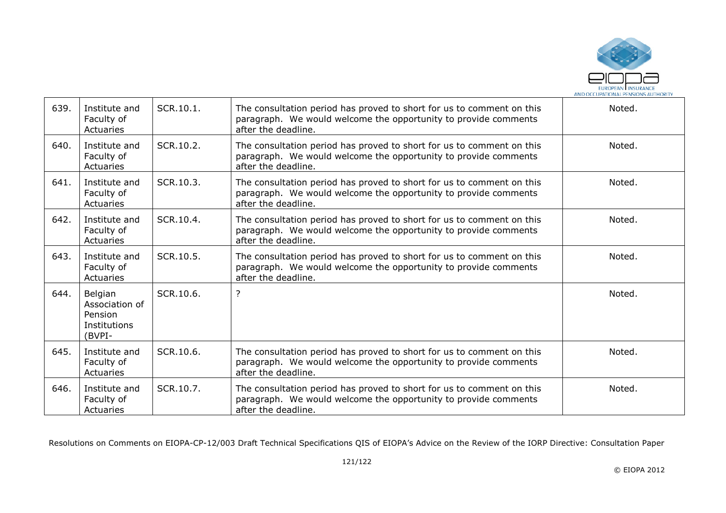

| 639. | Institute and<br>Faculty of<br>Actuaries                       | SCR.10.1. | The consultation period has proved to short for us to comment on this<br>paragraph. We would welcome the opportunity to provide comments<br>after the deadline. | Noted. |
|------|----------------------------------------------------------------|-----------|-----------------------------------------------------------------------------------------------------------------------------------------------------------------|--------|
| 640. | Institute and<br>Faculty of<br>Actuaries                       | SCR.10.2. | The consultation period has proved to short for us to comment on this<br>paragraph. We would welcome the opportunity to provide comments<br>after the deadline. | Noted. |
| 641. | Institute and<br>Faculty of<br>Actuaries                       | SCR.10.3. | The consultation period has proved to short for us to comment on this<br>paragraph. We would welcome the opportunity to provide comments<br>after the deadline. | Noted. |
| 642. | Institute and<br>Faculty of<br>Actuaries                       | SCR.10.4. | The consultation period has proved to short for us to comment on this<br>paragraph. We would welcome the opportunity to provide comments<br>after the deadline. | Noted. |
| 643. | Institute and<br>Faculty of<br>Actuaries                       | SCR.10.5. | The consultation period has proved to short for us to comment on this<br>paragraph. We would welcome the opportunity to provide comments<br>after the deadline. | Noted. |
| 644. | Belgian<br>Association of<br>Pension<br>Institutions<br>(BVPI- | SCR.10.6. | ?                                                                                                                                                               | Noted. |
| 645. | Institute and<br>Faculty of<br>Actuaries                       | SCR.10.6. | The consultation period has proved to short for us to comment on this<br>paragraph. We would welcome the opportunity to provide comments<br>after the deadline. | Noted. |
| 646. | Institute and<br>Faculty of<br>Actuaries                       | SCR.10.7. | The consultation period has proved to short for us to comment on this<br>paragraph. We would welcome the opportunity to provide comments<br>after the deadline. | Noted. |